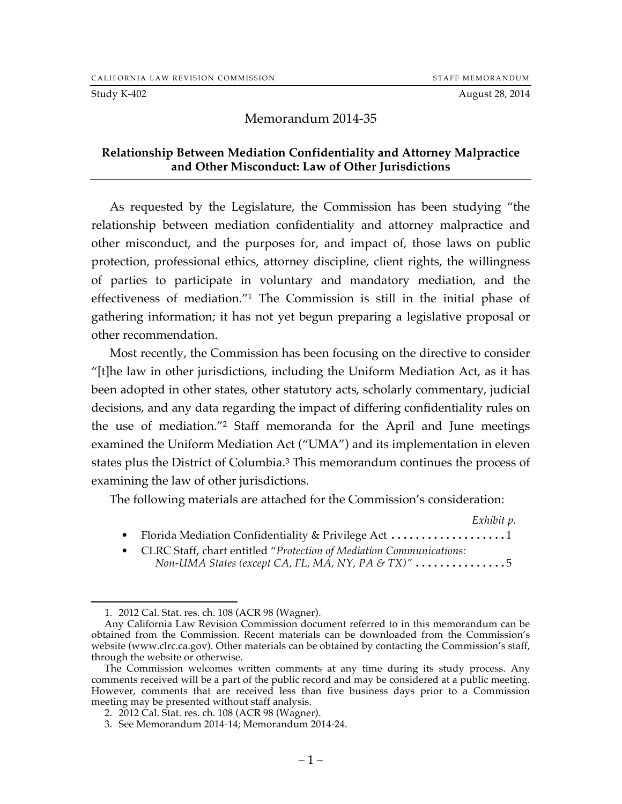#### Study K-402 August 28, 2014

#### Memorandum 2014-35

#### **Relationship Between Mediation Confidentiality and Attorney Malpractice and Other Misconduct: Law of Other Jurisdictions**

As requested by the Legislature, the Commission has been studying "the relationship between mediation confidentiality and attorney malpractice and other misconduct, and the purposes for, and impact of, those laws on public protection, professional ethics, attorney discipline, client rights, the willingness of parties to participate in voluntary and mandatory mediation, and the effectiveness of mediation."1 The Commission is still in the initial phase of gathering information; it has not yet begun preparing a legislative proposal or other recommendation.

Most recently, the Commission has been focusing on the directive to consider "[t]he law in other jurisdictions, including the Uniform Mediation Act, as it has been adopted in other states, other statutory acts, scholarly commentary, judicial decisions, and any data regarding the impact of differing confidentiality rules on the use of mediation."2 Staff memoranda for the April and June meetings examined the Uniform Mediation Act ("UMA") and its implementation in eleven states plus the District of Columbia.3 This memorandum continues the process of examining the law of other jurisdictions.

The following materials are attached for the Commission's consideration:

*Exhibit p.*

- Florida Mediation Confidentiality & Privilege Act .......................1
- CLRC Staff, chart entitled "*Protection of Mediation Communications: Non-UMA States (except CA, FL, MA, NY, PA & TX)"* ...............5

 <sup>1.</sup> 2012 Cal. Stat. res. ch. 108 (ACR 98 (Wagner).

Any California Law Revision Commission document referred to in this memorandum can be obtained from the Commission. Recent materials can be downloaded from the Commission's website (www.clrc.ca.gov). Other materials can be obtained by contacting the Commission's staff, through the website or otherwise.

The Commission welcomes written comments at any time during its study process. Any comments received will be a part of the public record and may be considered at a public meeting. However, comments that are received less than five business days prior to a Commission meeting may be presented without staff analysis.

<sup>2.</sup> 2012 Cal. Stat. res. ch. 108 (ACR 98 (Wagner).

<sup>3.</sup> See Memorandum 2014-14; Memorandum 2014-24.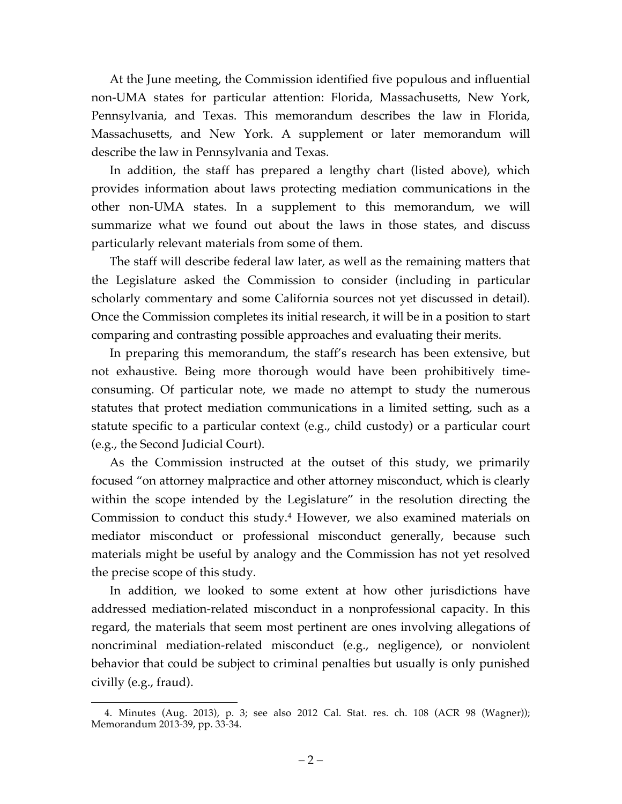At the June meeting, the Commission identified five populous and influential non-UMA states for particular attention: Florida, Massachusetts, New York, Pennsylvania, and Texas. This memorandum describes the law in Florida, Massachusetts, and New York. A supplement or later memorandum will describe the law in Pennsylvania and Texas.

In addition, the staff has prepared a lengthy chart (listed above), which provides information about laws protecting mediation communications in the other non-UMA states. In a supplement to this memorandum, we will summarize what we found out about the laws in those states, and discuss particularly relevant materials from some of them.

The staff will describe federal law later, as well as the remaining matters that the Legislature asked the Commission to consider (including in particular scholarly commentary and some California sources not yet discussed in detail). Once the Commission completes its initial research, it will be in a position to start comparing and contrasting possible approaches and evaluating their merits.

In preparing this memorandum, the staff's research has been extensive, but not exhaustive. Being more thorough would have been prohibitively timeconsuming. Of particular note, we made no attempt to study the numerous statutes that protect mediation communications in a limited setting, such as a statute specific to a particular context (e.g., child custody) or a particular court (e.g., the Second Judicial Court).

As the Commission instructed at the outset of this study, we primarily focused "on attorney malpractice and other attorney misconduct, which is clearly within the scope intended by the Legislature" in the resolution directing the Commission to conduct this study.4 However, we also examined materials on mediator misconduct or professional misconduct generally, because such materials might be useful by analogy and the Commission has not yet resolved the precise scope of this study.

In addition, we looked to some extent at how other jurisdictions have addressed mediation-related misconduct in a nonprofessional capacity. In this regard, the materials that seem most pertinent are ones involving allegations of noncriminal mediation-related misconduct (e.g., negligence), or nonviolent behavior that could be subject to criminal penalties but usually is only punished civilly (e.g., fraud).

 <sup>4.</sup> Minutes (Aug. 2013), p. 3; see also 2012 Cal. Stat. res. ch. 108 (ACR 98 (Wagner)); Memorandum 2013-39, pp. 33-34.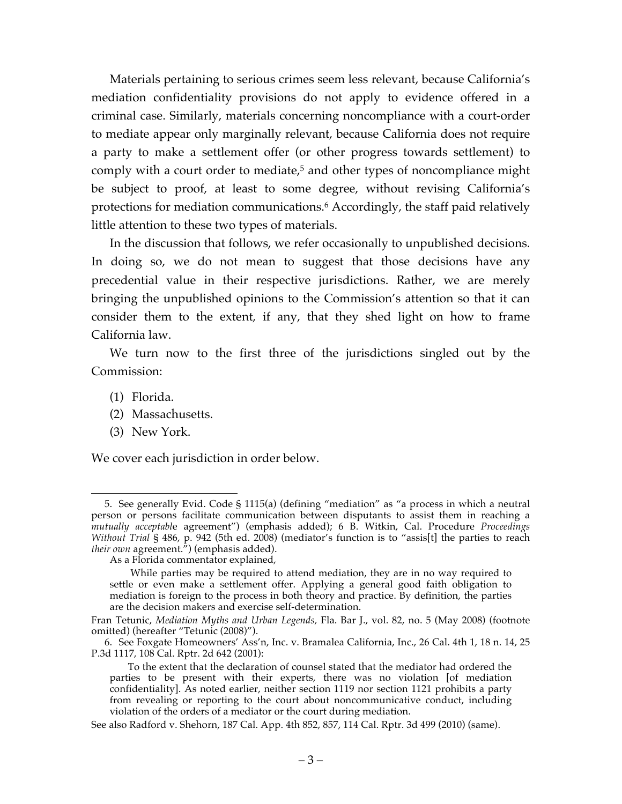Materials pertaining to serious crimes seem less relevant, because California's mediation confidentiality provisions do not apply to evidence offered in a criminal case. Similarly, materials concerning noncompliance with a court-order to mediate appear only marginally relevant, because California does not require a party to make a settlement offer (or other progress towards settlement) to comply with a court order to mediate, <sup>5</sup> and other types of noncompliance might be subject to proof, at least to some degree, without revising California's protections for mediation communications.6 Accordingly, the staff paid relatively little attention to these two types of materials.

In the discussion that follows, we refer occasionally to unpublished decisions. In doing so, we do not mean to suggest that those decisions have any precedential value in their respective jurisdictions. Rather, we are merely bringing the unpublished opinions to the Commission's attention so that it can consider them to the extent, if any, that they shed light on how to frame California law.

We turn now to the first three of the jurisdictions singled out by the Commission:

- (1) Florida.
- (2) Massachusetts.
- (3) New York.

We cover each jurisdiction in order below.

 <sup>5.</sup> See generally Evid. Code § 1115(a) (defining "mediation" as "a process in which a neutral person or persons facilitate communication between disputants to assist them in reaching a *mutually acceptabl*e agreement") (emphasis added); 6 B. Witkin, Cal. Procedure *Proceedings Without Trial* § 486, p. 942 (5th ed. 2008) (mediator's function is to "assis[t] the parties to reach *their own* agreement.") (emphasis added).

As a Florida commentator explained,

While parties may be required to attend mediation, they are in no way required to settle or even make a settlement offer. Applying a general good faith obligation to mediation is foreign to the process in both theory and practice. By definition, the parties are the decision makers and exercise self-determination.

Fran Tetunic, *Mediation Myths and Urban Legends,* Fla. Bar J., vol. 82, no. 5 (May 2008) (footnote omitted) (hereafter "Tetunic (2008)").

<sup>6.</sup> See Foxgate Homeowners' Ass'n, Inc. v. Bramalea California, Inc., 26 Cal. 4th 1, 18 n. 14, 25 P.3d 1117, 108 Cal. Rptr. 2d 642 (2001):

To the extent that the declaration of counsel stated that the mediator had ordered the parties to be present with their experts, there was no violation [of mediation confidentiality]. As noted earlier, neither section 1119 nor section 1121 prohibits a party from revealing or reporting to the court about noncommunicative conduct, including violation of the orders of a mediator or the court during mediation.

See also Radford v. Shehorn, 187 Cal. App. 4th 852, 857, 114 Cal. Rptr. 3d 499 (2010) (same).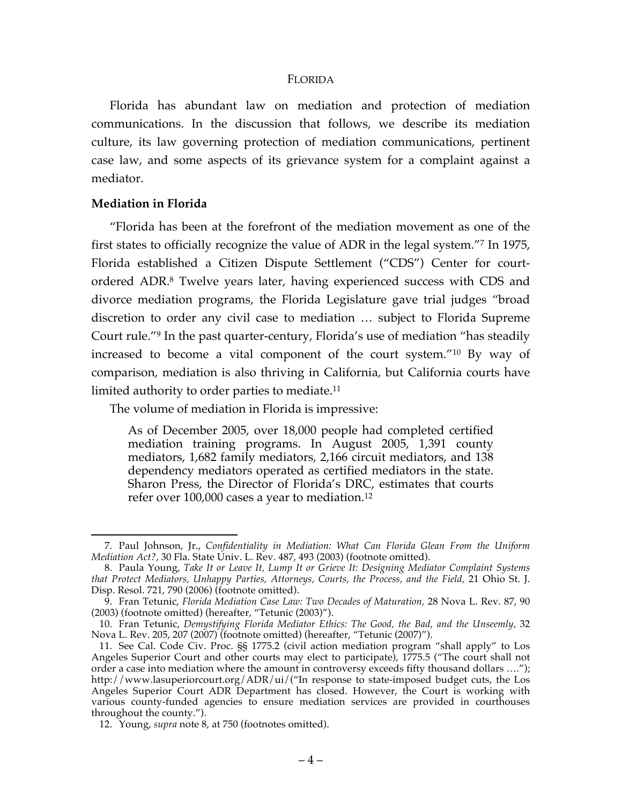#### FLORIDA

Florida has abundant law on mediation and protection of mediation communications. In the discussion that follows, we describe its mediation culture, its law governing protection of mediation communications, pertinent case law, and some aspects of its grievance system for a complaint against a mediator.

#### **Mediation in Florida**

"Florida has been at the forefront of the mediation movement as one of the first states to officially recognize the value of ADR in the legal system."7 In 1975, Florida established a Citizen Dispute Settlement ("CDS") Center for courtordered ADR. <sup>8</sup> Twelve years later, having experienced success with CDS and divorce mediation programs, the Florida Legislature gave trial judges "broad discretion to order any civil case to mediation … subject to Florida Supreme Court rule."9 In the past quarter-century, Florida's use of mediation "has steadily increased to become a vital component of the court system."10 By way of comparison, mediation is also thriving in California, but California courts have limited authority to order parties to mediate.11

The volume of mediation in Florida is impressive:

As of December 2005, over 18,000 people had completed certified mediation training programs. In August 2005, 1,391 county mediators, 1,682 family mediators, 2,166 circuit mediators, and 138 dependency mediators operated as certified mediators in the state. Sharon Press, the Director of Florida's DRC, estimates that courts refer over 100,000 cases a year to mediation.12

 <sup>7.</sup> Paul Johnson, Jr., *Confidentiality in Mediation: What Can Florida Glean From the Uniform Mediation Act?,* 30 Fla. State Univ. L. Rev. 487, 493 (2003) (footnote omitted).

<sup>8.</sup> Paula Young, *Take It or Leave It, Lump It or Grieve It: Designing Mediator Complaint Systems that Protect Mediators, Unhappy Parties, Attorneys, Courts, the Process, and the Field,* 21 Ohio St. J. Disp. Resol. 721, 790 (2006) (footnote omitted).

<sup>9.</sup> Fran Tetunic, *Florida Mediation Case Law: Two Decades of Maturation,* 28 Nova L. Rev. 87, 90 (2003) (footnote omitted) (hereafter, "Tetunic (2003)").

<sup>10.</sup> Fran Tetunic, *Demystifying Florida Mediator Ethics: The Good, the Bad, and the Unseemly,* 32 Nova L. Rev. 205, 207 (2007) (footnote omitted) (hereafter, "Tetunic (2007)").

<sup>11.</sup> See Cal. Code Civ. Proc. §§ 1775.2 (civil action mediation program "shall apply" to Los Angeles Superior Court and other courts may elect to participate), 1775.5 ("The court shall not order a case into mediation where the amount in controversy exceeds fifty thousand dollars …."); http://www.lasuperiorcourt.org/ADR/ui/("In response to state-imposed budget cuts, the Los Angeles Superior Court ADR Department has closed. However, the Court is working with various county-funded agencies to ensure mediation services are provided in courthouses throughout the county.").

<sup>12.</sup> Young, *supra* note 8, at 750 (footnotes omitted).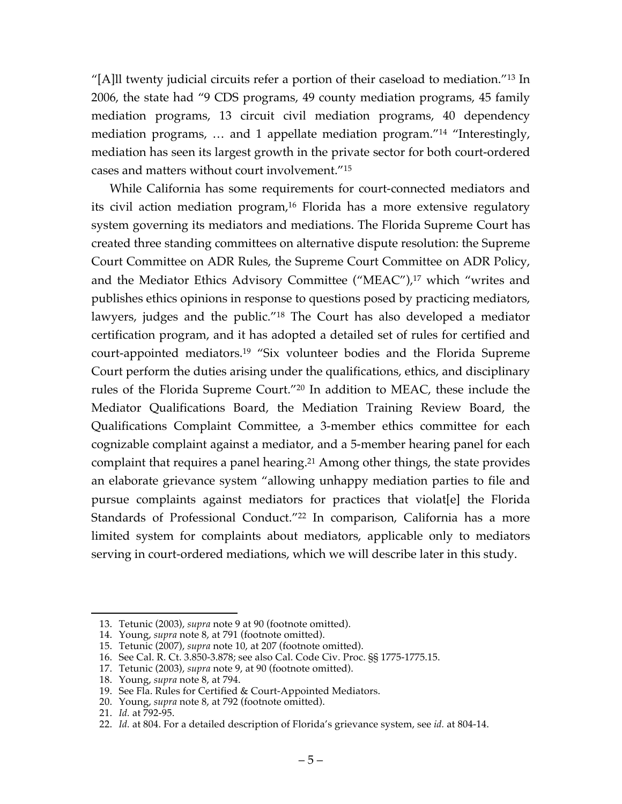"[A]ll twenty judicial circuits refer a portion of their caseload to mediation."13 In 2006, the state had "9 CDS programs, 49 county mediation programs, 45 family mediation programs, 13 circuit civil mediation programs, 40 dependency mediation programs, … and 1 appellate mediation program."14 "Interestingly, mediation has seen its largest growth in the private sector for both court-ordered cases and matters without court involvement."15

While California has some requirements for court-connected mediators and its civil action mediation program, <sup>16</sup> Florida has a more extensive regulatory system governing its mediators and mediations. The Florida Supreme Court has created three standing committees on alternative dispute resolution: the Supreme Court Committee on ADR Rules, the Supreme Court Committee on ADR Policy, and the Mediator Ethics Advisory Committee ("MEAC"), <sup>17</sup> which "writes and publishes ethics opinions in response to questions posed by practicing mediators, lawyers, judges and the public."18 The Court has also developed a mediator certification program, and it has adopted a detailed set of rules for certified and court-appointed mediators.19 "Six volunteer bodies and the Florida Supreme Court perform the duties arising under the qualifications, ethics, and disciplinary rules of the Florida Supreme Court."20 In addition to MEAC, these include the Mediator Qualifications Board, the Mediation Training Review Board, the Qualifications Complaint Committee, a 3-member ethics committee for each cognizable complaint against a mediator, and a 5-member hearing panel for each complaint that requires a panel hearing. <sup>21</sup> Among other things, the state provides an elaborate grievance system "allowing unhappy mediation parties to file and pursue complaints against mediators for practices that violat[e] the Florida Standards of Professional Conduct."22 In comparison, California has a more limited system for complaints about mediators, applicable only to mediators serving in court-ordered mediations, which we will describe later in this study.

 <sup>13.</sup> Tetunic (2003), *supra* note 9 at 90 (footnote omitted).

<sup>14.</sup> Young, *supra* note 8, at 791 (footnote omitted).

<sup>15.</sup> Tetunic (2007), *supra* note 10, at 207 (footnote omitted).

<sup>16.</sup> See Cal. R. Ct. 3.850-3.878; see also Cal. Code Civ. Proc. §§ 1775-1775.15.

<sup>17.</sup> Tetunic (2003), *supra* note 9, at 90 (footnote omitted).

<sup>18.</sup> Young, *supra* note 8, at 794.

<sup>19.</sup> See Fla. Rules for Certified & Court-Appointed Mediators.

<sup>20.</sup> Young, *supra* note 8, at 792 (footnote omitted).

<sup>21.</sup> *Id.* at 792-95.

<sup>22.</sup> *Id.* at 804. For a detailed description of Florida's grievance system, see *id.* at 804-14.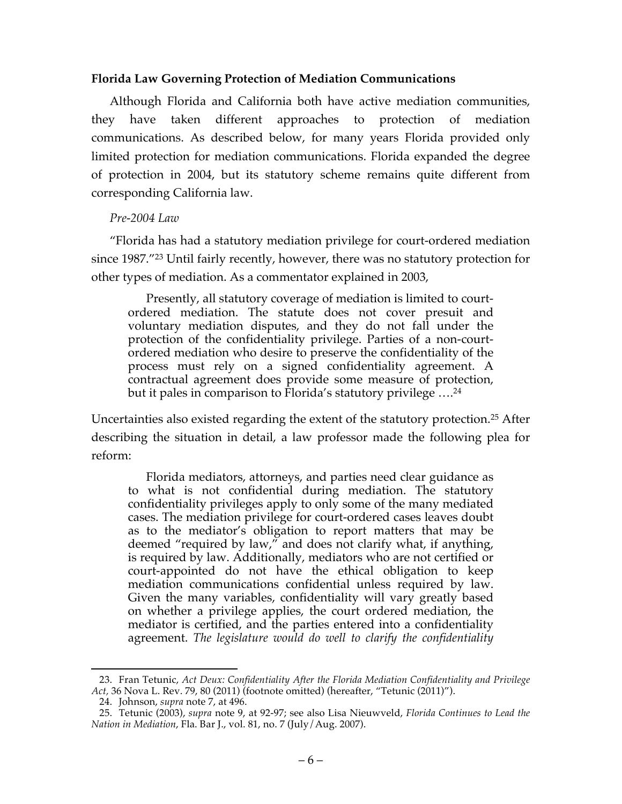#### **Florida Law Governing Protection of Mediation Communications**

Although Florida and California both have active mediation communities, they have taken different approaches to protection of mediation communications. As described below, for many years Florida provided only limited protection for mediation communications. Florida expanded the degree of protection in 2004, but its statutory scheme remains quite different from corresponding California law.

#### *Pre-2004 Law*

"Florida has had a statutory mediation privilege for court-ordered mediation since 1987."23 Until fairly recently, however, there was no statutory protection for other types of mediation. As a commentator explained in 2003,

Presently, all statutory coverage of mediation is limited to courtordered mediation. The statute does not cover presuit and voluntary mediation disputes, and they do not fall under the protection of the confidentiality privilege. Parties of a non-courtordered mediation who desire to preserve the confidentiality of the process must rely on a signed confidentiality agreement. A contractual agreement does provide some measure of protection, but it pales in comparison to Florida's statutory privilege  $\ldots^{24}$ 

Uncertainties also existed regarding the extent of the statutory protection.25 After describing the situation in detail, a law professor made the following plea for reform:

Florida mediators, attorneys, and parties need clear guidance as to what is not confidential during mediation. The statutory confidentiality privileges apply to only some of the many mediated cases. The mediation privilege for court-ordered cases leaves doubt as to the mediator's obligation to report matters that may be deemed "required by law," and does not clarify what, if anything, is required by law. Additionally, mediators who are not certified or court-appointed do not have the ethical obligation to keep mediation communications confidential unless required by law. Given the many variables, confidentiality will vary greatly based on whether a privilege applies, the court ordered mediation, the mediator is certified, and the parties entered into a confidentiality agreement. *The legislature would do well to clarify the confidentiality* 

 <sup>23.</sup> Fran Tetunic, *Act Deux: Confidentiality After the Florida Mediation Confidentiality and Privilege Act,* 36 Nova L. Rev. 79, 80 (2011) (footnote omitted) (hereafter, "Tetunic (2011)").

<sup>24.</sup> Johnson, *supra* note 7, at 496.

<sup>25.</sup> Tetunic (2003), *supra* note 9, at 92-97; see also Lisa Nieuwveld, *Florida Continues to Lead the Nation in Mediation*, Fla. Bar J., vol. 81, no. 7 (July/Aug. 2007).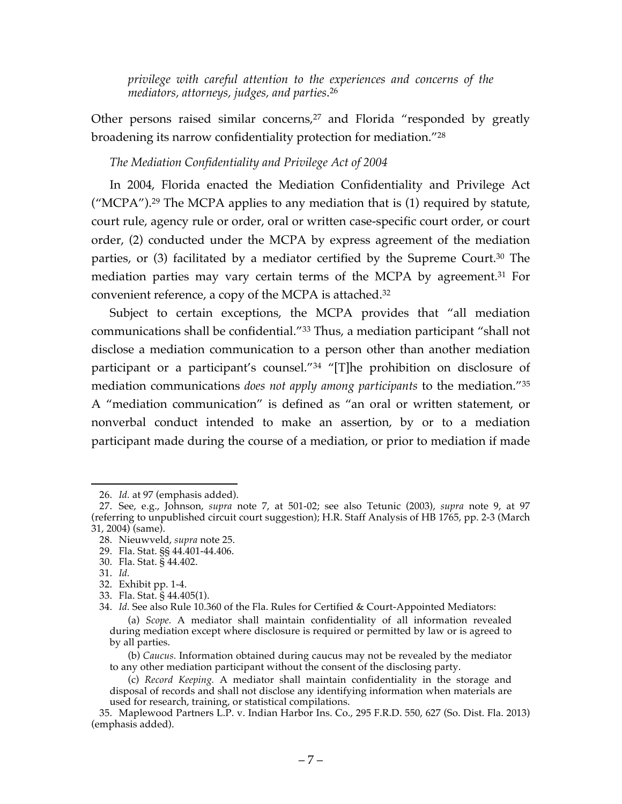*privilege with careful attention to the experiences and concerns of the mediators, attorneys, judges, and parties*. 26

Other persons raised similar concerns, $27$  and Florida "responded by greatly broadening its narrow confidentiality protection for mediation."28

# *The Mediation Confidentiality and Privilege Act of 2004*

In 2004, Florida enacted the Mediation Confidentiality and Privilege Act ("MCPA").<sup>29</sup> The MCPA applies to any mediation that is  $(1)$  required by statute, court rule, agency rule or order, oral or written case-specific court order, or court order, (2) conducted under the MCPA by express agreement of the mediation parties, or (3) facilitated by a mediator certified by the Supreme Court.<sup>30</sup> The mediation parties may vary certain terms of the MCPA by agreement.<sup>31</sup> For convenient reference, a copy of the MCPA is attached.32

Subject to certain exceptions, the MCPA provides that "all mediation communications shall be confidential."33 Thus, a mediation participant "shall not disclose a mediation communication to a person other than another mediation participant or a participant's counsel."34 "[T]he prohibition on disclosure of mediation communications *does not apply among participants* to the mediation."35 A "mediation communication" is defined as "an oral or written statement, or nonverbal conduct intended to make an assertion, by or to a mediation participant made during the course of a mediation, or prior to mediation if made

 <sup>26.</sup> *Id.* at 97 (emphasis added).

<sup>27.</sup> See, e.g., Johnson, *supra* note 7, at 501-02; see also Tetunic (2003), *supra* note 9, at 97 (referring to unpublished circuit court suggestion); H.R. Staff Analysis of HB 1765, pp. 2-3 (March 31, 2004) (same).

<sup>28.</sup> Nieuwveld, *supra* note 25.

<sup>29.</sup> Fla. Stat. §§ 44.401-44.406.

<sup>30.</sup> Fla. Stat. § 44.402.

<sup>31.</sup> *Id.*

<sup>32.</sup> Exhibit pp. 1-4.

<sup>33.</sup> Fla. Stat. § 44.405(1).

<sup>34.</sup> *Id.* See also Rule 10.360 of the Fla. Rules for Certified & Court-Appointed Mediators:

<sup>(</sup>a) *Scope.* A mediator shall maintain confidentiality of all information revealed during mediation except where disclosure is required or permitted by law or is agreed to by all parties.

<sup>(</sup>b) *Caucus.* Information obtained during caucus may not be revealed by the mediator to any other mediation participant without the consent of the disclosing party.

<sup>(</sup>c) *Record Keeping.* A mediator shall maintain confidentiality in the storage and disposal of records and shall not disclose any identifying information when materials are used for research, training, or statistical compilations.

<sup>35.</sup> Maplewood Partners L.P. v. Indian Harbor Ins. Co., 295 F.R.D. 550, 627 (So. Dist. Fla. 2013) (emphasis added).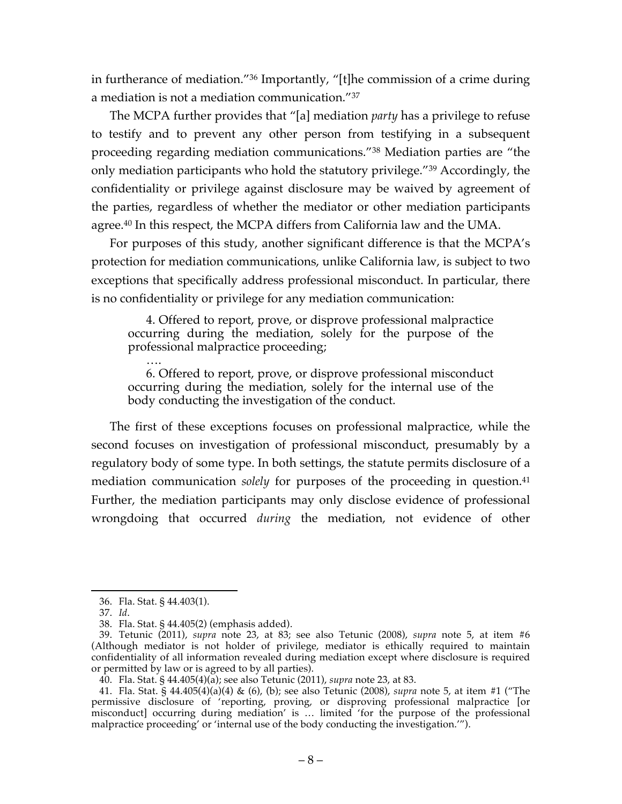in furtherance of mediation."36 Importantly, "[t]he commission of a crime during a mediation is not a mediation communication."37

The MCPA further provides that "[a] mediation *party* has a privilege to refuse to testify and to prevent any other person from testifying in a subsequent proceeding regarding mediation communications."38 Mediation parties are "the only mediation participants who hold the statutory privilege."39 Accordingly, the confidentiality or privilege against disclosure may be waived by agreement of the parties, regardless of whether the mediator or other mediation participants agree.40 In this respect, the MCPA differs from California law and the UMA.

For purposes of this study, another significant difference is that the MCPA's protection for mediation communications, unlike California law, is subject to two exceptions that specifically address professional misconduct. In particular, there is no confidentiality or privilege for any mediation communication:

4. Offered to report, prove, or disprove professional malpractice occurring during the mediation, solely for the purpose of the professional malpractice proceeding;

…. 6. Offered to report, prove, or disprove professional misconduct occurring during the mediation, solely for the internal use of the body conducting the investigation of the conduct.

The first of these exceptions focuses on professional malpractice, while the second focuses on investigation of professional misconduct, presumably by a regulatory body of some type. In both settings, the statute permits disclosure of a mediation communication *solely* for purposes of the proceeding in question.<sup>41</sup> Further, the mediation participants may only disclose evidence of professional wrongdoing that occurred *during* the mediation, not evidence of other

 <sup>36.</sup> Fla. Stat. § 44.403(1).

<sup>37.</sup> *Id*.

<sup>38.</sup> Fla. Stat. § 44.405(2) (emphasis added).

<sup>39.</sup> Tetunic (2011), *supra* note 23, at 83; see also Tetunic (2008), *supra* note 5, at item #6 (Although mediator is not holder of privilege, mediator is ethically required to maintain confidentiality of all information revealed during mediation except where disclosure is required or permitted by law or is agreed to by all parties).

<sup>40.</sup> Fla. Stat. § 44.405(4)(a); see also Tetunic (2011), *supra* note 23, at 83.

<sup>41.</sup> Fla. Stat. § 44.405(4)(a)(4) & (6), (b); see also Tetunic (2008), *supra* note 5, at item #1 ("The permissive disclosure of 'reporting, proving, or disproving professional malpractice [or misconduct] occurring during mediation' is … limited 'for the purpose of the professional malpractice proceeding' or 'internal use of the body conducting the investigation.'").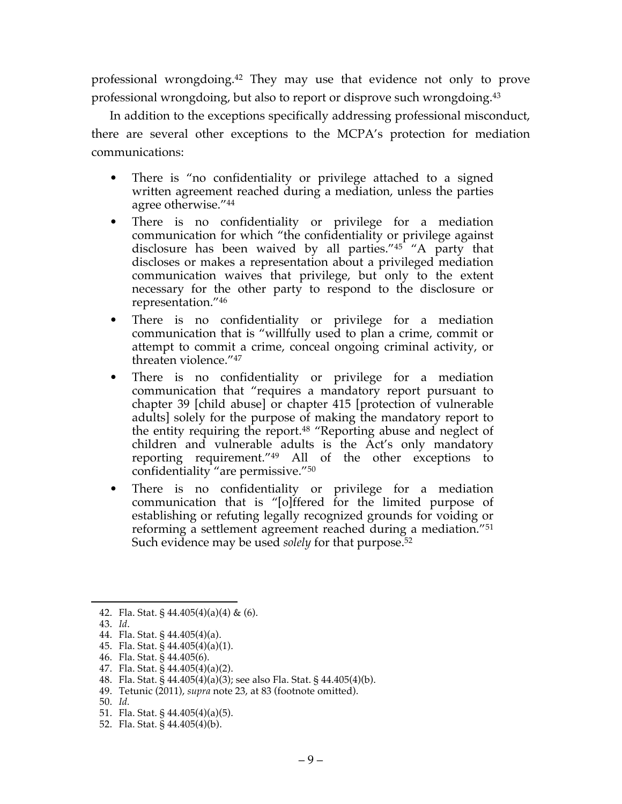professional wrongdoing.42 They may use that evidence not only to prove professional wrongdoing, but also to report or disprove such wrongdoing.43

In addition to the exceptions specifically addressing professional misconduct, there are several other exceptions to the MCPA's protection for mediation communications:

- There is "no confidentiality or privilege attached to a signed written agreement reached during a mediation, unless the parties agree otherwise."44
- There is no confidentiality or privilege for a mediation communication for which "the confidentiality or privilege against disclosure has been waived by all parties."45 "A party that discloses or makes a representation about a privileged mediation communication waives that privilege, but only to the extent necessary for the other party to respond to the disclosure or representation."46
- There is no confidentiality or privilege for a mediation communication that is "willfully used to plan a crime, commit or attempt to commit a crime, conceal ongoing criminal activity, or threaten violence."47
- There is no confidentiality or privilege for a mediation communication that "requires a mandatory report pursuant to chapter 39 [child abuse] or chapter 415 [protection of vulnerable adults] solely for the purpose of making the mandatory report to the entity requiring the report.48 "Reporting abuse and neglect of children and vulnerable adults is the Act's only mandatory reporting requirement."49 All of the other exceptions to confidentiality "are permissive."50
- There is no confidentiality or privilege for a mediation communication that is "[o]ffered for the limited purpose of establishing or refuting legally recognized grounds for voiding or reforming a settlement agreement reached during a mediation."51 Such evidence may be used *solely* for that purpose. 52

49. Tetunic (2011), *supra* note 23, at 83 (footnote omitted).

<sup>42.</sup> Fla. Stat. § 44.405(4)(a)(4) & (6).

<sup>43.</sup> *Id*.

<sup>44.</sup> Fla. Stat. § 44.405(4)(a).

<sup>45.</sup> Fla. Stat. § 44.405(4)(a)(1).

<sup>46.</sup> Fla. Stat. § 44.405(6).

<sup>47.</sup> Fla. Stat. § 44.405(4)(a)(2).

<sup>48.</sup> Fla. Stat. § 44.405(4)(a)(3); see also Fla. Stat. § 44.405(4)(b).

<sup>50.</sup> *Id.*

<sup>51.</sup> Fla. Stat. § 44.405(4)(a)(5).

<sup>52.</sup> Fla. Stat. § 44.405(4)(b).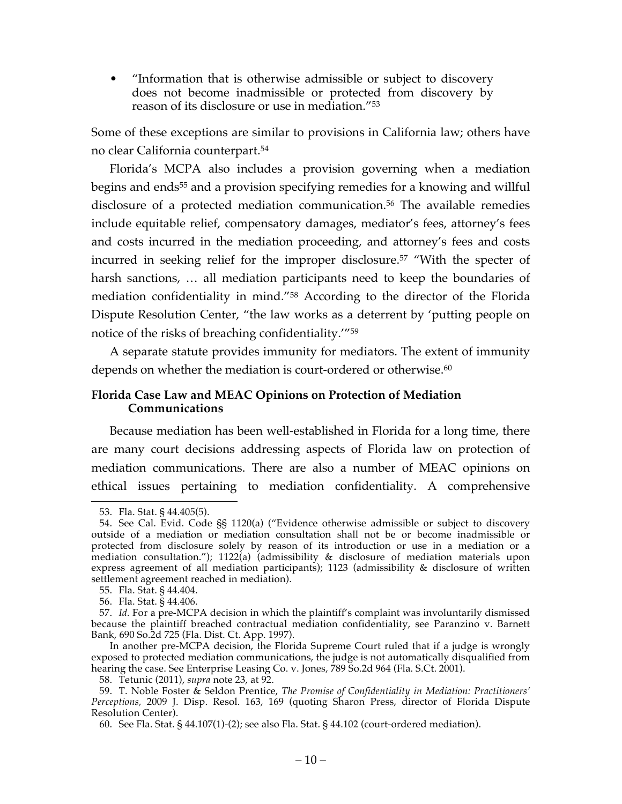• "Information that is otherwise admissible or subject to discovery does not become inadmissible or protected from discovery by reason of its disclosure or use in mediation."53

Some of these exceptions are similar to provisions in California law; others have no clear California counterpart.54

Florida's MCPA also includes a provision governing when a mediation begins and ends<sup>55</sup> and a provision specifying remedies for a knowing and willful disclosure of a protected mediation communication.<sup>56</sup> The available remedies include equitable relief, compensatory damages, mediator's fees, attorney's fees and costs incurred in the mediation proceeding, and attorney's fees and costs incurred in seeking relief for the improper disclosure.57 "With the specter of harsh sanctions, … all mediation participants need to keep the boundaries of mediation confidentiality in mind."58 According to the director of the Florida Dispute Resolution Center, "the law works as a deterrent by 'putting people on notice of the risks of breaching confidentiality.'"59

A separate statute provides immunity for mediators. The extent of immunity depends on whether the mediation is court-ordered or otherwise.<sup>60</sup>

### **Florida Case Law and MEAC Opinions on Protection of Mediation Communications**

Because mediation has been well-established in Florida for a long time, there are many court decisions addressing aspects of Florida law on protection of mediation communications. There are also a number of MEAC opinions on ethical issues pertaining to mediation confidentiality. A comprehensive

 <sup>53.</sup> Fla. Stat. § 44.405(5).

<sup>54.</sup> See Cal. Evid. Code §§ 1120(a) ("Evidence otherwise admissible or subject to discovery outside of a mediation or mediation consultation shall not be or become inadmissible or protected from disclosure solely by reason of its introduction or use in a mediation or a mediation consultation."); 1122(a) (admissibility & disclosure of mediation materials upon express agreement of all mediation participants); 1123 (admissibility & disclosure of written settlement agreement reached in mediation).

<sup>55.</sup> Fla. Stat. § 44.404.

<sup>56.</sup> Fla. Stat. § 44.406.

<sup>57.</sup> *Id.* For a pre-MCPA decision in which the plaintiff's complaint was involuntarily dismissed because the plaintiff breached contractual mediation confidentiality, see Paranzino v. Barnett Bank, 690 So.2d 725 (Fla. Dist. Ct. App. 1997).

In another pre-MCPA decision, the Florida Supreme Court ruled that if a judge is wrongly exposed to protected mediation communications, the judge is not automatically disqualified from hearing the case. See Enterprise Leasing Co. v. Jones, 789 So.2d 964 (Fla. S.Ct. 2001).

<sup>58.</sup> Tetunic (2011), *supra* note 23, at 92.

<sup>59.</sup> T. Noble Foster & Seldon Prentice, *The Promise of Confidentiality in Mediation: Practitioners' Perceptions,* 2009 J. Disp. Resol. 163, 169 (quoting Sharon Press, director of Florida Dispute Resolution Center).

<sup>60.</sup> See Fla. Stat. § 44.107(1)-(2); see also Fla. Stat. § 44.102 (court-ordered mediation).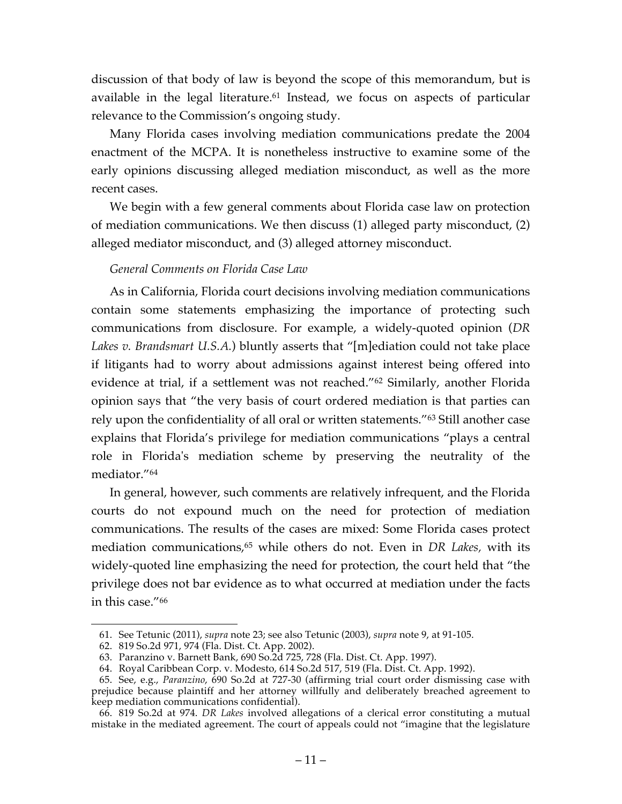discussion of that body of law is beyond the scope of this memorandum, but is available in the legal literature.<sup>61</sup> Instead, we focus on aspects of particular relevance to the Commission's ongoing study.

Many Florida cases involving mediation communications predate the 2004 enactment of the MCPA. It is nonetheless instructive to examine some of the early opinions discussing alleged mediation misconduct, as well as the more recent cases.

We begin with a few general comments about Florida case law on protection of mediation communications. We then discuss (1) alleged party misconduct, (2) alleged mediator misconduct, and (3) alleged attorney misconduct.

## *General Comments on Florida Case Law*

As in California, Florida court decisions involving mediation communications contain some statements emphasizing the importance of protecting such communications from disclosure. For example, a widely-quoted opinion (*DR Lakes v. Brandsmart U.S.A.*) bluntly asserts that "[m]ediation could not take place if litigants had to worry about admissions against interest being offered into evidence at trial, if a settlement was not reached."62 Similarly, another Florida opinion says that "the very basis of court ordered mediation is that parties can rely upon the confidentiality of all oral or written statements."<sup>63</sup> Still another case explains that Florida's privilege for mediation communications "plays a central role in Florida's mediation scheme by preserving the neutrality of the mediator."64

In general, however, such comments are relatively infrequent, and the Florida courts do not expound much on the need for protection of mediation communications. The results of the cases are mixed: Some Florida cases protect mediation communications,<sup>65</sup> while others do not. Even in *DR Lakes*, with its widely-quoted line emphasizing the need for protection, the court held that "the privilege does not bar evidence as to what occurred at mediation under the facts in this case."66

 <sup>61.</sup> See Tetunic (2011), *supra* note 23; see also Tetunic (2003), *supra* note 9, at 91-105.

<sup>62.</sup> 819 So.2d 971, 974 (Fla. Dist. Ct. App. 2002).

<sup>63.</sup> Paranzino v. Barnett Bank, 690 So.2d 725, 728 (Fla. Dist. Ct. App. 1997).

<sup>64.</sup> Royal Caribbean Corp. v. Modesto, 614 So.2d 517, 519 (Fla. Dist. Ct. App. 1992).

<sup>65.</sup> See, e.g., *Paranzino*, 690 So.2d at 727-30 (affirming trial court order dismissing case with prejudice because plaintiff and her attorney willfully and deliberately breached agreement to keep mediation communications confidential).

<sup>66.</sup> 819 So.2d at 974. *DR Lakes* involved allegations of a clerical error constituting a mutual mistake in the mediated agreement. The court of appeals could not "imagine that the legislature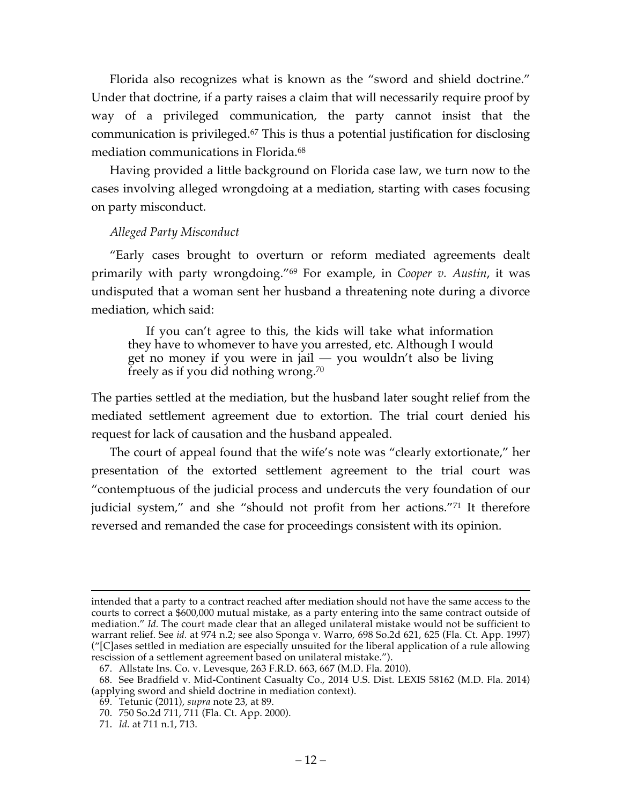Florida also recognizes what is known as the "sword and shield doctrine." Under that doctrine, if a party raises a claim that will necessarily require proof by way of a privileged communication, the party cannot insist that the communication is privileged.67 This is thus a potential justification for disclosing mediation communications in Florida.68

Having provided a little background on Florida case law, we turn now to the cases involving alleged wrongdoing at a mediation, starting with cases focusing on party misconduct.

### *Alleged Party Misconduct*

"Early cases brought to overturn or reform mediated agreements dealt primarily with party wrongdoing."69 For example, in *Cooper v. Austin*, it was undisputed that a woman sent her husband a threatening note during a divorce mediation, which said:

If you can't agree to this, the kids will take what information they have to whomever to have you arrested, etc. Although I would get no money if you were in jail — you wouldn't also be living freely as if you did nothing wrong.70

The parties settled at the mediation, but the husband later sought relief from the mediated settlement agreement due to extortion. The trial court denied his request for lack of causation and the husband appealed.

The court of appeal found that the wife's note was "clearly extortionate," her presentation of the extorted settlement agreement to the trial court was "contemptuous of the judicial process and undercuts the very foundation of our judicial system," and she "should not profit from her actions."71 It therefore reversed and remanded the case for proceedings consistent with its opinion.

intended that a party to a contract reached after mediation should not have the same access to the courts to correct a \$600,000 mutual mistake, as a party entering into the same contract outside of mediation." *Id.* The court made clear that an alleged unilateral mistake would not be sufficient to warrant relief. See *id.* at 974 n.2; see also Sponga v. Warro, 698 So.2d 621, 625 (Fla. Ct. App. 1997) ("[C]ases settled in mediation are especially unsuited for the liberal application of a rule allowing rescission of a settlement agreement based on unilateral mistake.").

<sup>67.</sup> Allstate Ins. Co. v. Levesque, 263 F.R.D. 663, 667 (M.D. Fla. 2010).

<sup>68.</sup> See Bradfield v. Mid-Continent Casualty Co., 2014 U.S. Dist. LEXIS 58162 (M.D. Fla. 2014) (applying sword and shield doctrine in mediation context).

<sup>69.</sup> Tetunic (2011), *supra* note 23, at 89.

<sup>70.</sup> 750 So.2d 711, 711 (Fla. Ct. App. 2000).

<sup>71.</sup> *Id.* at 711 n.1, 713.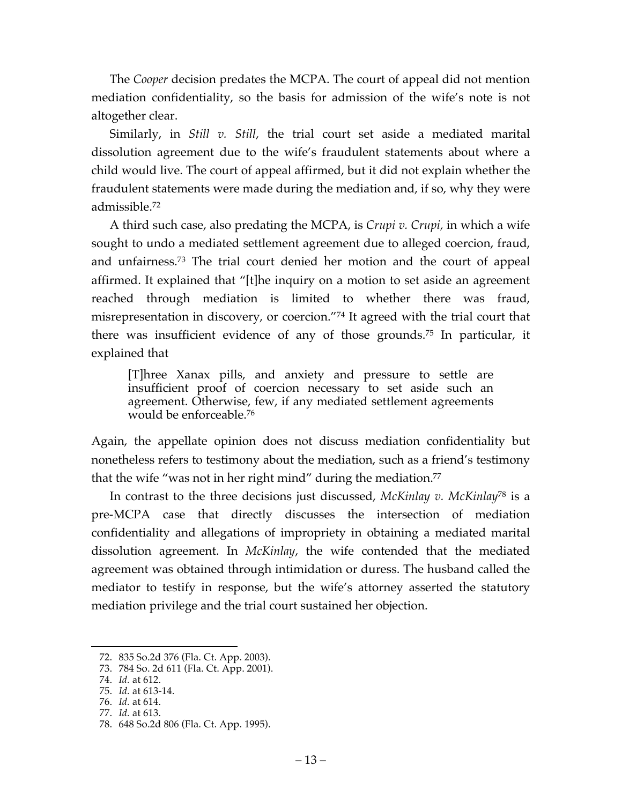The *Cooper* decision predates the MCPA. The court of appeal did not mention mediation confidentiality, so the basis for admission of the wife's note is not altogether clear.

Similarly, in *Still v. Still*, the trial court set aside a mediated marital dissolution agreement due to the wife's fraudulent statements about where a child would live. The court of appeal affirmed, but it did not explain whether the fraudulent statements were made during the mediation and, if so, why they were admissible.72

A third such case, also predating the MCPA, is *Crupi v. Crupi,* in which a wife sought to undo a mediated settlement agreement due to alleged coercion, fraud, and unfairness.73 The trial court denied her motion and the court of appeal affirmed. It explained that "[t]he inquiry on a motion to set aside an agreement reached through mediation is limited to whether there was fraud, misrepresentation in discovery, or coercion."74 It agreed with the trial court that there was insufficient evidence of any of those grounds.75 In particular, it explained that

[T]hree Xanax pills, and anxiety and pressure to settle are insufficient proof of coercion necessary to set aside such an agreement. Otherwise, few, if any mediated settlement agreements would be enforceable.76

Again, the appellate opinion does not discuss mediation confidentiality but nonetheless refers to testimony about the mediation, such as a friend's testimony that the wife "was not in her right mind" during the mediation. 77

In contrast to the three decisions just discussed, *McKinlay v. McKinlay*<sup>78</sup> is a pre-MCPA case that directly discusses the intersection of mediation confidentiality and allegations of impropriety in obtaining a mediated marital dissolution agreement. In *McKinlay*, the wife contended that the mediated agreement was obtained through intimidation or duress. The husband called the mediator to testify in response, but the wife's attorney asserted the statutory mediation privilege and the trial court sustained her objection.

 <sup>72.</sup> 835 So.2d 376 (Fla. Ct. App. 2003).

<sup>73.</sup> 784 So. 2d 611 (Fla. Ct. App. 2001).

<sup>74.</sup> *Id.* at 612.

<sup>75.</sup> *Id.* at 613-14.

<sup>76.</sup> *Id.* at 614.

<sup>77.</sup> *Id.* at 613.

<sup>78.</sup> 648 So.2d 806 (Fla. Ct. App. 1995).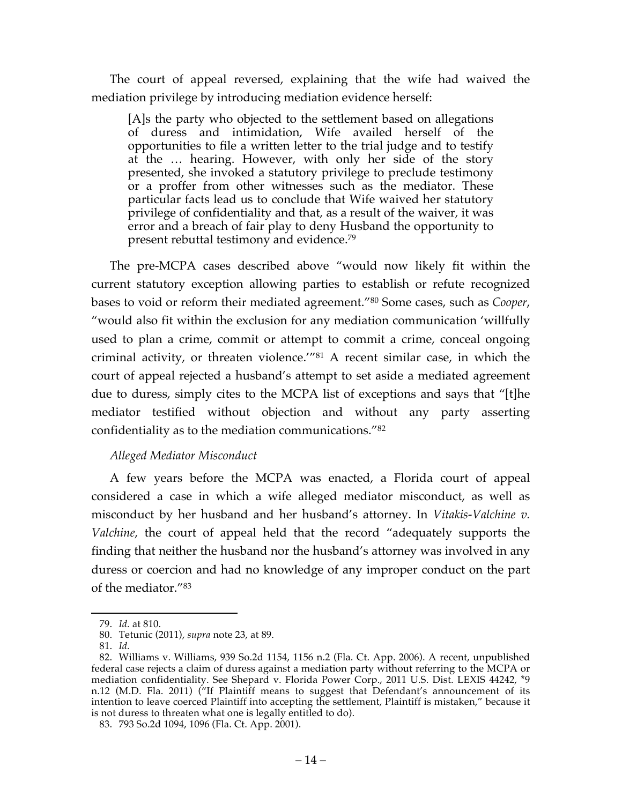The court of appeal reversed, explaining that the wife had waived the mediation privilege by introducing mediation evidence herself:

[A]s the party who objected to the settlement based on allegations of duress and intimidation, Wife availed herself of the opportunities to file a written letter to the trial judge and to testify at the … hearing. However, with only her side of the story presented, she invoked a statutory privilege to preclude testimony or a proffer from other witnesses such as the mediator. These particular facts lead us to conclude that Wife waived her statutory privilege of confidentiality and that, as a result of the waiver, it was error and a breach of fair play to deny Husband the opportunity to present rebuttal testimony and evidence.79

The pre-MCPA cases described above "would now likely fit within the current statutory exception allowing parties to establish or refute recognized bases to void or reform their mediated agreement."80 Some cases, such as *Cooper*, "would also fit within the exclusion for any mediation communication 'willfully used to plan a crime, commit or attempt to commit a crime, conceal ongoing criminal activity, or threaten violence.'"81 A recent similar case, in which the court of appeal rejected a husband's attempt to set aside a mediated agreement due to duress, simply cites to the MCPA list of exceptions and says that "[t]he mediator testified without objection and without any party asserting confidentiality as to the mediation communications."82

## *Alleged Mediator Misconduct*

A few years before the MCPA was enacted, a Florida court of appeal considered a case in which a wife alleged mediator misconduct, as well as misconduct by her husband and her husband's attorney. In *Vitakis-Valchine v. Valchine*, the court of appeal held that the record "adequately supports the finding that neither the husband nor the husband's attorney was involved in any duress or coercion and had no knowledge of any improper conduct on the part of the mediator."83

 <sup>79.</sup> *Id.* at 810.

<sup>80.</sup> Tetunic (2011), *supra* note 23, at 89.

<sup>81.</sup> *Id.*

<sup>82.</sup> Williams v. Williams, 939 So.2d 1154, 1156 n.2 (Fla. Ct. App. 2006). A recent, unpublished federal case rejects a claim of duress against a mediation party without referring to the MCPA or mediation confidentiality. See Shepard v. Florida Power Corp., 2011 U.S. Dist. LEXIS 44242, \*9 n.12 (M.D. Fla. 2011) ("If Plaintiff means to suggest that Defendant's announcement of its intention to leave coerced Plaintiff into accepting the settlement, Plaintiff is mistaken," because it is not duress to threaten what one is legally entitled to do).

<sup>83.</sup> 793 So.2d 1094, 1096 (Fla. Ct. App. 2001).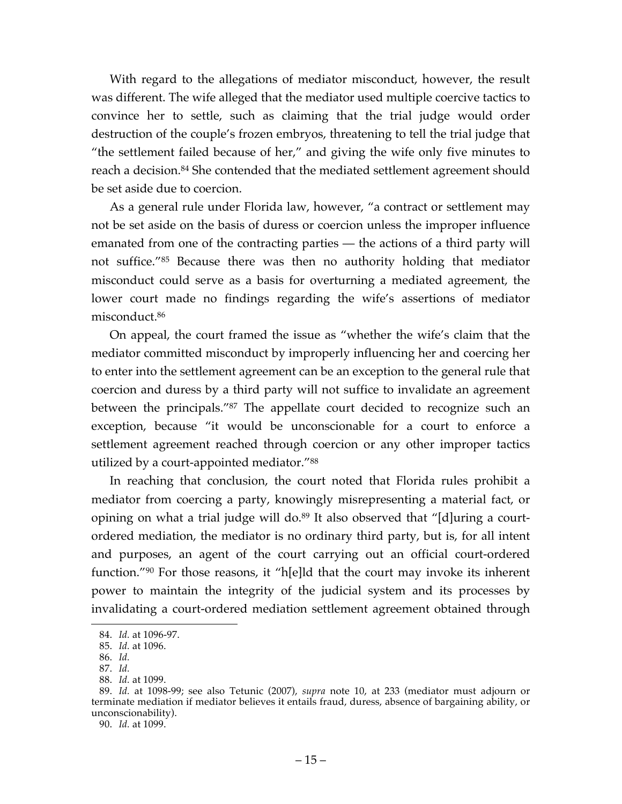With regard to the allegations of mediator misconduct, however, the result was different. The wife alleged that the mediator used multiple coercive tactics to convince her to settle, such as claiming that the trial judge would order destruction of the couple's frozen embryos, threatening to tell the trial judge that "the settlement failed because of her," and giving the wife only five minutes to reach a decision.<sup>84</sup> She contended that the mediated settlement agreement should be set aside due to coercion.

As a general rule under Florida law, however, "a contract or settlement may not be set aside on the basis of duress or coercion unless the improper influence emanated from one of the contracting parties — the actions of a third party will not suffice."85 Because there was then no authority holding that mediator misconduct could serve as a basis for overturning a mediated agreement, the lower court made no findings regarding the wife's assertions of mediator misconduct.86

On appeal, the court framed the issue as "whether the wife's claim that the mediator committed misconduct by improperly influencing her and coercing her to enter into the settlement agreement can be an exception to the general rule that coercion and duress by a third party will not suffice to invalidate an agreement between the principals."87 The appellate court decided to recognize such an exception, because "it would be unconscionable for a court to enforce a settlement agreement reached through coercion or any other improper tactics utilized by a court-appointed mediator."88

In reaching that conclusion, the court noted that Florida rules prohibit a mediator from coercing a party, knowingly misrepresenting a material fact, or opining on what a trial judge will do.<sup>89</sup> It also observed that "[d]uring a courtordered mediation, the mediator is no ordinary third party, but is, for all intent and purposes, an agent of the court carrying out an official court-ordered function."90 For those reasons, it "h[e]ld that the court may invoke its inherent power to maintain the integrity of the judicial system and its processes by invalidating a court-ordered mediation settlement agreement obtained through

 <sup>84.</sup> *Id.* at 1096-97.

<sup>85.</sup> *Id.* at 1096. 86. *Id.*

<sup>87.</sup> *Id.*

<sup>88.</sup> *Id.* at 1099.

<sup>89.</sup> *Id.* at 1098-99; see also Tetunic (2007), *supra* note 10, at 233 (mediator must adjourn or terminate mediation if mediator believes it entails fraud, duress, absence of bargaining ability, or unconscionability).

<sup>90.</sup> *Id.* at 1099.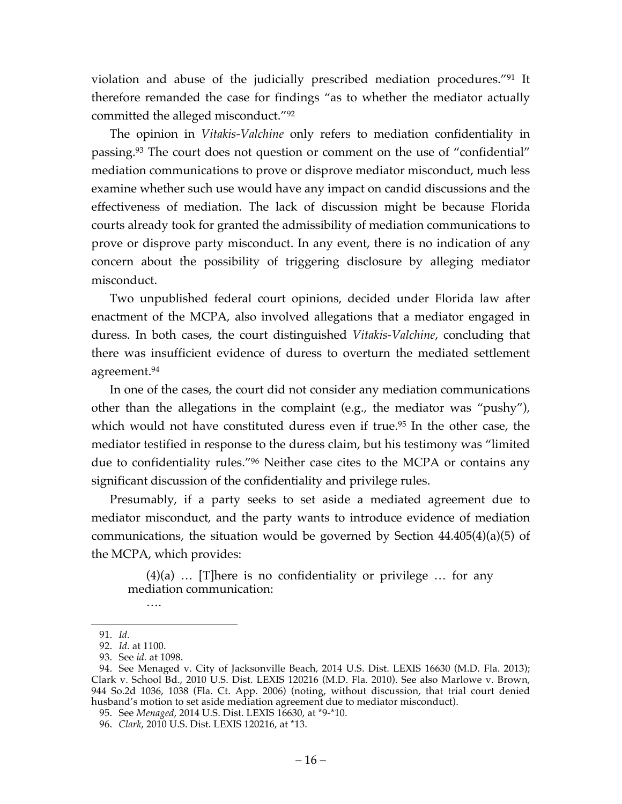violation and abuse of the judicially prescribed mediation procedures."91 It therefore remanded the case for findings "as to whether the mediator actually committed the alleged misconduct."92

The opinion in *Vitakis-Valchine* only refers to mediation confidentiality in passing.93 The court does not question or comment on the use of "confidential" mediation communications to prove or disprove mediator misconduct, much less examine whether such use would have any impact on candid discussions and the effectiveness of mediation. The lack of discussion might be because Florida courts already took for granted the admissibility of mediation communications to prove or disprove party misconduct. In any event, there is no indication of any concern about the possibility of triggering disclosure by alleging mediator misconduct.

Two unpublished federal court opinions, decided under Florida law after enactment of the MCPA, also involved allegations that a mediator engaged in duress. In both cases, the court distinguished *Vitakis-Valchine*, concluding that there was insufficient evidence of duress to overturn the mediated settlement agreement.94

In one of the cases, the court did not consider any mediation communications other than the allegations in the complaint (e.g., the mediator was "pushy"), which would not have constituted duress even if true.<sup>95</sup> In the other case, the mediator testified in response to the duress claim, but his testimony was "limited due to confidentiality rules."96 Neither case cites to the MCPA or contains any significant discussion of the confidentiality and privilege rules.

Presumably, if a party seeks to set aside a mediated agreement due to mediator misconduct, and the party wants to introduce evidence of mediation communications, the situation would be governed by Section 44.405(4)(a)(5) of the MCPA, which provides:

 $(4)(a)$  ... [T]here is no confidentiality or privilege ... for any mediation communication:

….

 <sup>91.</sup> *Id.*

<sup>92.</sup> *Id.* at 1100.

<sup>93.</sup> See *id.* at 1098.

<sup>94.</sup> See Menaged v. City of Jacksonville Beach, 2014 U.S. Dist. LEXIS 16630 (M.D. Fla. 2013); Clark v. School Bd., 2010 U.S. Dist. LEXIS 120216 (M.D. Fla. 2010). See also Marlowe v. Brown, 944 So.2d 1036, 1038 (Fla. Ct. App. 2006) (noting, without discussion, that trial court denied husband's motion to set aside mediation agreement due to mediator misconduct).

<sup>95.</sup> See *Menaged*, 2014 U.S. Dist. LEXIS 16630, at \*9-\*10.

<sup>96.</sup> *Clark*, 2010 U.S. Dist. LEXIS 120216, at \*13.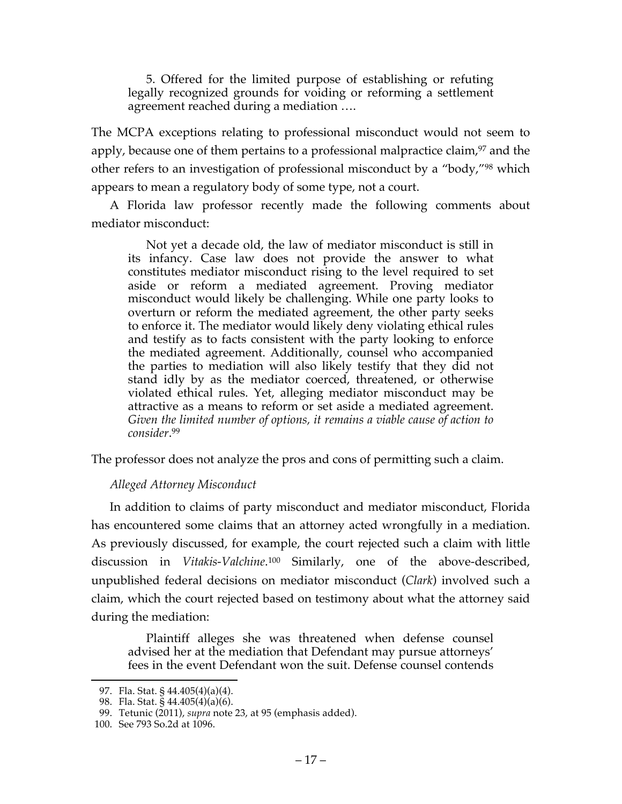5. Offered for the limited purpose of establishing or refuting legally recognized grounds for voiding or reforming a settlement agreement reached during a mediation ….

The MCPA exceptions relating to professional misconduct would not seem to apply, because one of them pertains to a professional malpractice claim, <sup>97</sup> and the other refers to an investigation of professional misconduct by a "body,"98 which appears to mean a regulatory body of some type, not a court.

A Florida law professor recently made the following comments about mediator misconduct:

Not yet a decade old, the law of mediator misconduct is still in its infancy. Case law does not provide the answer to what constitutes mediator misconduct rising to the level required to set aside or reform a mediated agreement. Proving mediator misconduct would likely be challenging. While one party looks to overturn or reform the mediated agreement, the other party seeks to enforce it. The mediator would likely deny violating ethical rules and testify as to facts consistent with the party looking to enforce the mediated agreement. Additionally, counsel who accompanied the parties to mediation will also likely testify that they did not stand idly by as the mediator coerced, threatened, or otherwise violated ethical rules. Yet, alleging mediator misconduct may be attractive as a means to reform or set aside a mediated agreement. *Given the limited number of options, it remains a viable cause of action to consider*. 99

The professor does not analyze the pros and cons of permitting such a claim.

## *Alleged Attorney Misconduct*

In addition to claims of party misconduct and mediator misconduct, Florida has encountered some claims that an attorney acted wrongfully in a mediation. As previously discussed, for example, the court rejected such a claim with little discussion in *Vitakis-Valchine*. <sup>100</sup> Similarly, one of the above-described, unpublished federal decisions on mediator misconduct (*Clark*) involved such a claim, which the court rejected based on testimony about what the attorney said during the mediation:

Plaintiff alleges she was threatened when defense counsel advised her at the mediation that Defendant may pursue attorneys' fees in the event Defendant won the suit. Defense counsel contends

 <sup>97.</sup> Fla. Stat. § 44.405(4)(a)(4).

<sup>98.</sup> Fla. Stat. § 44.405(4)(a)(6).

<sup>99.</sup> Tetunic (2011), *supra* note 23, at 95 (emphasis added).

<sup>100.</sup> See 793 So.2d at 1096.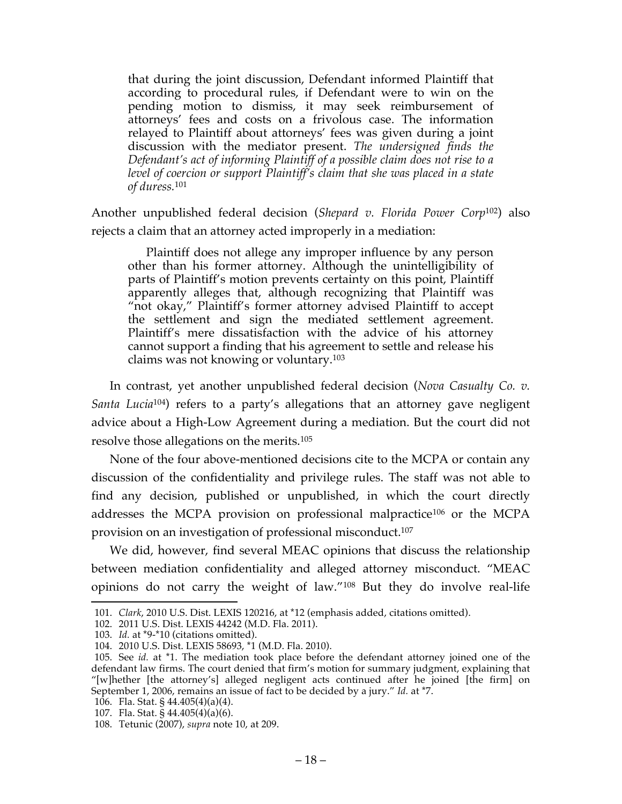that during the joint discussion, Defendant informed Plaintiff that according to procedural rules, if Defendant were to win on the pending motion to dismiss, it may seek reimbursement of attorneys' fees and costs on a frivolous case. The information relayed to Plaintiff about attorneys' fees was given during a joint discussion with the mediator present. *The undersigned finds the Defendant's act of informing Plaintiff of a possible claim does not rise to a level of coercion or support Plaintiff's claim that she was placed in a state of duress.*<sup>101</sup>

Another unpublished federal decision (*Shepard v. Florida Power Corp*102) also rejects a claim that an attorney acted improperly in a mediation:

Plaintiff does not allege any improper influence by any person other than his former attorney. Although the unintelligibility of parts of Plaintiff's motion prevents certainty on this point, Plaintiff apparently alleges that, although recognizing that Plaintiff was "not okay," Plaintiff's former attorney advised Plaintiff to accept the settlement and sign the mediated settlement agreement. Plaintiff's mere dissatisfaction with the advice of his attorney cannot support a finding that his agreement to settle and release his claims was not knowing or voluntary.103

In contrast, yet another unpublished federal decision (*Nova Casualty Co. v. Santa Lucia*104) refers to a party's allegations that an attorney gave negligent advice about a High-Low Agreement during a mediation. But the court did not resolve those allegations on the merits.105

None of the four above-mentioned decisions cite to the MCPA or contain any discussion of the confidentiality and privilege rules. The staff was not able to find any decision, published or unpublished, in which the court directly addresses the MCPA provision on professional malpractice106 or the MCPA provision on an investigation of professional misconduct. 107

We did, however, find several MEAC opinions that discuss the relationship between mediation confidentiality and alleged attorney misconduct. "MEAC opinions do not carry the weight of law."108 But they do involve real-life

 <sup>101.</sup> *Clark*, 2010 U.S. Dist. LEXIS 120216, at \*12 (emphasis added, citations omitted).

<sup>102.</sup> 2011 U.S. Dist. LEXIS 44242 (M.D. Fla. 2011).

<sup>103.</sup> *Id.* at \*9-\*10 (citations omitted).

<sup>104.</sup> 2010 U.S. Dist. LEXIS 58693, \*1 (M.D. Fla. 2010).

<sup>105.</sup> See *id.* at \*1. The mediation took place before the defendant attorney joined one of the defendant law firms. The court denied that firm's motion for summary judgment, explaining that "[w]hether [the attorney's] alleged negligent acts continued after he joined [the firm] on September 1, 2006, remains an issue of fact to be decided by a jury." *Id.* at \*7.

<sup>106.</sup> Fla. Stat. §  $44.405(4)(a)(4)$ .

<sup>107.</sup> Fla. Stat. § 44.405(4)(a)(6).

<sup>108.</sup> Tetunic (2007), *supra* note 10, at 209.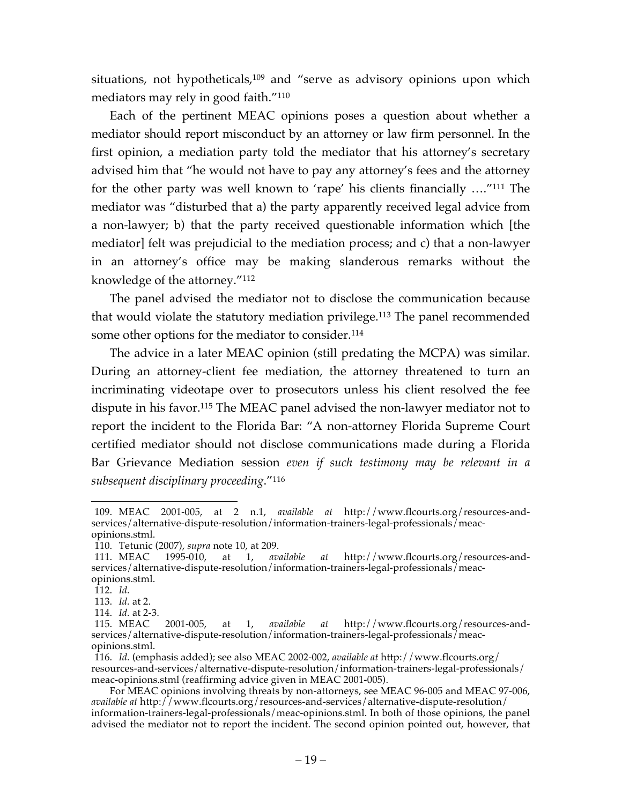situations, not hypotheticals,<sup>109</sup> and "serve as advisory opinions upon which mediators may rely in good faith."110

Each of the pertinent MEAC opinions poses a question about whether a mediator should report misconduct by an attorney or law firm personnel. In the first opinion, a mediation party told the mediator that his attorney's secretary advised him that "he would not have to pay any attorney's fees and the attorney for the other party was well known to 'rape' his clients financially …."111 The mediator was "disturbed that a) the party apparently received legal advice from a non-lawyer; b) that the party received questionable information which [the mediator] felt was prejudicial to the mediation process; and c) that a non-lawyer in an attorney's office may be making slanderous remarks without the knowledge of the attorney."112

The panel advised the mediator not to disclose the communication because that would violate the statutory mediation privilege.113 The panel recommended some other options for the mediator to consider.<sup>114</sup>

The advice in a later MEAC opinion (still predating the MCPA) was similar. During an attorney-client fee mediation, the attorney threatened to turn an incriminating videotape over to prosecutors unless his client resolved the fee dispute in his favor.115 The MEAC panel advised the non-lawyer mediator not to report the incident to the Florida Bar: "A non-attorney Florida Supreme Court certified mediator should not disclose communications made during a Florida Bar Grievance Mediation session *even if such testimony may be relevant in a subsequent disciplinary proceeding*."116

 <sup>109.</sup> MEAC 2001-005, at 2 n.1, *available at* http://www.flcourts.org/resources-andservices/alternative-dispute-resolution/information-trainers-legal-professionals/meacopinions.stml.

<sup>110.</sup> Tetunic (2007), *supra* note 10, at 209.

<sup>111.</sup> MEAC 1995-010, at 1, *available at* http://www.flcourts.org/resources-andservices/alternative-dispute-resolution/information-trainers-legal-professionals/meacopinions.stml.

<sup>112.</sup> *Id.*

<sup>113.</sup> *Id.* at 2.

<sup>114.</sup> *Id.* at 2-3.

<sup>115.</sup> MEAC 2001-005, at 1, *available at* http://www.flcourts.org/resources-andservices/alternative-dispute-resolution/information-trainers-legal-professionals/meacopinions.stml.

<sup>116.</sup> *Id.* (emphasis added); see also MEAC 2002-002, *available at* http://www.flcourts.org/ resources-and-services/alternative-dispute-resolution/information-trainers-legal-professionals/ meac-opinions.stml (reaffirming advice given in MEAC 2001-005).

For MEAC opinions involving threats by non-attorneys, see MEAC 96-005 and MEAC 97-006, *available at* http://www.flcourts.org/resources-and-services/alternative-dispute-resolution/ information-trainers-legal-professionals/meac-opinions.stml. In both of those opinions, the panel advised the mediator not to report the incident. The second opinion pointed out, however, that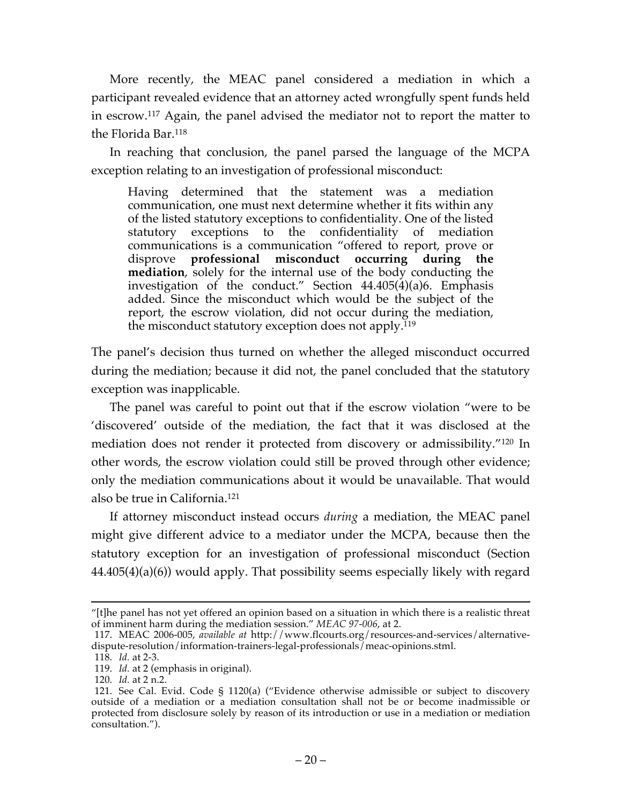More recently, the MEAC panel considered a mediation in which a participant revealed evidence that an attorney acted wrongfully spent funds held in escrow. <sup>117</sup> Again, the panel advised the mediator not to report the matter to the Florida Bar.118

In reaching that conclusion, the panel parsed the language of the MCPA exception relating to an investigation of professional misconduct:

Having determined that the statement was a mediation communication, one must next determine whether it fits within any of the listed statutory exceptions to confidentiality. One of the listed statutory exceptions to the confidentiality of mediation communications is a communication "offered to report, prove or disprove **professional misconduct occurring during the mediation**, solely for the internal use of the body conducting the investigation of the conduct." Section  $44.405(\dot{4})$ (a)6. Emphasis added. Since the misconduct which would be the subject of the report, the escrow violation, did not occur during the mediation, the misconduct statutory exception does not apply.<sup>119</sup>

The panel's decision thus turned on whether the alleged misconduct occurred during the mediation; because it did not, the panel concluded that the statutory exception was inapplicable.

The panel was careful to point out that if the escrow violation "were to be 'discovered' outside of the mediation, the fact that it was disclosed at the mediation does not render it protected from discovery or admissibility."120 In other words, the escrow violation could still be proved through other evidence; only the mediation communications about it would be unavailable. That would also be true in California.121

If attorney misconduct instead occurs *during* a mediation, the MEAC panel might give different advice to a mediator under the MCPA, because then the statutory exception for an investigation of professional misconduct (Section 44.405(4)(a)(6)) would apply. That possibility seems especially likely with regard

 <sup>&</sup>quot;[t]he panel has not yet offered an opinion based on a situation in which there is a realistic threat of imminent harm during the mediation session." *MEAC 97-006*, at 2.

<sup>117.</sup> MEAC 2006-005, *available at* http://www.flcourts.org/resources-and-services/alternativedispute-resolution/information-trainers-legal-professionals/meac-opinions.stml.

<sup>118.</sup> *Id.* at 2-3.

<sup>119.</sup> *Id.* at 2 (emphasis in original).

<sup>120.</sup> *Id.* at 2 n.2.

<sup>121.</sup> See Cal. Evid. Code § 1120(a) ("Evidence otherwise admissible or subject to discovery outside of a mediation or a mediation consultation shall not be or become inadmissible or protected from disclosure solely by reason of its introduction or use in a mediation or mediation consultation.").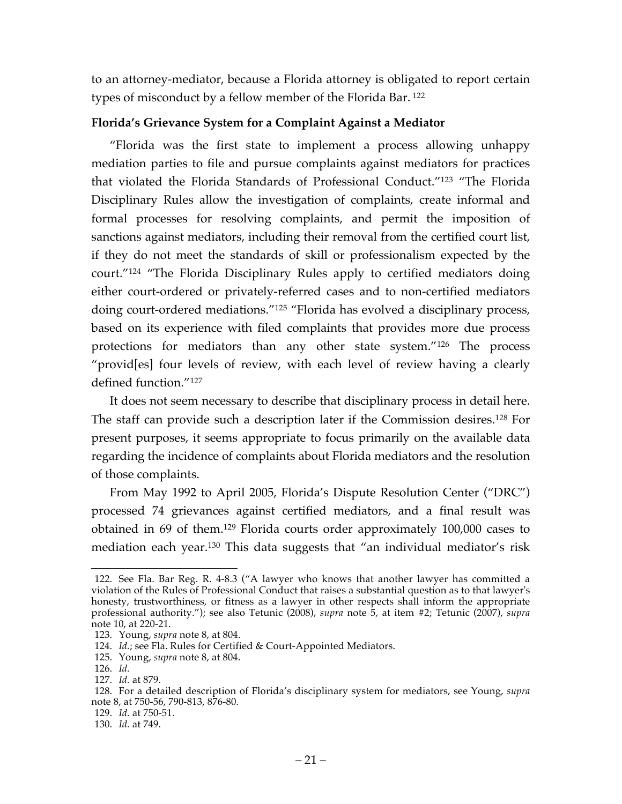to an attorney-mediator, because a Florida attorney is obligated to report certain types of misconduct by a fellow member of the Florida Bar. <sup>122</sup>

## **Florida's Grievance System for a Complaint Against a Mediator**

"Florida was the first state to implement a process allowing unhappy mediation parties to file and pursue complaints against mediators for practices that violated the Florida Standards of Professional Conduct."123 "The Florida Disciplinary Rules allow the investigation of complaints, create informal and formal processes for resolving complaints, and permit the imposition of sanctions against mediators, including their removal from the certified court list, if they do not meet the standards of skill or professionalism expected by the court."124 "The Florida Disciplinary Rules apply to certified mediators doing either court-ordered or privately-referred cases and to non-certified mediators doing court-ordered mediations."125 "Florida has evolved a disciplinary process, based on its experience with filed complaints that provides more due process protections for mediators than any other state system."126 The process "provid[es] four levels of review, with each level of review having a clearly defined function."127

It does not seem necessary to describe that disciplinary process in detail here. The staff can provide such a description later if the Commission desires.128 For present purposes, it seems appropriate to focus primarily on the available data regarding the incidence of complaints about Florida mediators and the resolution of those complaints.

From May 1992 to April 2005, Florida's Dispute Resolution Center ("DRC") processed 74 grievances against certified mediators, and a final result was obtained in 69 of them. <sup>129</sup> Florida courts order approximately 100,000 cases to mediation each year.130 This data suggests that "an individual mediator's risk

 <sup>122.</sup> See Fla. Bar Reg. R. 4-8.3 ("A lawyer who knows that another lawyer has committed a violation of the Rules of Professional Conduct that raises a substantial question as to that lawyer's honesty, trustworthiness, or fitness as a lawyer in other respects shall inform the appropriate professional authority."); see also Tetunic (2008), *supra* note 5, at item #2; Tetunic (2007), *supra* note 10, at 220-21.

<sup>123.</sup> Young, *supra* note 8, at 804.

<sup>124.</sup> *Id.*; see Fla. Rules for Certified & Court-Appointed Mediators.

<sup>125.</sup> Young, *supra* note 8, at 804.

<sup>126.</sup> *Id.*

<sup>127.</sup> *Id.* at 879.

<sup>128.</sup> For a detailed description of Florida's disciplinary system for mediators, see Young, *supra*  note 8, at 750-56, 790-813, 876-80.

<sup>129.</sup> *Id.* at 750-51.

<sup>130.</sup> *Id.* at 749.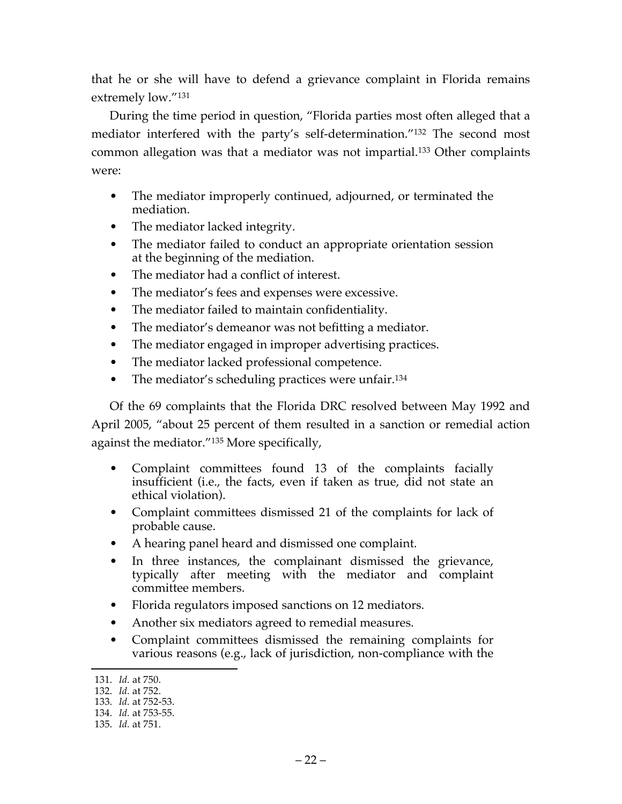that he or she will have to defend a grievance complaint in Florida remains extremely low."131

During the time period in question, "Florida parties most often alleged that a mediator interfered with the party's self-determination."132 The second most common allegation was that a mediator was not impartial.133 Other complaints were:

- The mediator improperly continued, adjourned, or terminated the mediation.
- The mediator lacked integrity.
- The mediator failed to conduct an appropriate orientation session at the beginning of the mediation.
- The mediator had a conflict of interest.
- The mediator's fees and expenses were excessive.
- The mediator failed to maintain confidentiality.
- The mediator's demeanor was not befitting a mediator.
- The mediator engaged in improper advertising practices.
- The mediator lacked professional competence.
- The mediator's scheduling practices were unfair.<sup>134</sup>

Of the 69 complaints that the Florida DRC resolved between May 1992 and April 2005, "about 25 percent of them resulted in a sanction or remedial action against the mediator."135 More specifically,

- Complaint committees found 13 of the complaints facially insufficient (i.e., the facts, even if taken as true, did not state an ethical violation).
- Complaint committees dismissed 21 of the complaints for lack of probable cause.
- A hearing panel heard and dismissed one complaint.
- In three instances, the complainant dismissed the grievance, typically after meeting with the mediator and complaint committee members.
- Florida regulators imposed sanctions on 12 mediators.
- Another six mediators agreed to remedial measures.
- Complaint committees dismissed the remaining complaints for various reasons (e.g., lack of jurisdiction, non-compliance with the

 <sup>131.</sup> *Id.* at 750.

<sup>132.</sup> *Id.* at 752.

<sup>133.</sup> *Id.* at 752-53.

<sup>134.</sup> *Id.* at 753-55.

<sup>135.</sup> *Id.* at 751.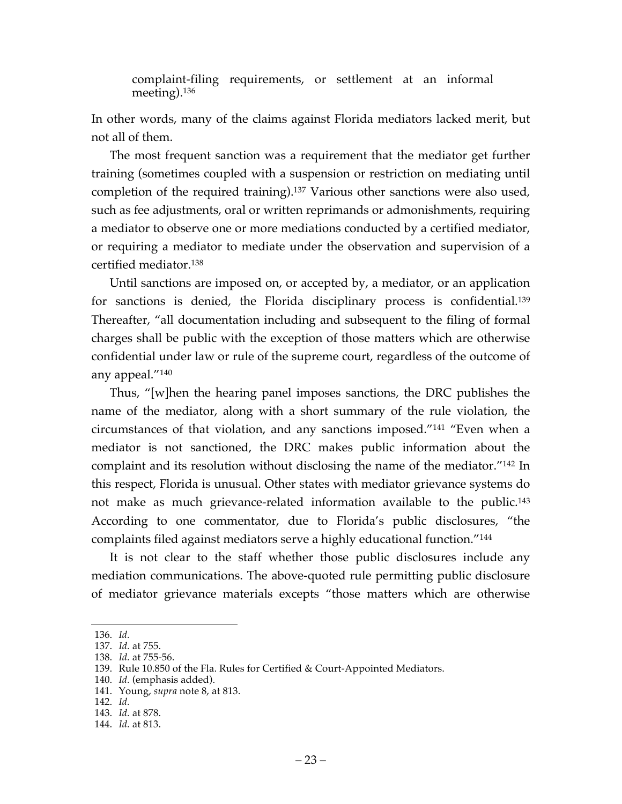complaint-filing requirements, or settlement at an informal meeting).136

In other words, many of the claims against Florida mediators lacked merit, but not all of them.

The most frequent sanction was a requirement that the mediator get further training (sometimes coupled with a suspension or restriction on mediating until completion of the required training).137 Various other sanctions were also used, such as fee adjustments, oral or written reprimands or admonishments, requiring a mediator to observe one or more mediations conducted by a certified mediator, or requiring a mediator to mediate under the observation and supervision of a certified mediator.138

Until sanctions are imposed on, or accepted by, a mediator, or an application for sanctions is denied, the Florida disciplinary process is confidential.139 Thereafter, "all documentation including and subsequent to the filing of formal charges shall be public with the exception of those matters which are otherwise confidential under law or rule of the supreme court, regardless of the outcome of any appeal."140

Thus, "[w]hen the hearing panel imposes sanctions, the DRC publishes the name of the mediator, along with a short summary of the rule violation, the circumstances of that violation, and any sanctions imposed."141 "Even when a mediator is not sanctioned, the DRC makes public information about the complaint and its resolution without disclosing the name of the mediator."142 In this respect, Florida is unusual. Other states with mediator grievance systems do not make as much grievance-related information available to the public.<sup>143</sup> According to one commentator, due to Florida's public disclosures, "the complaints filed against mediators serve a highly educational function."144

It is not clear to the staff whether those public disclosures include any mediation communications. The above-quoted rule permitting public disclosure of mediator grievance materials excepts "those matters which are otherwise

 <sup>136.</sup> *Id.*

<sup>137.</sup> *Id.* at 755.

<sup>138.</sup> *Id.* at 755-56.

<sup>139.</sup> Rule 10.850 of the Fla. Rules for Certified & Court-Appointed Mediators.

<sup>140.</sup> *Id.* (emphasis added).

<sup>141.</sup> Young, *supra* note 8, at 813.

<sup>142.</sup> *Id.*

<sup>143.</sup> *Id.* at 878.

<sup>144.</sup> *Id.* at 813.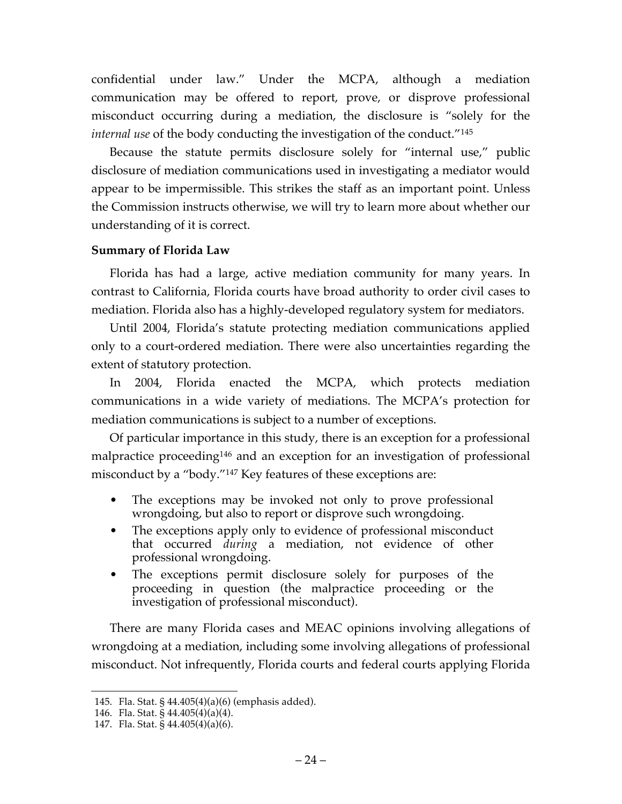confidential under law." Under the MCPA, although a mediation communication may be offered to report, prove, or disprove professional misconduct occurring during a mediation, the disclosure is "solely for the *internal use* of the body conducting the investigation of the conduct."145

Because the statute permits disclosure solely for "internal use," public disclosure of mediation communications used in investigating a mediator would appear to be impermissible. This strikes the staff as an important point. Unless the Commission instructs otherwise, we will try to learn more about whether our understanding of it is correct.

## **Summary of Florida Law**

Florida has had a large, active mediation community for many years. In contrast to California, Florida courts have broad authority to order civil cases to mediation. Florida also has a highly-developed regulatory system for mediators.

Until 2004, Florida's statute protecting mediation communications applied only to a court-ordered mediation. There were also uncertainties regarding the extent of statutory protection.

In 2004, Florida enacted the MCPA, which protects mediation communications in a wide variety of mediations. The MCPA's protection for mediation communications is subject to a number of exceptions.

Of particular importance in this study, there is an exception for a professional malpractice proceeding<sup>146</sup> and an exception for an investigation of professional misconduct by a "body."147 Key features of these exceptions are:

- The exceptions may be invoked not only to prove professional wrongdoing, but also to report or disprove such wrongdoing.
- The exceptions apply only to evidence of professional misconduct that occurred *during* a mediation, not evidence of other professional wrongdoing.
- The exceptions permit disclosure solely for purposes of the proceeding in question (the malpractice proceeding or the investigation of professional misconduct).

There are many Florida cases and MEAC opinions involving allegations of wrongdoing at a mediation, including some involving allegations of professional misconduct. Not infrequently, Florida courts and federal courts applying Florida

 <sup>145.</sup> Fla. Stat. § 44.405(4)(a)(6) (emphasis added).

<sup>146.</sup> Fla. Stat. § 44.405(4)(a)(4).

<sup>147.</sup> Fla. Stat. § 44.405(4)(a)(6).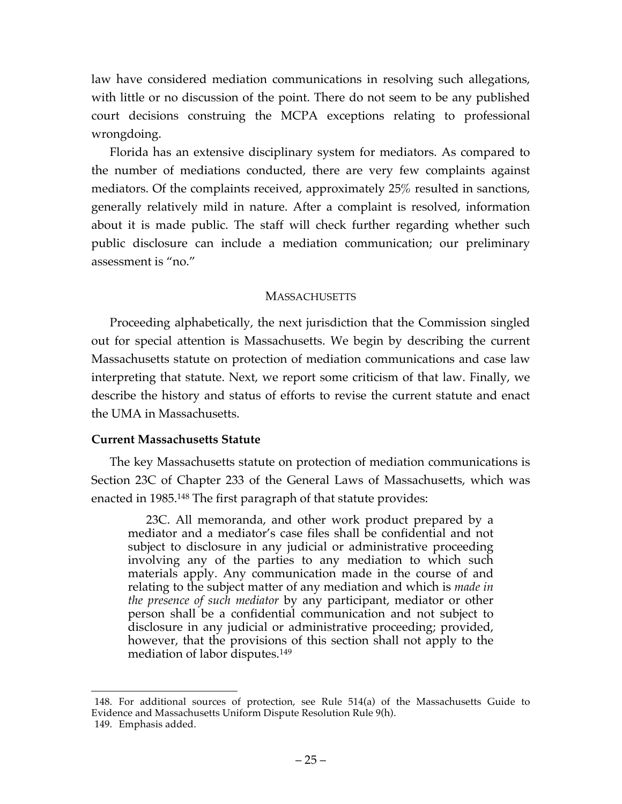law have considered mediation communications in resolving such allegations, with little or no discussion of the point. There do not seem to be any published court decisions construing the MCPA exceptions relating to professional wrongdoing.

Florida has an extensive disciplinary system for mediators. As compared to the number of mediations conducted, there are very few complaints against mediators. Of the complaints received, approximately 25% resulted in sanctions, generally relatively mild in nature. After a complaint is resolved, information about it is made public. The staff will check further regarding whether such public disclosure can include a mediation communication; our preliminary assessment is "no."

## **MASSACHUSETTS**

Proceeding alphabetically, the next jurisdiction that the Commission singled out for special attention is Massachusetts. We begin by describing the current Massachusetts statute on protection of mediation communications and case law interpreting that statute. Next, we report some criticism of that law. Finally, we describe the history and status of efforts to revise the current statute and enact the UMA in Massachusetts.

### **Current Massachusetts Statute**

The key Massachusetts statute on protection of mediation communications is Section 23C of Chapter 233 of the General Laws of Massachusetts, which was enacted in 1985.148 The first paragraph of that statute provides:

23C. All memoranda, and other work product prepared by a mediator and a mediator's case files shall be confidential and not subject to disclosure in any judicial or administrative proceeding involving any of the parties to any mediation to which such materials apply. Any communication made in the course of and relating to the subject matter of any mediation and which is *made in the presence of such mediator* by any participant, mediator or other person shall be a confidential communication and not subject to disclosure in any judicial or administrative proceeding; provided, however, that the provisions of this section shall not apply to the mediation of labor disputes.149

 <sup>148.</sup> For additional sources of protection, see Rule 514(a) of the Massachusetts Guide to Evidence and Massachusetts Uniform Dispute Resolution Rule 9(h). 149. Emphasis added.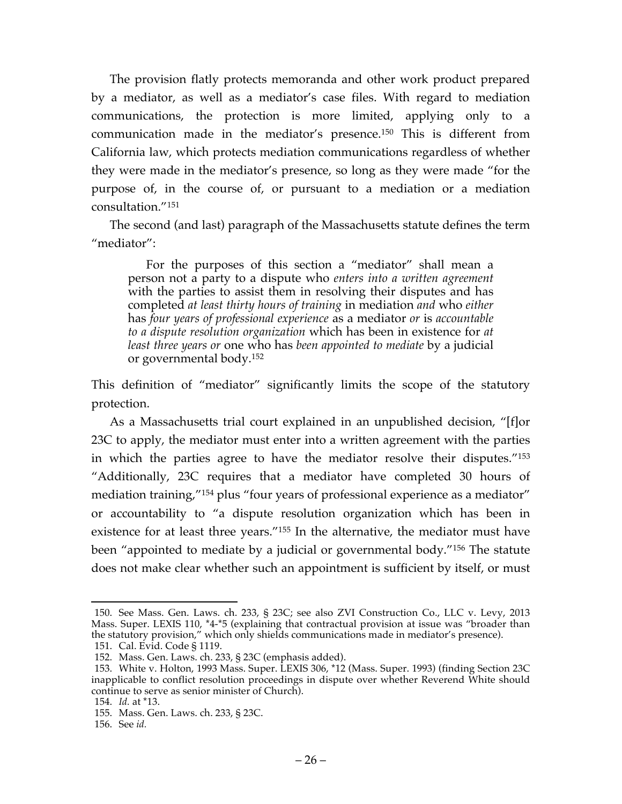The provision flatly protects memoranda and other work product prepared by a mediator, as well as a mediator's case files. With regard to mediation communications, the protection is more limited, applying only to a communication made in the mediator's presence.150 This is different from California law, which protects mediation communications regardless of whether they were made in the mediator's presence, so long as they were made "for the purpose of, in the course of, or pursuant to a mediation or a mediation consultation."151

The second (and last) paragraph of the Massachusetts statute defines the term "mediator":

For the purposes of this section a "mediator" shall mean a person not a party to a dispute who *enters into a written agreement* with the parties to assist them in resolving their disputes and has completed *at least thirty hours of training* in mediation *and* who *either* has *four years of professional experience* as a mediator *or* is *accountable to a dispute resolution organization* which has been in existence for *at least three years or* one who has *been appointed to mediate* by a judicial or governmental body.152

This definition of "mediator" significantly limits the scope of the statutory protection.

As a Massachusetts trial court explained in an unpublished decision, "[f]or 23C to apply, the mediator must enter into a written agreement with the parties in which the parties agree to have the mediator resolve their disputes."153 "Additionally, 23C requires that a mediator have completed 30 hours of mediation training,"<sup>154</sup> plus "four years of professional experience as a mediator" or accountability to "a dispute resolution organization which has been in existence for at least three years."155 In the alternative, the mediator must have been "appointed to mediate by a judicial or governmental body."156 The statute does not make clear whether such an appointment is sufficient by itself, or must

 <sup>150.</sup> See Mass. Gen. Laws. ch. 233, § 23C; see also ZVI Construction Co., LLC v. Levy, 2013 Mass. Super. LEXIS 110, \*4-\*5 (explaining that contractual provision at issue was "broader than the statutory provision," which only shields communications made in mediator's presence).

<sup>151.</sup> Cal. Evid. Code § 1119.

<sup>152.</sup> Mass. Gen. Laws. ch. 233, § 23C (emphasis added).

<sup>153.</sup> White v. Holton, 1993 Mass. Super. LEXIS 306, \*12 (Mass. Super. 1993) (finding Section 23C inapplicable to conflict resolution proceedings in dispute over whether Reverend White should continue to serve as senior minister of Church).

<sup>154.</sup> *Id.* at \*13.

<sup>155.</sup> Mass. Gen. Laws. ch. 233, § 23C.

<sup>156.</sup> See *id.*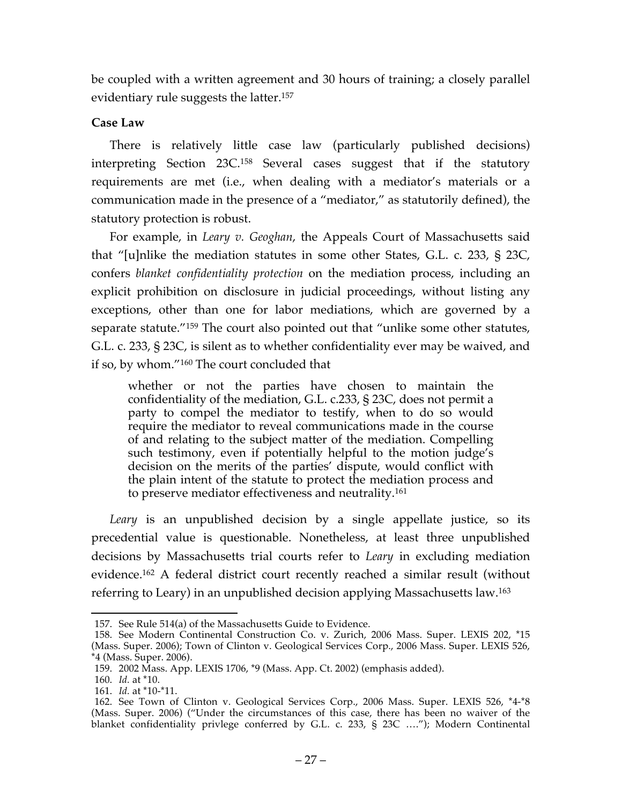be coupled with a written agreement and 30 hours of training; a closely parallel evidentiary rule suggests the latter. 157

## **Case Law**

There is relatively little case law (particularly published decisions) interpreting Section 23C.158 Several cases suggest that if the statutory requirements are met (i.e., when dealing with a mediator's materials or a communication made in the presence of a "mediator," as statutorily defined), the statutory protection is robust.

For example, in *Leary v. Geoghan*, the Appeals Court of Massachusetts said that "[u]nlike the mediation statutes in some other States, G.L. c. 233, § 23C, confers *blanket confidentiality protection* on the mediation process, including an explicit prohibition on disclosure in judicial proceedings, without listing any exceptions, other than one for labor mediations, which are governed by a separate statute."159 The court also pointed out that "unlike some other statutes, G.L. c. 233, § 23C, is silent as to whether confidentiality ever may be waived, and if so, by whom."160 The court concluded that

whether or not the parties have chosen to maintain the confidentiality of the mediation, G.L. c.233, § 23C, does not permit a party to compel the mediator to testify, when to do so would require the mediator to reveal communications made in the course of and relating to the subject matter of the mediation. Compelling such testimony, even if potentially helpful to the motion judge's decision on the merits of the parties' dispute, would conflict with the plain intent of the statute to protect the mediation process and to preserve mediator effectiveness and neutrality.<sup>161</sup>

*Leary* is an unpublished decision by a single appellate justice, so its precedential value is questionable. Nonetheless, at least three unpublished decisions by Massachusetts trial courts refer to *Leary* in excluding mediation evidence. <sup>162</sup> A federal district court recently reached a similar result (without referring to Leary) in an unpublished decision applying Massachusetts law.163

 <sup>157.</sup> See Rule 514(a) of the Massachusetts Guide to Evidence.

<sup>158.</sup> See Modern Continental Construction Co. v. Zurich, 2006 Mass. Super. LEXIS 202, \*15 (Mass. Super. 2006); Town of Clinton v. Geological Services Corp., 2006 Mass. Super. LEXIS 526, \*4 (Mass. Super. 2006).

<sup>159.</sup> 2002 Mass. App. LEXIS 1706, \*9 (Mass. App. Ct. 2002) (emphasis added).

<sup>160.</sup> *Id.* at \*10.

<sup>161.</sup> *Id.* at \*10-\*11.

<sup>162.</sup> See Town of Clinton v. Geological Services Corp., 2006 Mass. Super. LEXIS 526, \*4-\*8 (Mass. Super. 2006) ("Under the circumstances of this case, there has been no waiver of the blanket confidentiality privlege conferred by G.L. c. 233, § 23C …."); Modern Continental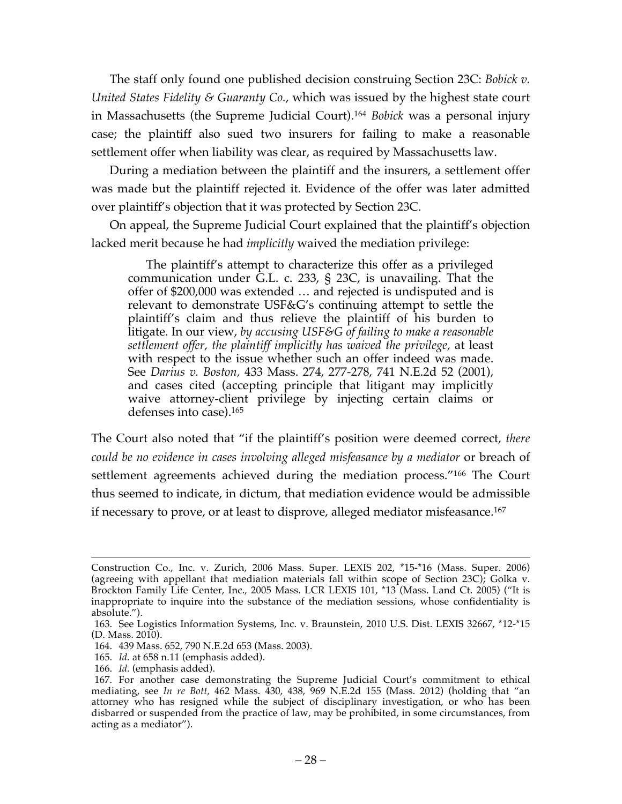The staff only found one published decision construing Section 23C: *Bobick v. United States Fidelity & Guaranty Co.*, which was issued by the highest state court in Massachusetts (the Supreme Judicial Court).164 *Bobick* was a personal injury case; the plaintiff also sued two insurers for failing to make a reasonable settlement offer when liability was clear, as required by Massachusetts law.

During a mediation between the plaintiff and the insurers, a settlement offer was made but the plaintiff rejected it. Evidence of the offer was later admitted over plaintiff's objection that it was protected by Section 23C.

On appeal, the Supreme Judicial Court explained that the plaintiff's objection lacked merit because he had *implicitly* waived the mediation privilege:

The plaintiff's attempt to characterize this offer as a privileged communication under G.L. c. 233, § 23C, is unavailing. That the offer of \$200,000 was extended … and rejected is undisputed and is relevant to demonstrate USF&G's continuing attempt to settle the plaintiff's claim and thus relieve the plaintiff of his burden to litigate. In our view, *by accusing USF&G of failing to make a reasonable settlement offer, the plaintiff implicitly has waived the privilege,* at least with respect to the issue whether such an offer indeed was made. See *Darius v. Boston,* 433 Mass. 274, 277-278, 741 N.E.2d 52 (2001), and cases cited (accepting principle that litigant may implicitly waive attorney-client privilege by injecting certain claims or defenses into case).165

The Court also noted that "if the plaintiff's position were deemed correct, *there could be no evidence in cases involving alleged misfeasance by a mediator* or breach of settlement agreements achieved during the mediation process."<sup>166</sup> The Court thus seemed to indicate, in dictum, that mediation evidence would be admissible if necessary to prove, or at least to disprove, alleged mediator misfeasance.<sup>167</sup>

Construction Co., Inc. v. Zurich, 2006 Mass. Super. LEXIS 202, \*15-\*16 (Mass. Super. 2006) (agreeing with appellant that mediation materials fall within scope of Section 23C); Golka v. Brockton Family Life Center, Inc., 2005 Mass. LCR LEXIS 101, \*13 (Mass. Land Ct. 2005) ("It is inappropriate to inquire into the substance of the mediation sessions, whose confidentiality is absolute.").

<sup>163.</sup> See Logistics Information Systems, Inc. v. Braunstein, 2010 U.S. Dist. LEXIS 32667, \*12-\*15 (D. Mass. 2010).

<sup>164.</sup> 439 Mass. 652, 790 N.E.2d 653 (Mass. 2003).

<sup>165.</sup> *Id.* at 658 n.11 (emphasis added).

<sup>166.</sup> *Id.* (emphasis added).

<sup>167.</sup> For another case demonstrating the Supreme Judicial Court's commitment to ethical mediating, see *In re Bott,* 462 Mass. 430, 438, 969 N.E.2d 155 (Mass. 2012) (holding that "an attorney who has resigned while the subject of disciplinary investigation, or who has been disbarred or suspended from the practice of law, may be prohibited, in some circumstances, from acting as a mediator").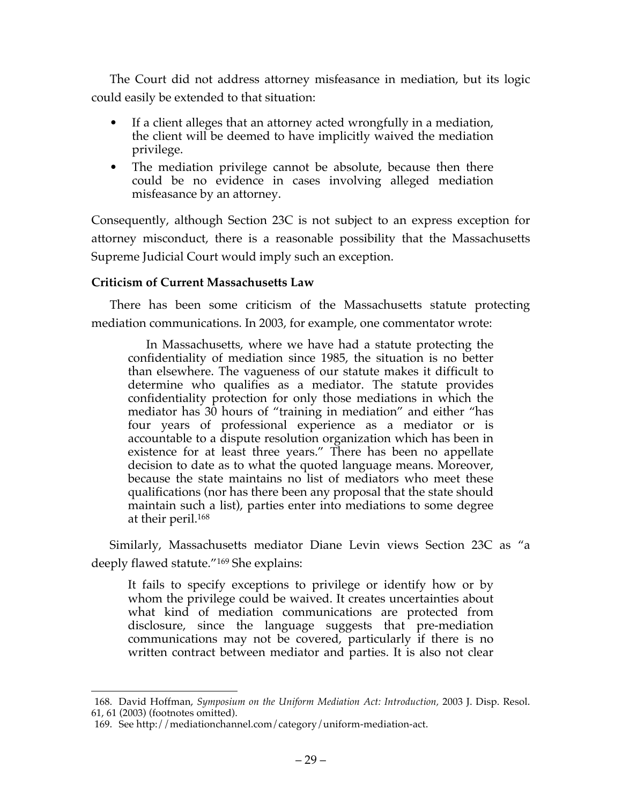The Court did not address attorney misfeasance in mediation, but its logic could easily be extended to that situation:

- If a client alleges that an attorney acted wrongfully in a mediation, the client will be deemed to have implicitly waived the mediation privilege.
- The mediation privilege cannot be absolute, because then there could be no evidence in cases involving alleged mediation misfeasance by an attorney.

Consequently, although Section 23C is not subject to an express exception for attorney misconduct, there is a reasonable possibility that the Massachusetts Supreme Judicial Court would imply such an exception.

## **Criticism of Current Massachusetts Law**

There has been some criticism of the Massachusetts statute protecting mediation communications. In 2003, for example, one commentator wrote:

In Massachusetts, where we have had a statute protecting the confidentiality of mediation since 1985, the situation is no better than elsewhere. The vagueness of our statute makes it difficult to determine who qualifies as a mediator. The statute provides confidentiality protection for only those mediations in which the mediator has 30 hours of "training in mediation" and either "has four years of professional experience as a mediator or is accountable to a dispute resolution organization which has been in existence for at least three years." There has been no appellate decision to date as to what the quoted language means. Moreover, because the state maintains no list of mediators who meet these qualifications (nor has there been any proposal that the state should maintain such a list), parties enter into mediations to some degree at their peril.168

Similarly, Massachusetts mediator Diane Levin views Section 23C as "a deeply flawed statute."169 She explains:

It fails to specify exceptions to privilege or identify how or by whom the privilege could be waived. It creates uncertainties about what kind of mediation communications are protected from disclosure, since the language suggests that pre-mediation communications may not be covered, particularly if there is no written contract between mediator and parties. It is also not clear

 <sup>168.</sup> David Hoffman, *Symposium on the Uniform Mediation Act: Introduction,* 2003 J. Disp. Resol. 61, 61 (2003) (footnotes omitted).

<sup>169.</sup> See http://mediationchannel.com/category/uniform-mediation-act.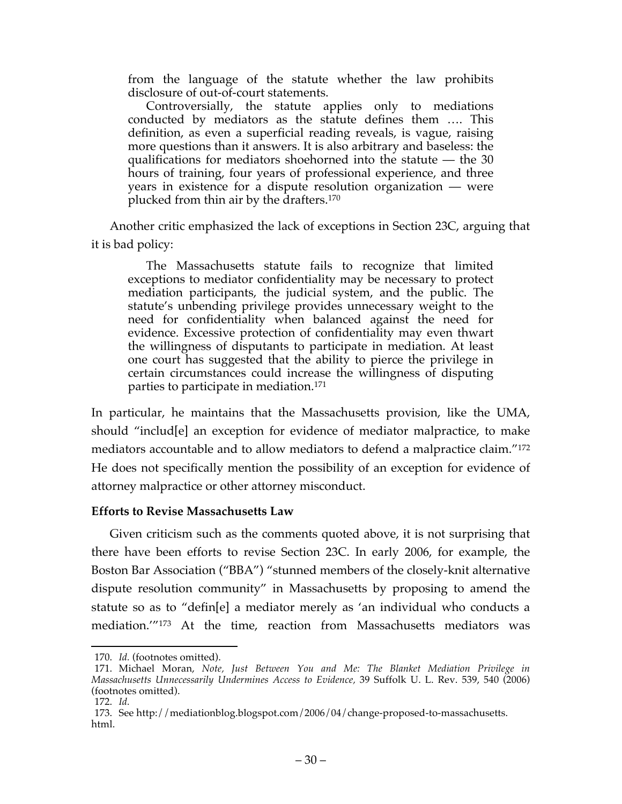from the language of the statute whether the law prohibits disclosure of out-of-court statements.

Controversially, the statute applies only to mediations conducted by mediators as the statute defines them …. This definition, as even a superficial reading reveals, is vague, raising more questions than it answers. It is also arbitrary and baseless: the qualifications for mediators shoehorned into the statute — the 30 hours of training, four years of professional experience, and three years in existence for a dispute resolution organization — were plucked from thin air by the drafters.170

Another critic emphasized the lack of exceptions in Section 23C, arguing that it is bad policy:

The Massachusetts statute fails to recognize that limited exceptions to mediator confidentiality may be necessary to protect mediation participants, the judicial system, and the public. The statute's unbending privilege provides unnecessary weight to the need for confidentiality when balanced against the need for evidence. Excessive protection of confidentiality may even thwart the willingness of disputants to participate in mediation. At least one court has suggested that the ability to pierce the privilege in certain circumstances could increase the willingness of disputing parties to participate in mediation.171

In particular, he maintains that the Massachusetts provision, like the UMA, should "includ[e] an exception for evidence of mediator malpractice, to make mediators accountable and to allow mediators to defend a malpractice claim."172 He does not specifically mention the possibility of an exception for evidence of attorney malpractice or other attorney misconduct.

#### **Efforts to Revise Massachusetts Law**

Given criticism such as the comments quoted above, it is not surprising that there have been efforts to revise Section 23C. In early 2006, for example, the Boston Bar Association ("BBA") "stunned members of the closely-knit alternative dispute resolution community" in Massachusetts by proposing to amend the statute so as to "defin[e] a mediator merely as 'an individual who conducts a mediation.'"173 At the time, reaction from Massachusetts mediators was

 <sup>170.</sup> *Id.* (footnotes omitted).

<sup>171.</sup> Michael Moran, *Note, Just Between You and Me: The Blanket Mediation Privilege in Massachusetts Unnecessarily Undermines Access to Evidence,* 39 Suffolk U. L. Rev. 539, 540 (2006) (footnotes omitted).

<sup>172.</sup> *Id.*

<sup>173.</sup> See http://mediationblog.blogspot.com/2006/04/change-proposed-to-massachusetts. html.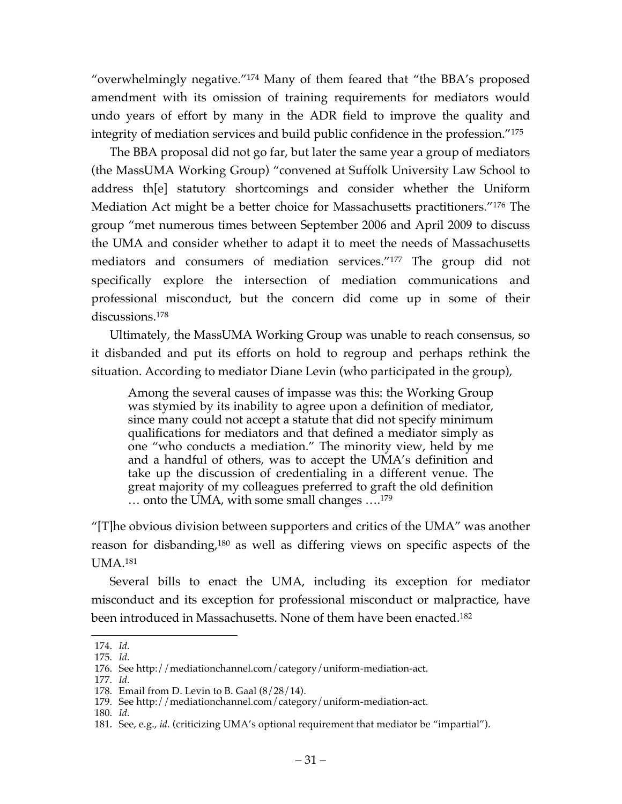"overwhelmingly negative."174 Many of them feared that "the BBA's proposed amendment with its omission of training requirements for mediators would undo years of effort by many in the ADR field to improve the quality and integrity of mediation services and build public confidence in the profession."175

The BBA proposal did not go far, but later the same year a group of mediators (the MassUMA Working Group) "convened at Suffolk University Law School to address th[e] statutory shortcomings and consider whether the Uniform Mediation Act might be a better choice for Massachusetts practitioners."176 The group "met numerous times between September 2006 and April 2009 to discuss the UMA and consider whether to adapt it to meet the needs of Massachusetts mediators and consumers of mediation services."177 The group did not specifically explore the intersection of mediation communications and professional misconduct, but the concern did come up in some of their discussions. 178

Ultimately, the MassUMA Working Group was unable to reach consensus, so it disbanded and put its efforts on hold to regroup and perhaps rethink the situation. According to mediator Diane Levin (who participated in the group),

Among the several causes of impasse was this: the Working Group was stymied by its inability to agree upon a definition of mediator, since many could not accept a statute that did not specify minimum qualifications for mediators and that defined a mediator simply as one "who conducts a mediation." The minority view, held by me and a handful of others, was to accept the UMA's definition and take up the discussion of credentialing in a different venue. The great majority of my colleagues preferred to graft the old definition … onto the UMA, with some small changes ….179

"[T]he obvious division between supporters and critics of the UMA" was another reason for disbanding,180 as well as differing views on specific aspects of the UMA.181

Several bills to enact the UMA, including its exception for mediator misconduct and its exception for professional misconduct or malpractice, have been introduced in Massachusetts. None of them have been enacted.182

 <sup>174.</sup> *Id.*

<sup>175.</sup> *Id.*

<sup>176.</sup> See http://mediationchannel.com/category/uniform-mediation-act.

<sup>177.</sup> *Id.*

<sup>178.</sup> Email from D. Levin to B. Gaal (8/28/14).

<sup>179.</sup> See http://mediationchannel.com/category/uniform-mediation-act.

<sup>180.</sup> *Id.*

<sup>181.</sup> See, e.g., *id.* (criticizing UMA's optional requirement that mediator be "impartial").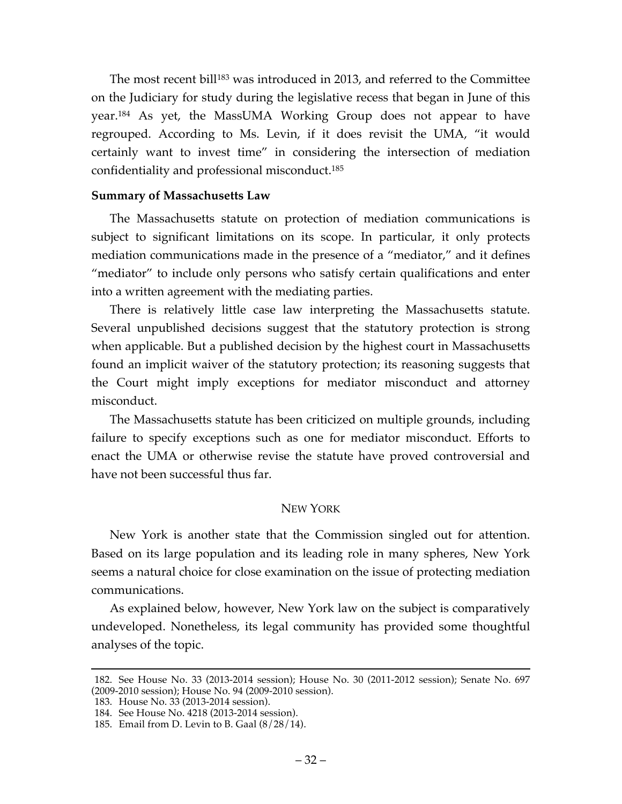The most recent bill<sup>183</sup> was introduced in 2013, and referred to the Committee on the Judiciary for study during the legislative recess that began in June of this year.184 As yet, the MassUMA Working Group does not appear to have regrouped. According to Ms. Levin, if it does revisit the UMA, "it would certainly want to invest time" in considering the intersection of mediation confidentiality and professional misconduct.185

### **Summary of Massachusetts Law**

The Massachusetts statute on protection of mediation communications is subject to significant limitations on its scope. In particular, it only protects mediation communications made in the presence of a "mediator," and it defines "mediator" to include only persons who satisfy certain qualifications and enter into a written agreement with the mediating parties.

There is relatively little case law interpreting the Massachusetts statute. Several unpublished decisions suggest that the statutory protection is strong when applicable. But a published decision by the highest court in Massachusetts found an implicit waiver of the statutory protection; its reasoning suggests that the Court might imply exceptions for mediator misconduct and attorney misconduct.

The Massachusetts statute has been criticized on multiple grounds, including failure to specify exceptions such as one for mediator misconduct. Efforts to enact the UMA or otherwise revise the statute have proved controversial and have not been successful thus far.

#### NEW YORK

New York is another state that the Commission singled out for attention. Based on its large population and its leading role in many spheres, New York seems a natural choice for close examination on the issue of protecting mediation communications.

As explained below, however, New York law on the subject is comparatively undeveloped. Nonetheless, its legal community has provided some thoughtful analyses of the topic.

 <sup>182.</sup> See House No. 33 (2013-2014 session); House No. 30 (2011-2012 session); Senate No. 697 (2009-2010 session); House No. 94 (2009-2010 session).

<sup>183.</sup> House No. 33 (2013-2014 session).

<sup>184.</sup> See House No. 4218 (2013-2014 session).

<sup>185.</sup> Email from D. Levin to B. Gaal (8/28/14).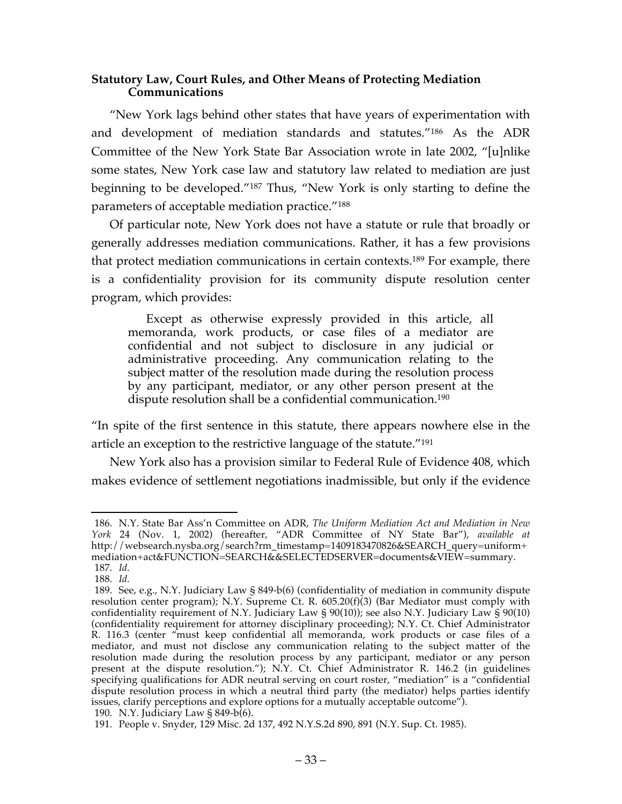### **Statutory Law, Court Rules, and Other Means of Protecting Mediation Communications**

"New York lags behind other states that have years of experimentation with and development of mediation standards and statutes."186 As the ADR Committee of the New York State Bar Association wrote in late 2002, "[u]nlike some states, New York case law and statutory law related to mediation are just beginning to be developed."187 Thus, "New York is only starting to define the parameters of acceptable mediation practice."188

Of particular note, New York does not have a statute or rule that broadly or generally addresses mediation communications. Rather, it has a few provisions that protect mediation communications in certain contexts.189 For example, there is a confidentiality provision for its community dispute resolution center program, which provides:

Except as otherwise expressly provided in this article, all memoranda, work products, or case files of a mediator are confidential and not subject to disclosure in any judicial or administrative proceeding. Any communication relating to the subject matter of the resolution made during the resolution process by any participant, mediator, or any other person present at the dispute resolution shall be a confidential communication.190

"In spite of the first sentence in this statute, there appears nowhere else in the article an exception to the restrictive language of the statute."191

New York also has a provision similar to Federal Rule of Evidence 408, which makes evidence of settlement negotiations inadmissible, but only if the evidence

 <sup>186.</sup> N.Y. State Bar Ass'n Committee on ADR, *The Uniform Mediation Act and Mediation in New York* 24 (Nov. 1, 2002) (hereafter, "ADR Committee of NY State Bar"), *available at*  http://websearch.nysba.org/search?rm\_timestamp=1409183470826&SEARCH\_query=uniform+ mediation+act&FUNCTION=SEARCH&&SELECTEDSERVER=documents&VIEW=summary. 187. *Id.*

<sup>188.</sup> *Id.*

<sup>189.</sup> See, e.g., N.Y. Judiciary Law § 849-b(6) (confidentiality of mediation in community dispute resolution center program); N.Y. Supreme Ct. R. 605.20(f)(3) (Bar Mediator must comply with confidentiality requirement of N.Y. Judiciary Law § 90(10)); see also N.Y. Judiciary Law § 90(10) (confidentiality requirement for attorney disciplinary proceeding); N.Y. Ct. Chief Administrator R. 116.3 (center "must keep confidential all memoranda, work products or case files of a mediator, and must not disclose any communication relating to the subject matter of the resolution made during the resolution process by any participant, mediator or any person present at the dispute resolution."); N.Y. Ct. Chief Administrator R. 146.2 (in guidelines specifying qualifications for ADR neutral serving on court roster, "mediation" is a "confidential dispute resolution process in which a neutral third party (the mediator) helps parties identify issues, clarify perceptions and explore options for a mutually acceptable outcome"). 190. N.Y. Judiciary Law § 849-b(6).

<sup>191.</sup> People v. Snyder, 129 Misc. 2d 137, 492 N.Y.S.2d 890, 891 (N.Y. Sup. Ct. 1985).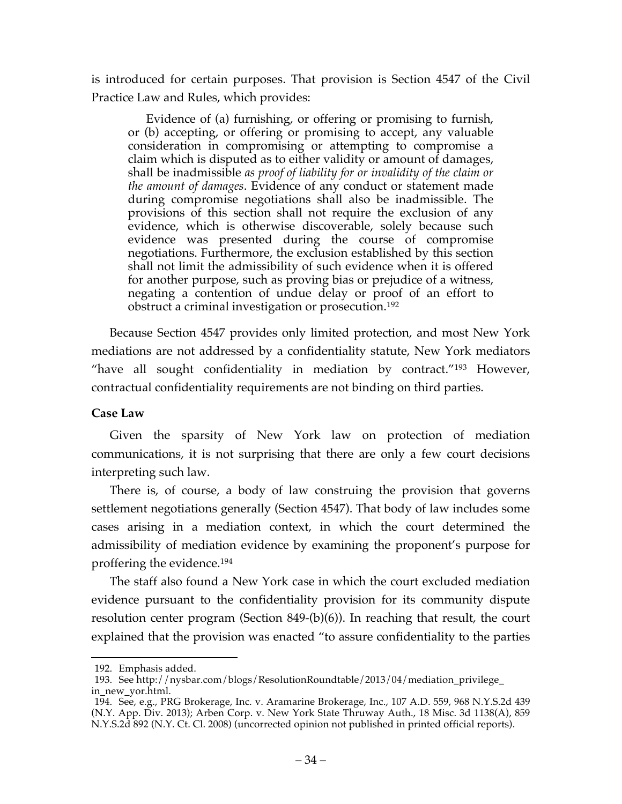is introduced for certain purposes. That provision is Section 4547 of the Civil Practice Law and Rules, which provides:

Evidence of (a) furnishing, or offering or promising to furnish, or (b) accepting, or offering or promising to accept, any valuable consideration in compromising or attempting to compromise a claim which is disputed as to either validity or amount of damages, shall be inadmissible *as proof of liability for or invalidity of the claim or the amount of damages*. Evidence of any conduct or statement made during compromise negotiations shall also be inadmissible. The provisions of this section shall not require the exclusion of any evidence, which is otherwise discoverable, solely because such evidence was presented during the course of compromise negotiations. Furthermore, the exclusion established by this section shall not limit the admissibility of such evidence when it is offered for another purpose, such as proving bias or prejudice of a witness, negating a contention of undue delay or proof of an effort to obstruct a criminal investigation or prosecution.192

Because Section 4547 provides only limited protection, and most New York mediations are not addressed by a confidentiality statute, New York mediators "have all sought confidentiality in mediation by contract."193 However, contractual confidentiality requirements are not binding on third parties.

## **Case Law**

Given the sparsity of New York law on protection of mediation communications, it is not surprising that there are only a few court decisions interpreting such law.

There is, of course, a body of law construing the provision that governs settlement negotiations generally (Section 4547). That body of law includes some cases arising in a mediation context, in which the court determined the admissibility of mediation evidence by examining the proponent's purpose for proffering the evidence.194

The staff also found a New York case in which the court excluded mediation evidence pursuant to the confidentiality provision for its community dispute resolution center program (Section 849-(b)(6)). In reaching that result, the court explained that the provision was enacted "to assure confidentiality to the parties

 <sup>192.</sup> Emphasis added.

<sup>193.</sup> See http://nysbar.com/blogs/ResolutionRoundtable/2013/04/mediation\_privilege\_ in\_new\_yor.html.

<sup>194.</sup> See, e.g., PRG Brokerage, Inc. v. Aramarine Brokerage, Inc., 107 A.D. 559, 968 N.Y.S.2d 439 (N.Y. App. Div. 2013); Arben Corp. v. New York State Thruway Auth., 18 Misc. 3d 1138(A), 859 N.Y.S.2d 892 (N.Y. Ct. Cl. 2008) (uncorrected opinion not published in printed official reports).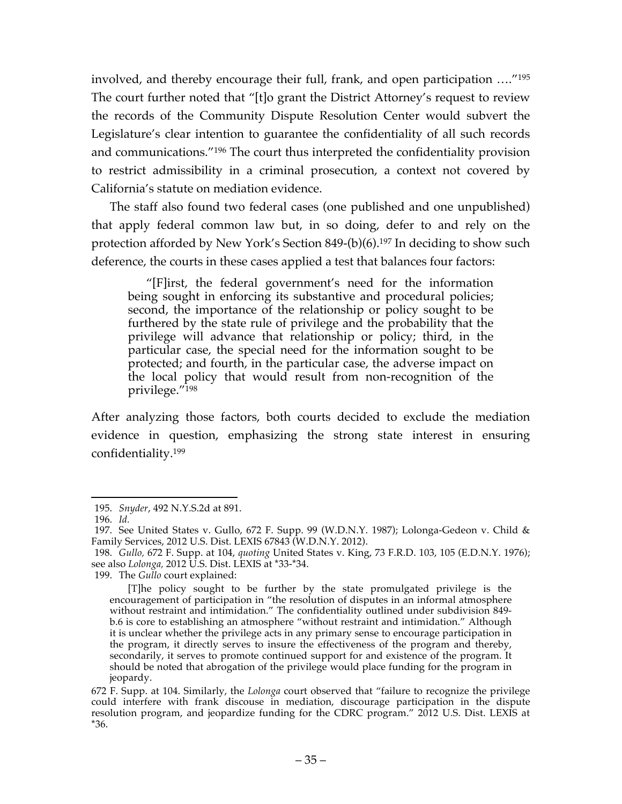involved, and thereby encourage their full, frank, and open participation …."195 The court further noted that "[t]o grant the District Attorney's request to review the records of the Community Dispute Resolution Center would subvert the Legislature's clear intention to guarantee the confidentiality of all such records and communications."196 The court thus interpreted the confidentiality provision to restrict admissibility in a criminal prosecution, a context not covered by California's statute on mediation evidence.

The staff also found two federal cases (one published and one unpublished) that apply federal common law but, in so doing, defer to and rely on the protection afforded by New York's Section 849-(b)(6).197 In deciding to show such deference, the courts in these cases applied a test that balances four factors:

"[F]irst, the federal government's need for the information being sought in enforcing its substantive and procedural policies; second, the importance of the relationship or policy sought to be furthered by the state rule of privilege and the probability that the privilege will advance that relationship or policy; third, in the particular case, the special need for the information sought to be protected; and fourth, in the particular case, the adverse impact on the local policy that would result from non-recognition of the privilege."198

After analyzing those factors, both courts decided to exclude the mediation evidence in question, emphasizing the strong state interest in ensuring confidentiality.199

199. The *Gullo* court explained:

 <sup>195.</sup> *Snyder*, 492 N.Y.S.2d at 891.

<sup>196.</sup> *Id.*

<sup>197.</sup> See United States v. Gullo, 672 F. Supp. 99 (W.D.N.Y. 1987); Lolonga-Gedeon v. Child & Family Services, 2012 U.S. Dist. LEXIS 67843 (W.D.N.Y. 2012).

<sup>198.</sup> *Gullo,* 672 F. Supp. at 104, *quoting* United States v. King, 73 F.R.D. 103, 105 (E.D.N.Y. 1976); see also *Lolonga,* 2012 U.S. Dist. LEXIS at \*33-\*34.

<sup>[</sup>T]he policy sought to be further by the state promulgated privilege is the encouragement of participation in "the resolution of disputes in an informal atmosphere without restraint and intimidation." The confidentiality outlined under subdivision 849 b.6 is core to establishing an atmosphere "without restraint and intimidation." Although it is unclear whether the privilege acts in any primary sense to encourage participation in the program, it directly serves to insure the effectiveness of the program and thereby, secondarily, it serves to promote continued support for and existence of the program. It should be noted that abrogation of the privilege would place funding for the program in jeopardy.

<sup>672</sup> F. Supp. at 104. Similarly, the *Lolonga* court observed that "failure to recognize the privilege could interfere with frank discouse in mediation, discourage participation in the dispute resolution program, and jeopardize funding for the CDRC program." 2012 U.S. Dist. LEXIS at \*36.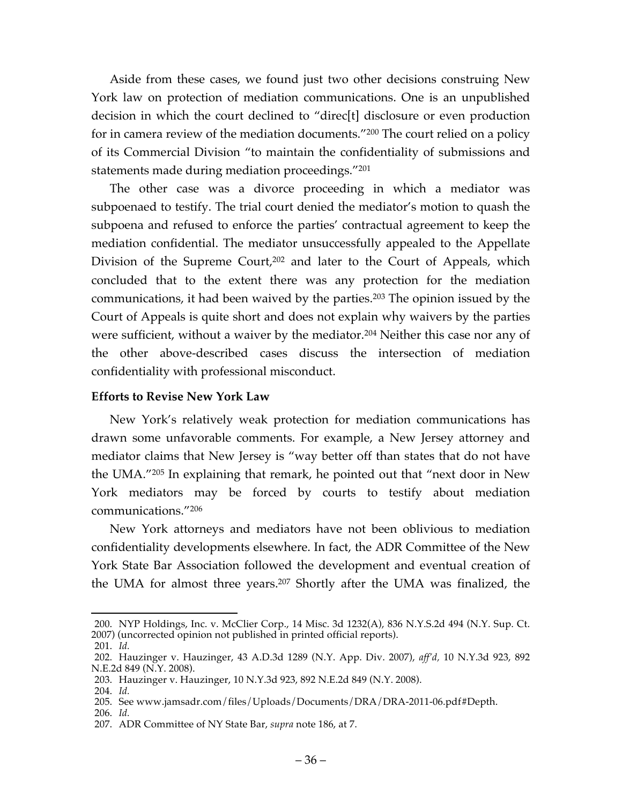Aside from these cases, we found just two other decisions construing New York law on protection of mediation communications. One is an unpublished decision in which the court declined to "direc[t] disclosure or even production for in camera review of the mediation documents."200 The court relied on a policy of its Commercial Division "to maintain the confidentiality of submissions and statements made during mediation proceedings."201

The other case was a divorce proceeding in which a mediator was subpoenaed to testify. The trial court denied the mediator's motion to quash the subpoena and refused to enforce the parties' contractual agreement to keep the mediation confidential. The mediator unsuccessfully appealed to the Appellate Division of the Supreme Court,<sup>202</sup> and later to the Court of Appeals, which concluded that to the extent there was any protection for the mediation communications, it had been waived by the parties.203 The opinion issued by the Court of Appeals is quite short and does not explain why waivers by the parties were sufficient, without a waiver by the mediator. <sup>204</sup> Neither this case nor any of the other above-described cases discuss the intersection of mediation confidentiality with professional misconduct.

### **Efforts to Revise New York Law**

New York's relatively weak protection for mediation communications has drawn some unfavorable comments. For example, a New Jersey attorney and mediator claims that New Jersey is "way better off than states that do not have the UMA."205 In explaining that remark, he pointed out that "next door in New York mediators may be forced by courts to testify about mediation communications."206

New York attorneys and mediators have not been oblivious to mediation confidentiality developments elsewhere. In fact, the ADR Committee of the New York State Bar Association followed the development and eventual creation of the UMA for almost three years. <sup>207</sup> Shortly after the UMA was finalized, the

203. Hauzinger v. Hauzinger, 10 N.Y.3d 923, 892 N.E.2d 849 (N.Y. 2008).

 <sup>200.</sup> NYP Holdings, Inc. v. McClier Corp., 14 Misc. 3d 1232(A), 836 N.Y.S.2d 494 (N.Y. Sup. Ct. 2007) (uncorrected opinion not published in printed official reports).

<sup>201.</sup> *Id.*

<sup>202.</sup> Hauzinger v. Hauzinger, 43 A.D.3d 1289 (N.Y. App. Div. 2007), *aff'd,* 10 N.Y.3d 923, 892 N.E.2d 849 (N.Y. 2008).

<sup>204.</sup> *Id.*

<sup>205.</sup> See www.jamsadr.com/files/Uploads/Documents/DRA/DRA-2011-06.pdf#Depth.

<sup>206.</sup> *Id.*

<sup>207.</sup> ADR Committee of NY State Bar, *supra* note 186, at 7.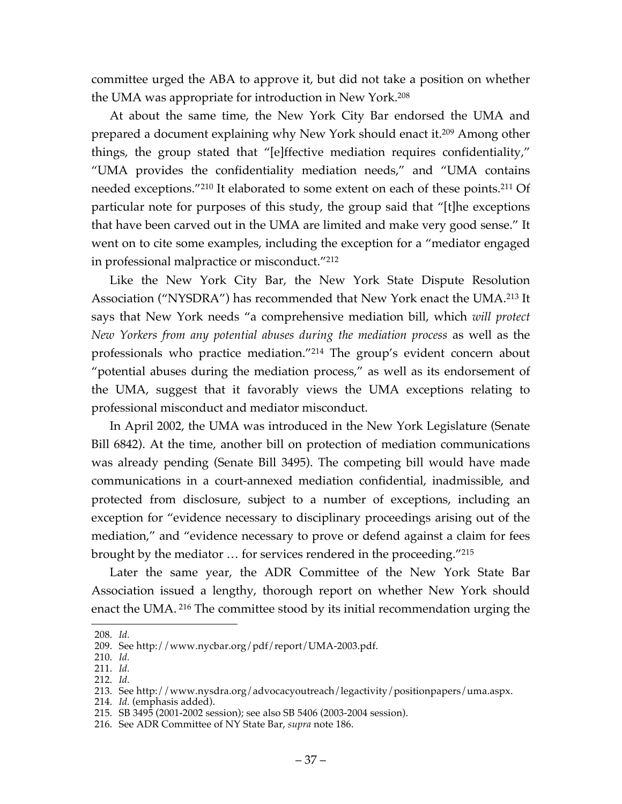committee urged the ABA to approve it, but did not take a position on whether the UMA was appropriate for introduction in New York.208

At about the same time, the New York City Bar endorsed the UMA and prepared a document explaining why New York should enact it.209 Among other things, the group stated that "[e]ffective mediation requires confidentiality," "UMA provides the confidentiality mediation needs," and "UMA contains needed exceptions."210 It elaborated to some extent on each of these points.211 Of particular note for purposes of this study, the group said that "[t]he exceptions that have been carved out in the UMA are limited and make very good sense." It went on to cite some examples, including the exception for a "mediator engaged in professional malpractice or misconduct."212

Like the New York City Bar, the New York State Dispute Resolution Association ("NYSDRA") has recommended that New York enact the UMA.213 It says that New York needs "a comprehensive mediation bill, which *will protect New Yorkers from any potential abuses during the mediation process* as well as the professionals who practice mediation."214 The group's evident concern about "potential abuses during the mediation process," as well as its endorsement of the UMA, suggest that it favorably views the UMA exceptions relating to professional misconduct and mediator misconduct.

In April 2002, the UMA was introduced in the New York Legislature (Senate Bill 6842). At the time, another bill on protection of mediation communications was already pending (Senate Bill 3495). The competing bill would have made communications in a court-annexed mediation confidential, inadmissible, and protected from disclosure, subject to a number of exceptions, including an exception for "evidence necessary to disciplinary proceedings arising out of the mediation," and "evidence necessary to prove or defend against a claim for fees brought by the mediator … for services rendered in the proceeding."215

Later the same year, the ADR Committee of the New York State Bar Association issued a lengthy, thorough report on whether New York should enact the UMA. <sup>216</sup> The committee stood by its initial recommendation urging the

 <sup>208.</sup> *Id.*

<sup>209.</sup> See http://www.nycbar.org/pdf/report/UMA-2003.pdf.

<sup>210.</sup> *Id.*

<sup>211.</sup> *Id.*

<sup>212.</sup> *Id.*

<sup>213.</sup> See http://www.nysdra.org/advocacyoutreach/legactivity/positionpapers/uma.aspx.

<sup>214.</sup> *Id.* (emphasis added).

<sup>215.</sup> SB 3495 (2001-2002 session); see also SB 5406 (2003-2004 session).

<sup>216.</sup> See ADR Committee of NY State Bar, *supra* note 186.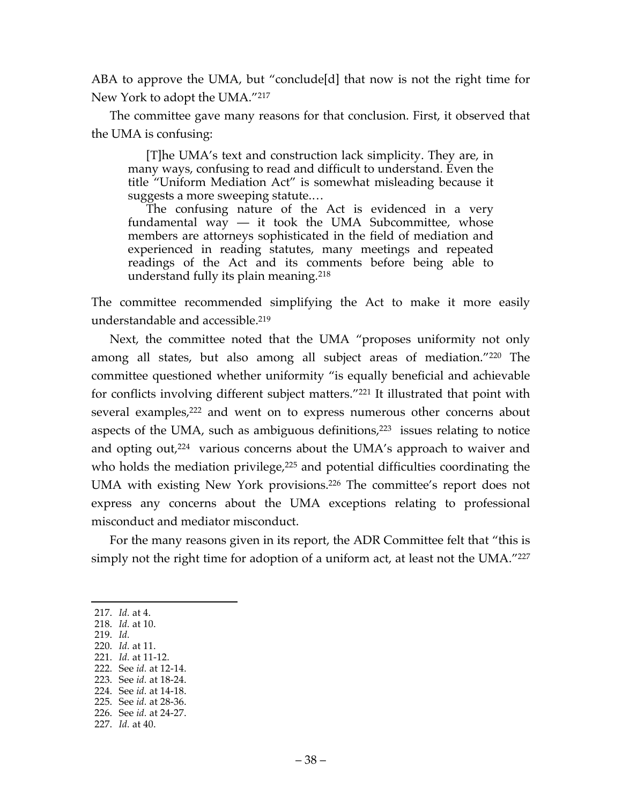ABA to approve the UMA, but "conclude[d] that now is not the right time for New York to adopt the UMA."217

The committee gave many reasons for that conclusion. First, it observed that the UMA is confusing:

[T]he UMA's text and construction lack simplicity. They are, in many ways, confusing to read and difficult to understand. Even the title "Uniform Mediation Act" is somewhat misleading because it suggests a more sweeping statute.…

The confusing nature of the Act is evidenced in a very fundamental way  $-$  it took the UMA Subcommittee, whose members are attorneys sophisticated in the field of mediation and experienced in reading statutes, many meetings and repeated readings of the Act and its comments before being able to understand fully its plain meaning*.* 218

The committee recommended simplifying the Act to make it more easily understandable and accessible.219

Next, the committee noted that the UMA "proposes uniformity not only among all states, but also among all subject areas of mediation."220 The committee questioned whether uniformity "is equally beneficial and achievable for conflicts involving different subject matters."221 It illustrated that point with several examples,<sup>222</sup> and went on to express numerous other concerns about aspects of the UMA, such as ambiguous definitions,<sup>223</sup> issues relating to notice and opting out,<sup>224</sup> various concerns about the UMA's approach to waiver and who holds the mediation privilege,<sup>225</sup> and potential difficulties coordinating the UMA with existing New York provisions.226 The committee's report does not express any concerns about the UMA exceptions relating to professional misconduct and mediator misconduct.

For the many reasons given in its report, the ADR Committee felt that "this is simply not the right time for adoption of a uniform act, at least not the UMA."227

- 219. *Id.*
- 220. *Id.* at 11. 221. *Id.* at 11-12.
- 222. See *id.* at 12-14.
- 223. See *id.* at 18-24.
- 224. See *id.* at 14-18.
- 225. See *id.* at 28-36.
- 226. See *id.* at 24-27.
- 227. *Id.* at 40.

 <sup>217.</sup> *Id.* at 4.

<sup>218.</sup> *Id.* at 10.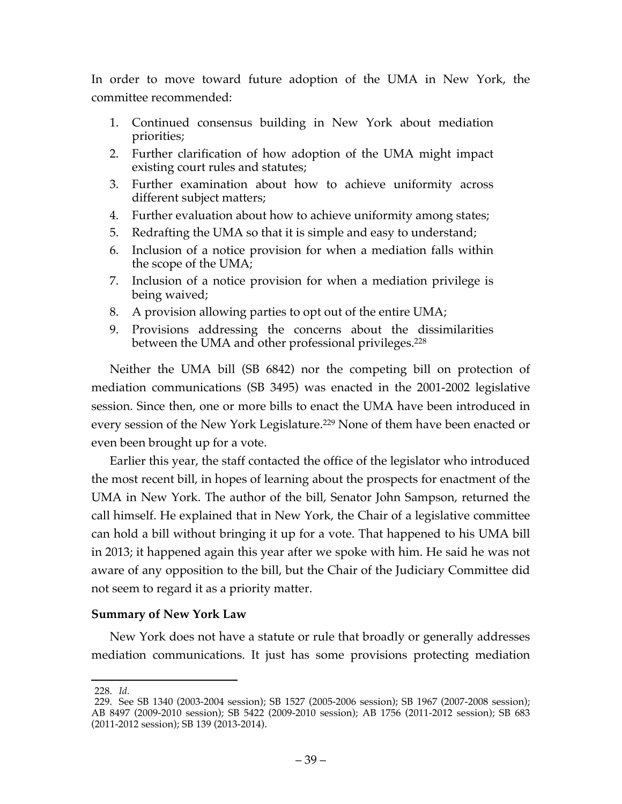In order to move toward future adoption of the UMA in New York, the committee recommended:

- 1. Continued consensus building in New York about mediation priorities;
- 2. Further clarification of how adoption of the UMA might impact existing court rules and statutes;
- 3. Further examination about how to achieve uniformity across different subject matters;
- 4. Further evaluation about how to achieve uniformity among states;
- 5. Redrafting the UMA so that it is simple and easy to understand;
- 6. Inclusion of a notice provision for when a mediation falls within the scope of the UMA;
- 7. Inclusion of a notice provision for when a mediation privilege is being waived;
- 8. A provision allowing parties to opt out of the entire UMA;
- 9. Provisions addressing the concerns about the dissimilarities between the UMA and other professional privileges.<sup>228</sup>

Neither the UMA bill (SB 6842) nor the competing bill on protection of mediation communications (SB 3495) was enacted in the 2001-2002 legislative session. Since then, one or more bills to enact the UMA have been introduced in every session of the New York Legislature.<sup>229</sup> None of them have been enacted or even been brought up for a vote.

Earlier this year, the staff contacted the office of the legislator who introduced the most recent bill, in hopes of learning about the prospects for enactment of the UMA in New York. The author of the bill, Senator John Sampson, returned the call himself. He explained that in New York, the Chair of a legislative committee can hold a bill without bringing it up for a vote. That happened to his UMA bill in 2013; it happened again this year after we spoke with him. He said he was not aware of any opposition to the bill, but the Chair of the Judiciary Committee did not seem to regard it as a priority matter.

## **Summary of New York Law**

New York does not have a statute or rule that broadly or generally addresses mediation communications. It just has some provisions protecting mediation

 <sup>228.</sup> *Id.*

<sup>229.</sup> See SB 1340 (2003-2004 session); SB 1527 (2005-2006 session); SB 1967 (2007-2008 session); AB 8497 (2009-2010 session); SB 5422 (2009-2010 session); AB 1756 (2011-2012 session); SB 683 (2011-2012 session); SB 139 (2013-2014).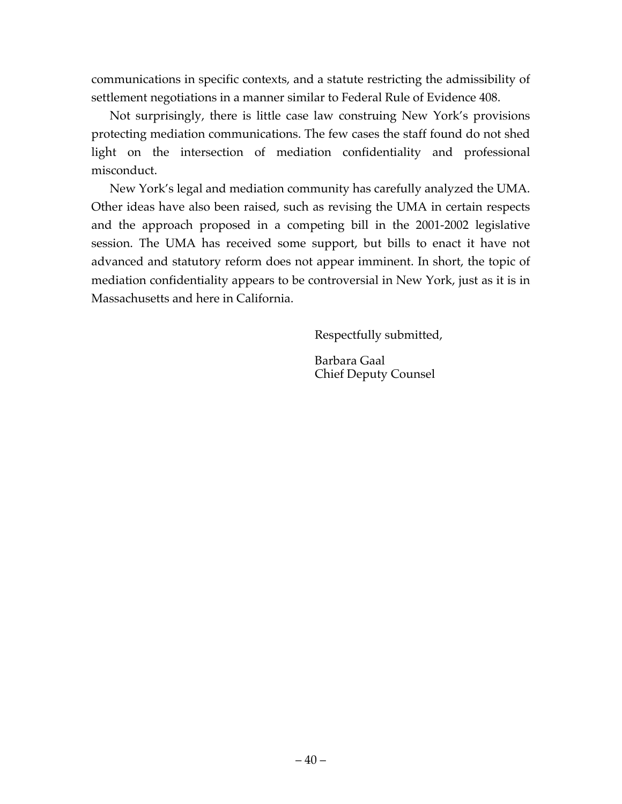communications in specific contexts, and a statute restricting the admissibility of settlement negotiations in a manner similar to Federal Rule of Evidence 408.

Not surprisingly, there is little case law construing New York's provisions protecting mediation communications. The few cases the staff found do not shed light on the intersection of mediation confidentiality and professional misconduct.

New York's legal and mediation community has carefully analyzed the UMA. Other ideas have also been raised, such as revising the UMA in certain respects and the approach proposed in a competing bill in the 2001-2002 legislative session. The UMA has received some support, but bills to enact it have not advanced and statutory reform does not appear imminent. In short, the topic of mediation confidentiality appears to be controversial in New York, just as it is in Massachusetts and here in California.

Respectfully submitted,

Barbara Gaal Chief Deputy Counsel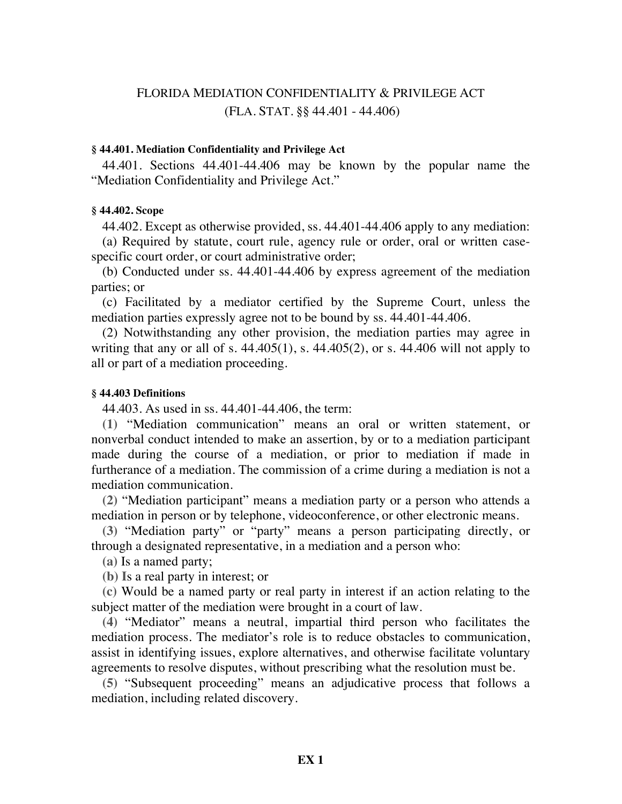# FLORIDA MEDIATION CONFIDENTIALITY & PRIVILEGE ACT (FLA. STAT. §§ 44.401 - 44.406)

### **§ 44.401. Mediation Confidentiality and Privilege Act**

44.401. Sections 44.401-44.406 may be known by the popular name the "Mediation Confidentiality and Privilege Act."

### **§ 44.402. Scope**

44.402. Except as otherwise provided, ss. 44.401-44.406 apply to any mediation:

(a) Required by statute, court rule, agency rule or order, oral or written casespecific court order, or court administrative order;

(b) Conducted under ss. 44.401-44.406 by express agreement of the mediation parties; or

(c) Facilitated by a mediator certified by the Supreme Court, unless the mediation parties expressly agree not to be bound by ss. 44.401-44.406.

(2) Notwithstanding any other provision, the mediation parties may agree in writing that any or all of s. 44.405(1), s. 44.405(2), or s. 44.406 will not apply to all or part of a mediation proceeding.

#### **§ 44.403 Definitions**

44.403. As used in ss. 44.401-44.406, the term:

**(1)** "Mediation communication" means an oral or written statement, or nonverbal conduct intended to make an assertion, by or to a mediation participant made during the course of a mediation, or prior to mediation if made in furtherance of a mediation. The commission of a crime during a mediation is not a mediation communication.

**(2)** "Mediation participant" means a mediation party or a person who attends a mediation in person or by telephone, videoconference, or other electronic means.

**(3)** "Mediation party" or "party" means a person participating directly, or through a designated representative, in a mediation and a person who:

**(a)** Is a named party;

**(b) I**s a real party in interest; or

**(c)** Would be a named party or real party in interest if an action relating to the subject matter of the mediation were brought in a court of law.

**(4)** "Mediator" means a neutral, impartial third person who facilitates the mediation process. The mediator's role is to reduce obstacles to communication, assist in identifying issues, explore alternatives, and otherwise facilitate voluntary agreements to resolve disputes, without prescribing what the resolution must be.

**(5)** "Subsequent proceeding" means an adjudicative process that follows a mediation, including related discovery.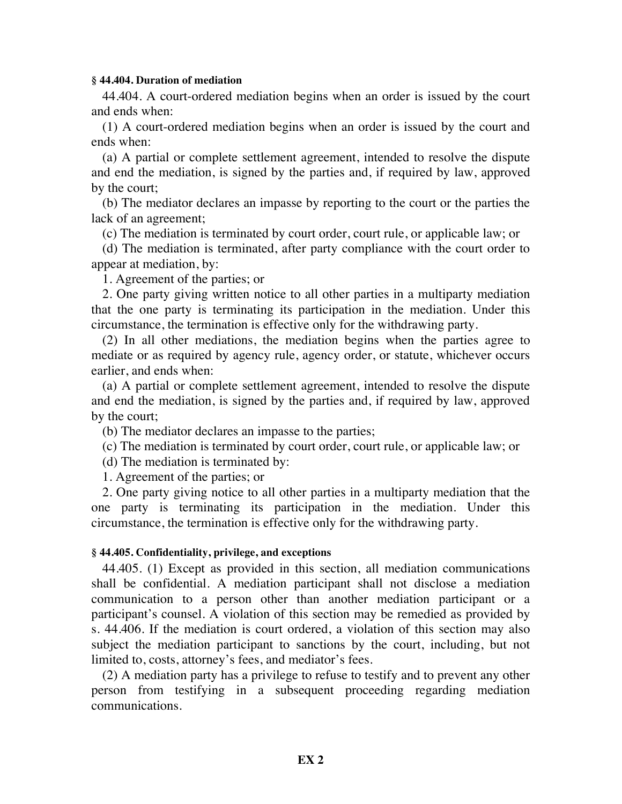#### **§ 44.404. Duration of mediation**

44.404. A court-ordered mediation begins when an order is issued by the court and ends when:

(1) A court-ordered mediation begins when an order is issued by the court and ends when:

(a) A partial or complete settlement agreement, intended to resolve the dispute and end the mediation, is signed by the parties and, if required by law, approved by the court;

(b) The mediator declares an impasse by reporting to the court or the parties the lack of an agreement;

(c) The mediation is terminated by court order, court rule, or applicable law; or

(d) The mediation is terminated, after party compliance with the court order to appear at mediation, by:

1. Agreement of the parties; or

2. One party giving written notice to all other parties in a multiparty mediation that the one party is terminating its participation in the mediation. Under this circumstance, the termination is effective only for the withdrawing party.

(2) In all other mediations, the mediation begins when the parties agree to mediate or as required by agency rule, agency order, or statute, whichever occurs earlier, and ends when:

(a) A partial or complete settlement agreement, intended to resolve the dispute and end the mediation, is signed by the parties and, if required by law, approved by the court;

(b) The mediator declares an impasse to the parties;

(c) The mediation is terminated by court order, court rule, or applicable law; or

(d) The mediation is terminated by:

1. Agreement of the parties; or

2. One party giving notice to all other parties in a multiparty mediation that the one party is terminating its participation in the mediation. Under this circumstance, the termination is effective only for the withdrawing party.

## **§ 44.405. Confidentiality, privilege, and exceptions**

44.405. (1) Except as provided in this section, all mediation communications shall be confidential. A mediation participant shall not disclose a mediation communication to a person other than another mediation participant or a participant's counsel. A violation of this section may be remedied as provided by s. 44.406. If the mediation is court ordered, a violation of this section may also subject the mediation participant to sanctions by the court, including, but not limited to, costs, attorney's fees, and mediator's fees.

(2) A mediation party has a privilege to refuse to testify and to prevent any other person from testifying in a subsequent proceeding regarding mediation communications.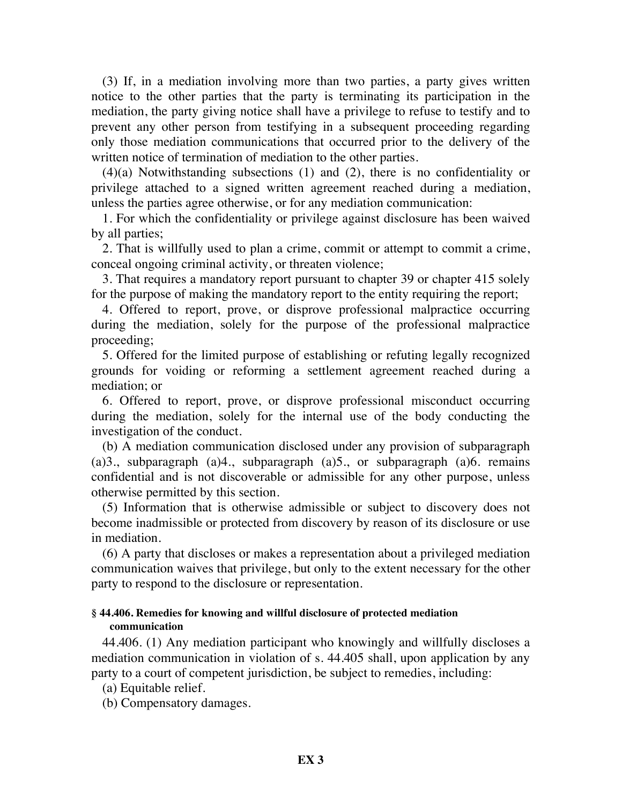(3) If, in a mediation involving more than two parties, a party gives written notice to the other parties that the party is terminating its participation in the mediation, the party giving notice shall have a privilege to refuse to testify and to prevent any other person from testifying in a subsequent proceeding regarding only those mediation communications that occurred prior to the delivery of the written notice of termination of mediation to the other parties.

(4)(a) Notwithstanding subsections (1) and (2), there is no confidentiality or privilege attached to a signed written agreement reached during a mediation, unless the parties agree otherwise, or for any mediation communication:

1. For which the confidentiality or privilege against disclosure has been waived by all parties;

2. That is willfully used to plan a crime, commit or attempt to commit a crime, conceal ongoing criminal activity, or threaten violence;

3. That requires a mandatory report pursuant to chapter 39 or chapter 415 solely for the purpose of making the mandatory report to the entity requiring the report;

4. Offered to report, prove, or disprove professional malpractice occurring during the mediation, solely for the purpose of the professional malpractice proceeding;

5. Offered for the limited purpose of establishing or refuting legally recognized grounds for voiding or reforming a settlement agreement reached during a mediation; or

6. Offered to report, prove, or disprove professional misconduct occurring during the mediation, solely for the internal use of the body conducting the investigation of the conduct.

(b) A mediation communication disclosed under any provision of subparagraph (a)3., subparagraph (a)4., subparagraph (a)5., or subparagraph (a)6. remains confidential and is not discoverable or admissible for any other purpose, unless otherwise permitted by this section.

(5) Information that is otherwise admissible or subject to discovery does not become inadmissible or protected from discovery by reason of its disclosure or use in mediation.

(6) A party that discloses or makes a representation about a privileged mediation communication waives that privilege, but only to the extent necessary for the other party to respond to the disclosure or representation.

## **§ 44.406. Remedies for knowing and willful disclosure of protected mediation communication**

44.406. (1) Any mediation participant who knowingly and willfully discloses a mediation communication in violation of s. 44.405 shall, upon application by any party to a court of competent jurisdiction, be subject to remedies, including:

(a) Equitable relief.

(b) Compensatory damages.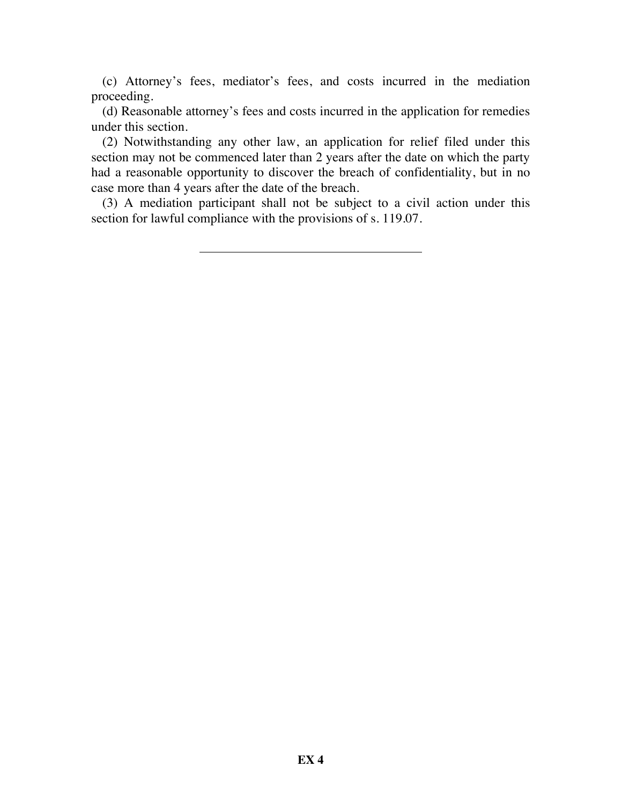(c) Attorney's fees, mediator's fees, and costs incurred in the mediation proceeding.

(d) Reasonable attorney's fees and costs incurred in the application for remedies under this section.

(2) Notwithstanding any other law, an application for relief filed under this section may not be commenced later than 2 years after the date on which the party had a reasonable opportunity to discover the breach of confidentiality, but in no case more than 4 years after the date of the breach.

(3) A mediation participant shall not be subject to a civil action under this section for lawful compliance with the provisions of s. 119.07.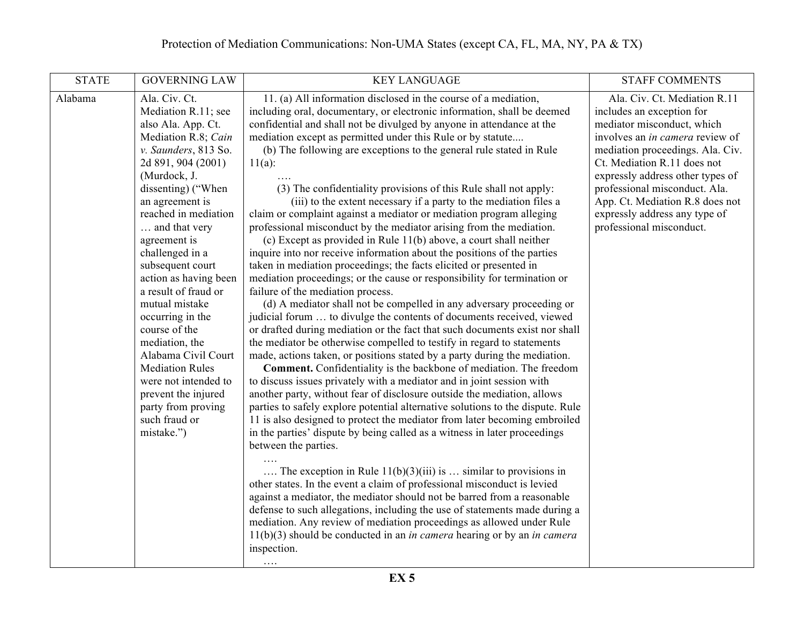| <b>STATE</b> | <b>GOVERNING LAW</b>                                                                                                                                                                                                                                                                                                                                                                                                                                                                                                                                                    | <b>KEY LANGUAGE</b>                                                                                                                                                                                                                                                                                                                                                                                                                                                                                                                                                                                                                                                                                                                                                                                                                                                                                                                                                                                                                                                                                                                                                                                                                                                                                                                                                                                                                                                                                                                                                                                                                                                                                                                                                                                                                                                                                                                                                                                                                                                                                                                                                                                                                                                                                                                                                                                        | <b>STAFF COMMENTS</b>                                                                                                                                                                                                                                                                                                                                                     |
|--------------|-------------------------------------------------------------------------------------------------------------------------------------------------------------------------------------------------------------------------------------------------------------------------------------------------------------------------------------------------------------------------------------------------------------------------------------------------------------------------------------------------------------------------------------------------------------------------|------------------------------------------------------------------------------------------------------------------------------------------------------------------------------------------------------------------------------------------------------------------------------------------------------------------------------------------------------------------------------------------------------------------------------------------------------------------------------------------------------------------------------------------------------------------------------------------------------------------------------------------------------------------------------------------------------------------------------------------------------------------------------------------------------------------------------------------------------------------------------------------------------------------------------------------------------------------------------------------------------------------------------------------------------------------------------------------------------------------------------------------------------------------------------------------------------------------------------------------------------------------------------------------------------------------------------------------------------------------------------------------------------------------------------------------------------------------------------------------------------------------------------------------------------------------------------------------------------------------------------------------------------------------------------------------------------------------------------------------------------------------------------------------------------------------------------------------------------------------------------------------------------------------------------------------------------------------------------------------------------------------------------------------------------------------------------------------------------------------------------------------------------------------------------------------------------------------------------------------------------------------------------------------------------------------------------------------------------------------------------------------------------------|---------------------------------------------------------------------------------------------------------------------------------------------------------------------------------------------------------------------------------------------------------------------------------------------------------------------------------------------------------------------------|
| Alabama      | Ala. Civ. Ct.<br>Mediation R.11; see<br>also Ala. App. Ct.<br>Mediation R.8; Cain<br>v. Saunders, 813 So.<br>2d 891, 904 (2001)<br>(Murdock, J.<br>dissenting) ("When<br>an agreement is<br>reached in mediation<br>and that very<br>agreement is<br>challenged in a<br>subsequent court<br>action as having been<br>a result of fraud or<br>mutual mistake<br>occurring in the<br>course of the<br>mediation, the<br>Alabama Civil Court<br><b>Mediation Rules</b><br>were not intended to<br>prevent the injured<br>party from proving<br>such fraud or<br>mistake.") | 11. (a) All information disclosed in the course of a mediation,<br>including oral, documentary, or electronic information, shall be deemed<br>confidential and shall not be divulged by anyone in attendance at the<br>mediation except as permitted under this Rule or by statute<br>(b) The following are exceptions to the general rule stated in Rule<br>$11(a)$ :<br>(3) The confidentiality provisions of this Rule shall not apply:<br>(iii) to the extent necessary if a party to the mediation files a<br>claim or complaint against a mediator or mediation program alleging<br>professional misconduct by the mediator arising from the mediation.<br>(c) Except as provided in Rule $11(b)$ above, a court shall neither<br>inquire into nor receive information about the positions of the parties<br>taken in mediation proceedings; the facts elicited or presented in<br>mediation proceedings; or the cause or responsibility for termination or<br>failure of the mediation process.<br>(d) A mediator shall not be compelled in any adversary proceeding or<br>judicial forum  to divulge the contents of documents received, viewed<br>or drafted during mediation or the fact that such documents exist nor shall<br>the mediator be otherwise compelled to testify in regard to statements<br>made, actions taken, or positions stated by a party during the mediation.<br><b>Comment.</b> Confidentiality is the backbone of mediation. The freedom<br>to discuss issues privately with a mediator and in joint session with<br>another party, without fear of disclosure outside the mediation, allows<br>parties to safely explore potential alternative solutions to the dispute. Rule<br>11 is also designed to protect the mediator from later becoming embroiled<br>in the parties' dispute by being called as a witness in later proceedings<br>between the parties.<br>The exception in Rule $11(b)(3)(iii)$ is  similar to provisions in<br>other states. In the event a claim of professional misconduct is levied<br>against a mediator, the mediator should not be barred from a reasonable<br>defense to such allegations, including the use of statements made during a<br>mediation. Any review of mediation proceedings as allowed under Rule<br>$11(b)(3)$ should be conducted in an <i>in camera</i> hearing or by an <i>in camera</i><br>inspection.<br>$\cdots$ | Ala. Civ. Ct. Mediation R.11<br>includes an exception for<br>mediator misconduct, which<br>involves an <i>in camera</i> review of<br>mediation proceedings. Ala. Civ.<br>Ct. Mediation R.11 does not<br>expressly address other types of<br>professional misconduct. Ala.<br>App. Ct. Mediation R.8 does not<br>expressly address any type of<br>professional misconduct. |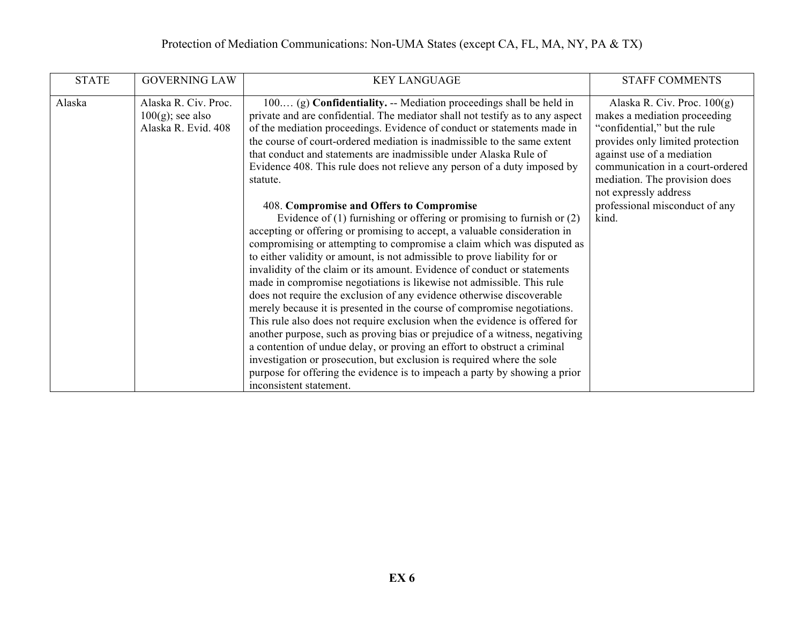# Protection of Mediation Communications: Non-UMA States (except CA, FL, MA, NY, PA & TX)

| <b>STATE</b> | <b>GOVERNING LAW</b>                                               | <b>KEY LANGUAGE</b>                                                                                                                                                                                                                                                                                                                                                                                                                                                                                                                                                                                                                                                                                                                                                                                                                                                                                                                                                                                                                                                                                                                                                                                                                                                                                                                                                                     | <b>STAFF COMMENTS</b>                                                                                                                                                                                                                                                                                    |
|--------------|--------------------------------------------------------------------|-----------------------------------------------------------------------------------------------------------------------------------------------------------------------------------------------------------------------------------------------------------------------------------------------------------------------------------------------------------------------------------------------------------------------------------------------------------------------------------------------------------------------------------------------------------------------------------------------------------------------------------------------------------------------------------------------------------------------------------------------------------------------------------------------------------------------------------------------------------------------------------------------------------------------------------------------------------------------------------------------------------------------------------------------------------------------------------------------------------------------------------------------------------------------------------------------------------------------------------------------------------------------------------------------------------------------------------------------------------------------------------------|----------------------------------------------------------------------------------------------------------------------------------------------------------------------------------------------------------------------------------------------------------------------------------------------------------|
| Alaska       | Alaska R. Civ. Proc.<br>$100(g)$ ; see also<br>Alaska R. Evid. 408 | 100 (g) Confidentiality. -- Mediation proceedings shall be held in<br>private and are confidential. The mediator shall not testify as to any aspect<br>of the mediation proceedings. Evidence of conduct or statements made in<br>the course of court-ordered mediation is inadmissible to the same extent<br>that conduct and statements are inadmissible under Alaska Rule of<br>Evidence 408. This rule does not relieve any person of a duty imposed by<br>statute.<br>408. Compromise and Offers to Compromise<br>Evidence of $(1)$ furnishing or offering or promising to furnish or $(2)$<br>accepting or offering or promising to accept, a valuable consideration in<br>compromising or attempting to compromise a claim which was disputed as<br>to either validity or amount, is not admissible to prove liability for or<br>invalidity of the claim or its amount. Evidence of conduct or statements<br>made in compromise negotiations is likewise not admissible. This rule<br>does not require the exclusion of any evidence otherwise discoverable<br>merely because it is presented in the course of compromise negotiations.<br>This rule also does not require exclusion when the evidence is offered for<br>another purpose, such as proving bias or prejudice of a witness, negativing<br>a contention of undue delay, or proving an effort to obstruct a criminal | Alaska R. Civ. Proc. $100(g)$<br>makes a mediation proceeding<br>"confidential," but the rule<br>provides only limited protection<br>against use of a mediation<br>communication in a court-ordered<br>mediation. The provision does<br>not expressly address<br>professional misconduct of any<br>kind. |
|              |                                                                    | investigation or prosecution, but exclusion is required where the sole<br>purpose for offering the evidence is to impeach a party by showing a prior<br>inconsistent statement.                                                                                                                                                                                                                                                                                                                                                                                                                                                                                                                                                                                                                                                                                                                                                                                                                                                                                                                                                                                                                                                                                                                                                                                                         |                                                                                                                                                                                                                                                                                                          |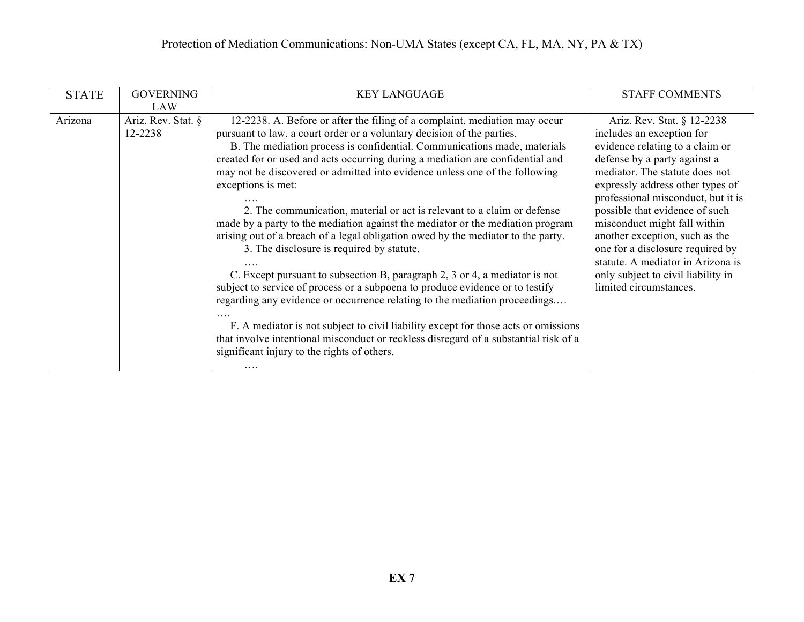| <b>STATE</b> | <b>GOVERNING</b>   | <b>KEY LANGUAGE</b>                                                                  | <b>STAFF COMMENTS</b>              |
|--------------|--------------------|--------------------------------------------------------------------------------------|------------------------------------|
|              | <b>LAW</b>         |                                                                                      |                                    |
| Arizona      | Ariz. Rev. Stat. § | 12-2238. A. Before or after the filing of a complaint, mediation may occur           | Ariz. Rev. Stat. § 12-2238         |
|              | 12-2238            | pursuant to law, a court order or a voluntary decision of the parties.               | includes an exception for          |
|              |                    | B. The mediation process is confidential. Communications made, materials             | evidence relating to a claim or    |
|              |                    | created for or used and acts occurring during a mediation are confidential and       | defense by a party against a       |
|              |                    | may not be discovered or admitted into evidence unless one of the following          | mediator. The statute does not     |
|              |                    | exceptions is met:                                                                   | expressly address other types of   |
|              |                    |                                                                                      | professional misconduct, but it is |
|              |                    | 2. The communication, material or act is relevant to a claim or defense              | possible that evidence of such     |
|              |                    | made by a party to the mediation against the mediator or the mediation program       | misconduct might fall within       |
|              |                    | arising out of a breach of a legal obligation owed by the mediator to the party.     | another exception, such as the     |
|              |                    | 3. The disclosure is required by statute.                                            | one for a disclosure required by   |
|              |                    |                                                                                      | statute. A mediator in Arizona is  |
|              |                    | C. Except pursuant to subsection B, paragraph 2, 3 or 4, a mediator is not           | only subject to civil liability in |
|              |                    | subject to service of process or a subpoena to produce evidence or to testify        | limited circumstances.             |
|              |                    | regarding any evidence or occurrence relating to the mediation proceedings           |                                    |
|              |                    |                                                                                      |                                    |
|              |                    | F. A mediator is not subject to civil liability except for those acts or omissions   |                                    |
|              |                    | that involve intentional misconduct or reckless disregard of a substantial risk of a |                                    |
|              |                    | significant injury to the rights of others.                                          |                                    |
|              |                    |                                                                                      |                                    |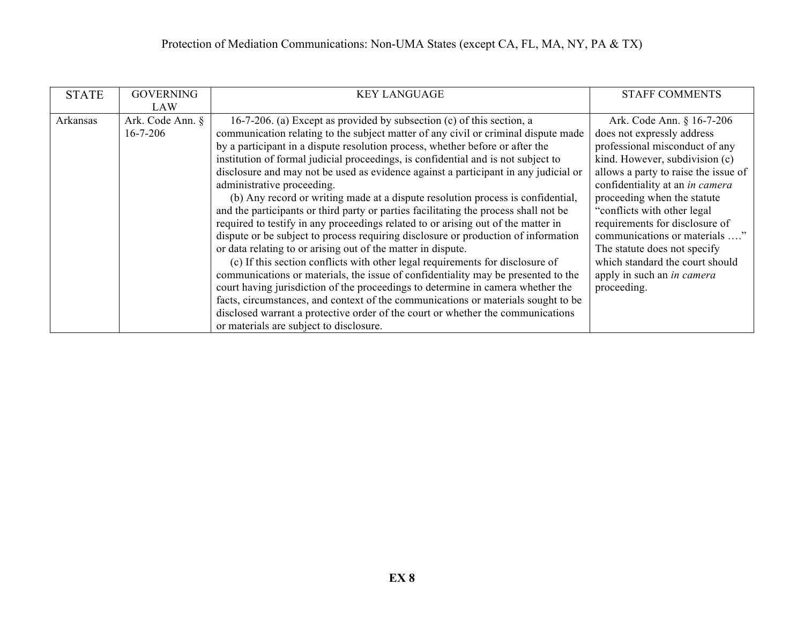| <b>STATE</b> | <b>GOVERNING</b> | <b>KEY LANGUAGE</b>                                                                  | <b>STAFF COMMENTS</b>                |
|--------------|------------------|--------------------------------------------------------------------------------------|--------------------------------------|
|              | LAW              |                                                                                      |                                      |
| Arkansas     | Ark. Code Ann. § | 16-7-206. (a) Except as provided by subsection (c) of this section, a                | Ark. Code Ann. § 16-7-206            |
|              | $16 - 7 - 206$   | communication relating to the subject matter of any civil or criminal dispute made   | does not expressly address           |
|              |                  | by a participant in a dispute resolution process, whether before or after the        | professional misconduct of any       |
|              |                  | institution of formal judicial proceedings, is confidential and is not subject to    | kind. However, subdivision (c)       |
|              |                  | disclosure and may not be used as evidence against a participant in any judicial or  | allows a party to raise the issue of |
|              |                  | administrative proceeding.                                                           | confidentiality at an in camera      |
|              |                  | (b) Any record or writing made at a dispute resolution process is confidential,      | proceeding when the statute          |
|              |                  | and the participants or third party or parties facilitating the process shall not be | "conflicts with other legal"         |
|              |                  | required to testify in any proceedings related to or arising out of the matter in    | requirements for disclosure of       |
|              |                  | dispute or be subject to process requiring disclosure or production of information   | communications or materials '        |
|              |                  | or data relating to or arising out of the matter in dispute.                         | The statute does not specify         |
|              |                  | (c) If this section conflicts with other legal requirements for disclosure of        | which standard the court should      |
|              |                  | communications or materials, the issue of confidentiality may be presented to the    | apply in such an <i>in camera</i>    |
|              |                  | court having jurisdiction of the proceedings to determine in camera whether the      | proceeding.                          |
|              |                  | facts, circumstances, and context of the communications or materials sought to be    |                                      |
|              |                  | disclosed warrant a protective order of the court or whether the communications      |                                      |
|              |                  | or materials are subject to disclosure.                                              |                                      |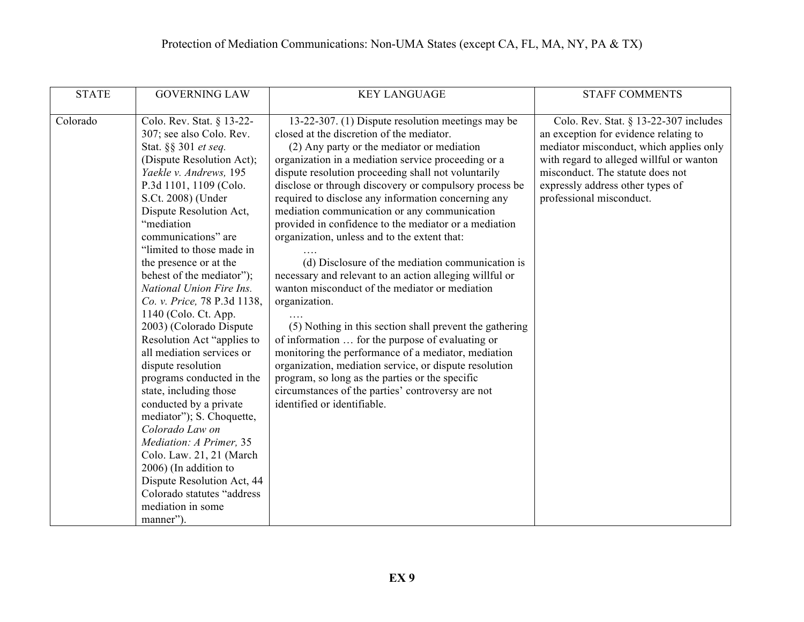| <b>STATE</b> | <b>GOVERNING LAW</b>                                                                                                                                                                                                                                                                                                                                                                                                                                                                                                                                                                                                                                                                                                                                                                                                                                    | <b>KEY LANGUAGE</b>                                                                                                                                                                                                                                                                                                                                                                                                                                                                                                                                                                                                                                                                                                                                                                                                                                                                                                                                                                                                                                                                           | <b>STAFF COMMENTS</b>                                                                                                                                                                                                                                                        |
|--------------|---------------------------------------------------------------------------------------------------------------------------------------------------------------------------------------------------------------------------------------------------------------------------------------------------------------------------------------------------------------------------------------------------------------------------------------------------------------------------------------------------------------------------------------------------------------------------------------------------------------------------------------------------------------------------------------------------------------------------------------------------------------------------------------------------------------------------------------------------------|-----------------------------------------------------------------------------------------------------------------------------------------------------------------------------------------------------------------------------------------------------------------------------------------------------------------------------------------------------------------------------------------------------------------------------------------------------------------------------------------------------------------------------------------------------------------------------------------------------------------------------------------------------------------------------------------------------------------------------------------------------------------------------------------------------------------------------------------------------------------------------------------------------------------------------------------------------------------------------------------------------------------------------------------------------------------------------------------------|------------------------------------------------------------------------------------------------------------------------------------------------------------------------------------------------------------------------------------------------------------------------------|
| Colorado     | Colo. Rev. Stat. § 13-22-<br>307; see also Colo. Rev.<br>Stat. §§ 301 et seq.<br>(Dispute Resolution Act);<br>Yaekle v. Andrews, 195<br>P.3d 1101, 1109 (Colo.<br>S.Ct. 2008) (Under<br>Dispute Resolution Act,<br>"mediation<br>communications" are<br>"limited to those made in<br>the presence or at the<br>behest of the mediator");<br>National Union Fire Ins.<br>Co. v. Price, 78 P.3d 1138,<br>1140 (Colo. Ct. App.<br>2003) (Colorado Dispute<br>Resolution Act "applies to<br>all mediation services or<br>dispute resolution<br>programs conducted in the<br>state, including those<br>conducted by a private<br>mediator"); S. Choquette,<br>Colorado Law on<br>Mediation: A Primer, 35<br>Colo. Law. 21, 21 (March)<br>2006) (In addition to<br>Dispute Resolution Act, 44<br>Colorado statutes "address<br>mediation in some<br>manner"). | 13-22-307. (1) Dispute resolution meetings may be<br>closed at the discretion of the mediator.<br>(2) Any party or the mediator or mediation<br>organization in a mediation service proceeding or a<br>dispute resolution proceeding shall not voluntarily<br>disclose or through discovery or compulsory process be<br>required to disclose any information concerning any<br>mediation communication or any communication<br>provided in confidence to the mediator or a mediation<br>organization, unless and to the extent that:<br>(d) Disclosure of the mediation communication is<br>necessary and relevant to an action alleging willful or<br>wanton misconduct of the mediator or mediation<br>organization.<br>(5) Nothing in this section shall prevent the gathering<br>of information  for the purpose of evaluating or<br>monitoring the performance of a mediator, mediation<br>organization, mediation service, or dispute resolution<br>program, so long as the parties or the specific<br>circumstances of the parties' controversy are not<br>identified or identifiable. | Colo. Rev. Stat. $\S$ 13-22-307 includes<br>an exception for evidence relating to<br>mediator misconduct, which applies only<br>with regard to alleged willful or wanton<br>misconduct. The statute does not<br>expressly address other types of<br>professional misconduct. |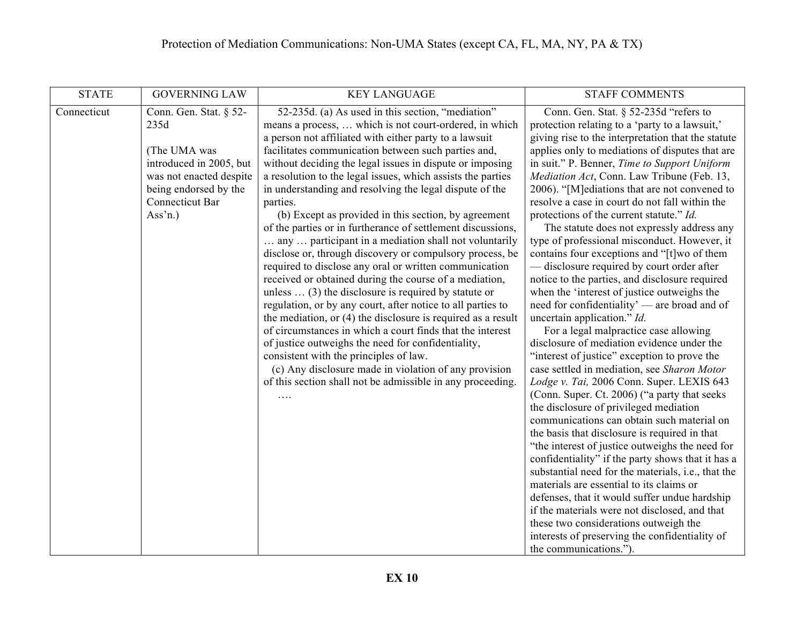| <b>STATE</b> | <b>GOVERNING LAW</b>                                                                                                                                                    | <b>KEY LANGUAGE</b>                                                                                                                                                                                                                                                                                                                                                                                                                                                                                                                                                                                                                                                                                                                                                                                                                                                                                                                                                                                                                                                                                                                                                                                                                                                                     | <b>STAFF COMMENTS</b>                                                                                                                                                                                                                                                                                                                                                                                                                                                                                                                                                                                                                                                                                                                                                                                                                                                                                                                                                                                                                                                                                                                                                                                                                                                                                                                                                                                                                                                                                                                                                                                                                                                                  |
|--------------|-------------------------------------------------------------------------------------------------------------------------------------------------------------------------|-----------------------------------------------------------------------------------------------------------------------------------------------------------------------------------------------------------------------------------------------------------------------------------------------------------------------------------------------------------------------------------------------------------------------------------------------------------------------------------------------------------------------------------------------------------------------------------------------------------------------------------------------------------------------------------------------------------------------------------------------------------------------------------------------------------------------------------------------------------------------------------------------------------------------------------------------------------------------------------------------------------------------------------------------------------------------------------------------------------------------------------------------------------------------------------------------------------------------------------------------------------------------------------------|----------------------------------------------------------------------------------------------------------------------------------------------------------------------------------------------------------------------------------------------------------------------------------------------------------------------------------------------------------------------------------------------------------------------------------------------------------------------------------------------------------------------------------------------------------------------------------------------------------------------------------------------------------------------------------------------------------------------------------------------------------------------------------------------------------------------------------------------------------------------------------------------------------------------------------------------------------------------------------------------------------------------------------------------------------------------------------------------------------------------------------------------------------------------------------------------------------------------------------------------------------------------------------------------------------------------------------------------------------------------------------------------------------------------------------------------------------------------------------------------------------------------------------------------------------------------------------------------------------------------------------------------------------------------------------------|
| Connecticut  | Conn. Gen. Stat. § 52-<br>235d<br>(The UMA was<br>introduced in 2005, but<br>was not enacted despite<br>being endorsed by the<br>Connecticut Bar<br>Ass <sup>3</sup> n. | 52-235d. (a) As used in this section, "mediation"<br>means a process,  which is not court-ordered, in which<br>a person not affiliated with either party to a lawsuit<br>facilitates communication between such parties and,<br>without deciding the legal issues in dispute or imposing<br>a resolution to the legal issues, which assists the parties<br>in understanding and resolving the legal dispute of the<br>parties.<br>(b) Except as provided in this section, by agreement<br>of the parties or in furtherance of settlement discussions,<br>any  participant in a mediation shall not voluntarily<br>disclose or, through discovery or compulsory process, be<br>required to disclose any oral or written communication<br>received or obtained during the course of a mediation,<br>unless $\dots$ (3) the disclosure is required by statute or<br>regulation, or by any court, after notice to all parties to<br>the mediation, or $(4)$ the disclosure is required as a result<br>of circumstances in which a court finds that the interest<br>of justice outweighs the need for confidentiality,<br>consistent with the principles of law.<br>(c) Any disclosure made in violation of any provision<br>of this section shall not be admissible in any proceeding.<br>. | Conn. Gen. Stat. § 52-235d "refers to<br>protection relating to a 'party to a lawsuit,'<br>giving rise to the interpretation that the statute<br>applies only to mediations of disputes that are<br>in suit." P. Benner, Time to Support Uniform<br>Mediation Act, Conn. Law Tribune (Feb. 13,<br>2006). "[M]ediations that are not convened to<br>resolve a case in court do not fall within the<br>protections of the current statute." Id.<br>The statute does not expressly address any<br>type of professional misconduct. However, it<br>contains four exceptions and "[t] wo of them<br>— disclosure required by court order after<br>notice to the parties, and disclosure required<br>when the 'interest of justice outweighs the<br>need for confidentiality' — are broad and of<br>uncertain application." Id.<br>For a legal malpractice case allowing<br>disclosure of mediation evidence under the<br>"interest of justice" exception to prove the<br>case settled in mediation, see Sharon Motor<br>Lodge v. Tai, 2006 Conn. Super. LEXIS 643<br>(Conn. Super. Ct. 2006) ("a party that seeks<br>the disclosure of privileged mediation<br>communications can obtain such material on<br>the basis that disclosure is required in that<br>"the interest of justice outweighs the need for<br>confidentiality" if the party shows that it has a<br>substantial need for the materials, i.e., that the<br>materials are essential to its claims or<br>defenses, that it would suffer undue hardship<br>if the materials were not disclosed, and that<br>these two considerations outweigh the<br>interests of preserving the confidentiality of<br>the communications."). |
|              |                                                                                                                                                                         |                                                                                                                                                                                                                                                                                                                                                                                                                                                                                                                                                                                                                                                                                                                                                                                                                                                                                                                                                                                                                                                                                                                                                                                                                                                                                         |                                                                                                                                                                                                                                                                                                                                                                                                                                                                                                                                                                                                                                                                                                                                                                                                                                                                                                                                                                                                                                                                                                                                                                                                                                                                                                                                                                                                                                                                                                                                                                                                                                                                                        |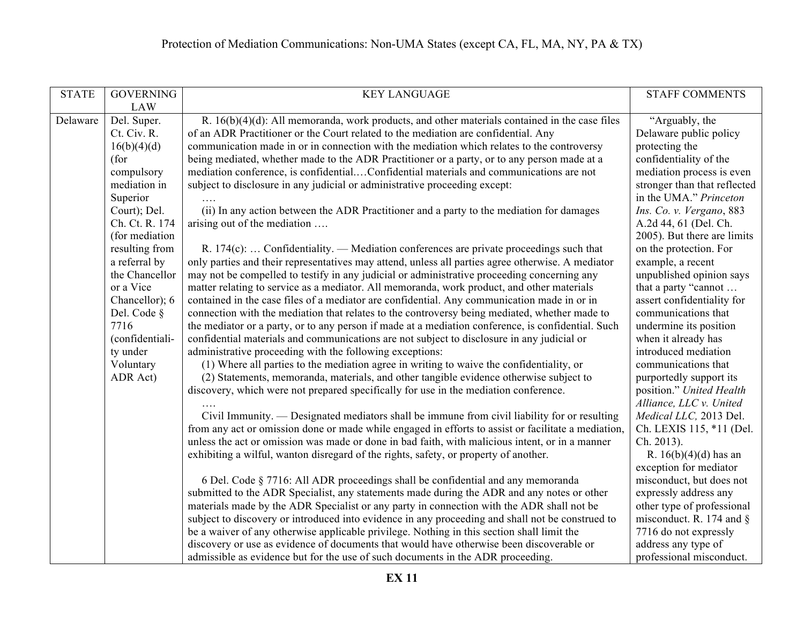| <b>STATE</b> | <b>GOVERNING</b> | <b>KEY LANGUAGE</b>                                                                                 | <b>STAFF COMMENTS</b>        |
|--------------|------------------|-----------------------------------------------------------------------------------------------------|------------------------------|
|              | <b>LAW</b>       |                                                                                                     |                              |
| Delaware     | Del. Super.      | R. $16(b)(4)(d)$ : All memoranda, work products, and other materials contained in the case files    | "Arguably, the               |
|              | Ct. Civ. R.      | of an ADR Practitioner or the Court related to the mediation are confidential. Any                  | Delaware public policy       |
|              | 16(b)(4)(d)      | communication made in or in connection with the mediation which relates to the controversy          | protecting the               |
|              | (for             | being mediated, whether made to the ADR Practitioner or a party, or to any person made at a         | confidentiality of the       |
|              | compulsory       | mediation conference, is confidentialConfidential materials and communications are not              | mediation process is even    |
|              | mediation in     | subject to disclosure in any judicial or administrative proceeding except:                          | stronger than that reflected |
|              | Superior         |                                                                                                     | in the UMA." Princeton       |
|              | Court); Del.     | (ii) In any action between the ADR Practitioner and a party to the mediation for damages            | Ins. Co. v. Vergano, 883     |
|              | Ch. Ct. R. 174   | arising out of the mediation                                                                        | A.2d 44, 61 (Del. Ch.        |
|              | (for mediation   |                                                                                                     | 2005). But there are limits  |
|              | resulting from   | R. $174(c)$ :  Confidentiality. — Mediation conferences are private proceedings such that           | on the protection. For       |
|              | a referral by    | only parties and their representatives may attend, unless all parties agree otherwise. A mediator   | example, a recent            |
|              | the Chancellor   | may not be compelled to testify in any judicial or administrative proceeding concerning any         | unpublished opinion says     |
|              | or a Vice        | matter relating to service as a mediator. All memoranda, work product, and other materials          | that a party "cannot         |
|              | Chancellor); 6   | contained in the case files of a mediator are confidential. Any communication made in or in         | assert confidentiality for   |
|              | Del. Code §      | connection with the mediation that relates to the controversy being mediated, whether made to       | communications that          |
|              | 7716             | the mediator or a party, or to any person if made at a mediation conference, is confidential. Such  | undermine its position       |
|              | (confidentiali-  | confidential materials and communications are not subject to disclosure in any judicial or          | when it already has          |
|              | ty under         | administrative proceeding with the following exceptions:                                            | introduced mediation         |
|              | Voluntary        | (1) Where all parties to the mediation agree in writing to waive the confidentiality, or            | communications that          |
|              | ADR Act)         | (2) Statements, memoranda, materials, and other tangible evidence otherwise subject to              | purportedly support its      |
|              |                  | discovery, which were not prepared specifically for use in the mediation conference.                | position." United Health     |
|              |                  |                                                                                                     | Alliance, LLC v. United      |
|              |                  | Civil Immunity. — Designated mediators shall be immune from civil liability for or resulting        | Medical LLC, 2013 Del.       |
|              |                  | from any act or omission done or made while engaged in efforts to assist or facilitate a mediation, | Ch. LEXIS 115, *11 (Del.     |
|              |                  | unless the act or omission was made or done in bad faith, with malicious intent, or in a manner     | Ch. 2013).                   |
|              |                  | exhibiting a wilful, wanton disregard of the rights, safety, or property of another.                | R. $16(b)(4)(d)$ has an      |
|              |                  |                                                                                                     | exception for mediator       |
|              |                  | 6 Del. Code § 7716: All ADR proceedings shall be confidential and any memoranda                     | misconduct, but does not     |
|              |                  | submitted to the ADR Specialist, any statements made during the ADR and any notes or other          | expressly address any        |
|              |                  | materials made by the ADR Specialist or any party in connection with the ADR shall not be           | other type of professional   |
|              |                  | subject to discovery or introduced into evidence in any proceeding and shall not be construed to    | misconduct. R. 174 and $\S$  |
|              |                  | be a waiver of any otherwise applicable privilege. Nothing in this section shall limit the          | 7716 do not expressly        |
|              |                  | discovery or use as evidence of documents that would have otherwise been discoverable or            | address any type of          |
|              |                  | admissible as evidence but for the use of such documents in the ADR proceeding.                     | professional misconduct.     |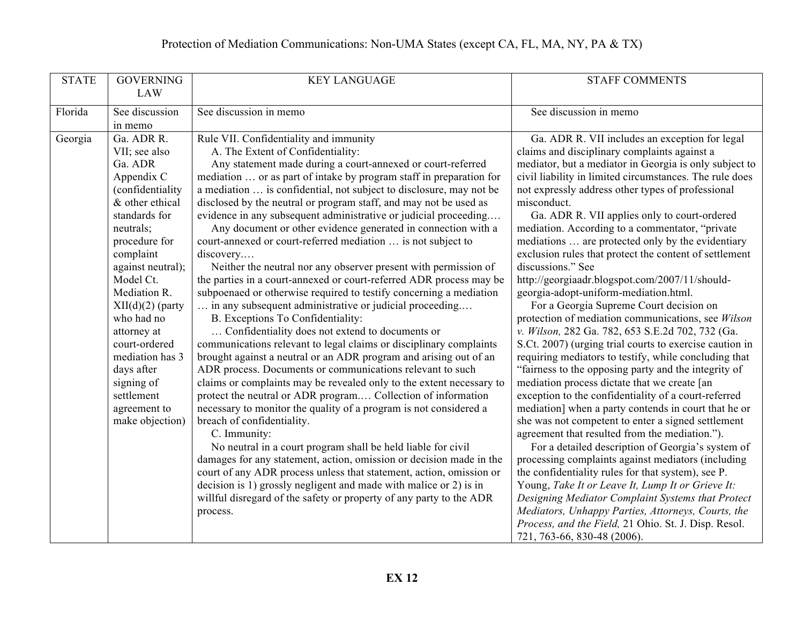| <b>STATE</b> | <b>GOVERNING</b>                | <b>KEY LANGUAGE</b>                                                                                                               | <b>STAFF COMMENTS</b>                                                                                      |
|--------------|---------------------------------|-----------------------------------------------------------------------------------------------------------------------------------|------------------------------------------------------------------------------------------------------------|
|              | <b>LAW</b>                      |                                                                                                                                   |                                                                                                            |
| Florida      | See discussion                  | See discussion in memo                                                                                                            | See discussion in memo                                                                                     |
|              | in memo                         |                                                                                                                                   |                                                                                                            |
| Georgia      | Ga. ADR R.                      | Rule VII. Confidentiality and immunity                                                                                            | Ga. ADR R. VII includes an exception for legal                                                             |
|              | VII; see also                   | A. The Extent of Confidentiality:                                                                                                 | claims and disciplinary complaints against a                                                               |
|              | Ga. ADR                         | Any statement made during a court-annexed or court-referred                                                                       | mediator, but a mediator in Georgia is only subject to                                                     |
|              | Appendix C                      | mediation  or as part of intake by program staff in preparation for                                                               | civil liability in limited circumstances. The rule does                                                    |
|              | (confidentiality                | a mediation  is confidential, not subject to disclosure, may not be                                                               | not expressly address other types of professional                                                          |
|              | & other ethical                 | disclosed by the neutral or program staff, and may not be used as                                                                 | misconduct.                                                                                                |
|              | standards for<br>neutrals;      | evidence in any subsequent administrative or judicial proceeding<br>Any document or other evidence generated in connection with a | Ga. ADR R. VII applies only to court-ordered<br>mediation. According to a commentator, "private            |
|              | procedure for                   | court-annexed or court-referred mediation  is not subject to                                                                      | mediations  are protected only by the evidentiary                                                          |
|              | complaint                       | discovery                                                                                                                         | exclusion rules that protect the content of settlement                                                     |
|              | against neutral);               | Neither the neutral nor any observer present with permission of                                                                   | discussions." See                                                                                          |
|              | Model Ct.                       | the parties in a court-annexed or court-referred ADR process may be                                                               | http://georgiaadr.blogspot.com/2007/11/should-                                                             |
|              | Mediation R.                    | subpoenaed or otherwise required to testify concerning a mediation                                                                | georgia-adopt-uniform-mediation.html.                                                                      |
|              | $XII(d)(2)$ (party              | in any subsequent administrative or judicial proceeding                                                                           | For a Georgia Supreme Court decision on                                                                    |
|              | who had no                      | B. Exceptions To Confidentiality:                                                                                                 | protection of mediation communications, see Wilson                                                         |
|              | attorney at                     | Confidentiality does not extend to documents or                                                                                   | v. Wilson, 282 Ga. 782, 653 S.E.2d 702, 732 (Ga.                                                           |
|              | court-ordered                   | communications relevant to legal claims or disciplinary complaints                                                                | S.Ct. 2007) (urging trial courts to exercise caution in                                                    |
|              | mediation has 3                 | brought against a neutral or an ADR program and arising out of an                                                                 | requiring mediators to testify, while concluding that                                                      |
|              | days after                      | ADR process. Documents or communications relevant to such                                                                         | "fairness to the opposing party and the integrity of                                                       |
|              | signing of                      | claims or complaints may be revealed only to the extent necessary to                                                              | mediation process dictate that we create [an                                                               |
|              | settlement                      | protect the neutral or ADR program Collection of information                                                                      | exception to the confidentiality of a court-referred                                                       |
|              | agreement to<br>make objection) | necessary to monitor the quality of a program is not considered a                                                                 | mediation] when a party contends in court that he or<br>she was not competent to enter a signed settlement |
|              |                                 | breach of confidentiality.<br>C. Immunity:                                                                                        | agreement that resulted from the mediation.").                                                             |
|              |                                 | No neutral in a court program shall be held liable for civil                                                                      | For a detailed description of Georgia's system of                                                          |
|              |                                 | damages for any statement, action, omission or decision made in the                                                               | processing complaints against mediators (including                                                         |
|              |                                 | court of any ADR process unless that statement, action, omission or                                                               | the confidentiality rules for that system), see P.                                                         |
|              |                                 | decision is 1) grossly negligent and made with malice or 2) is in                                                                 | Young, Take It or Leave It, Lump It or Grieve It:                                                          |
|              |                                 | willful disregard of the safety or property of any party to the ADR                                                               | Designing Mediator Complaint Systems that Protect                                                          |
|              |                                 | process.                                                                                                                          | Mediators, Unhappy Parties, Attorneys, Courts, the                                                         |
|              |                                 |                                                                                                                                   | Process, and the Field, 21 Ohio. St. J. Disp. Resol.                                                       |
|              |                                 |                                                                                                                                   | 721, 763-66, 830-48 (2006).                                                                                |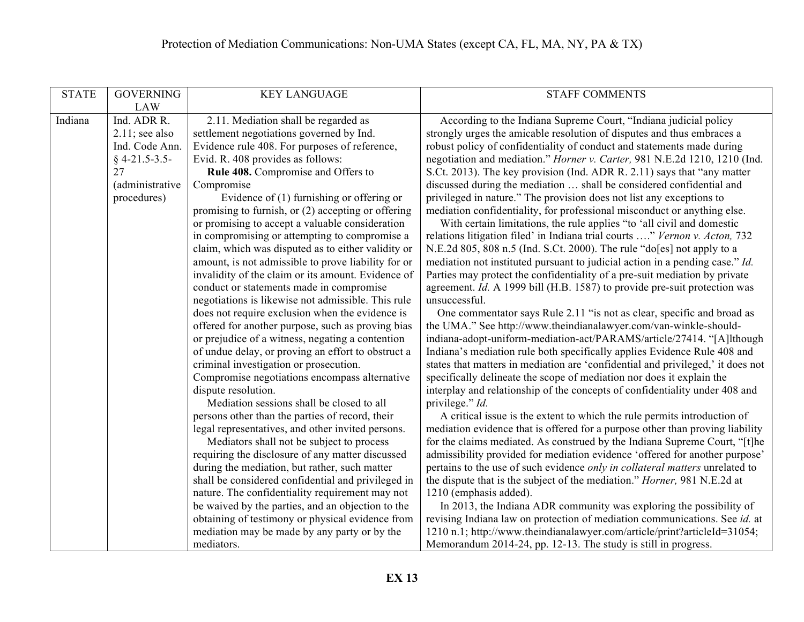| <b>STATE</b> | <b>GOVERNING</b>  | <b>KEY LANGUAGE</b>                                 | <b>STAFF COMMENTS</b>                                                            |
|--------------|-------------------|-----------------------------------------------------|----------------------------------------------------------------------------------|
|              | <b>LAW</b>        |                                                     |                                                                                  |
| Indiana      | Ind. ADR R.       | 2.11. Mediation shall be regarded as                | According to the Indiana Supreme Court, "Indiana judicial policy                 |
|              | $2.11$ ; see also | settlement negotiations governed by Ind.            | strongly urges the amicable resolution of disputes and thus embraces a           |
|              | Ind. Code Ann.    | Evidence rule 408. For purposes of reference,       | robust policy of confidentiality of conduct and statements made during           |
|              | $§$ 4-21.5-3.5-   | Evid. R. 408 provides as follows:                   | negotiation and mediation." Horner v. Carter, 981 N.E.2d 1210, 1210 (Ind.        |
|              | 27                | Rule 408. Compromise and Offers to                  | S.Ct. 2013). The key provision (Ind. ADR R. 2.11) says that "any matter          |
|              | (administrative   | Compromise                                          | discussed during the mediation  shall be considered confidential and             |
|              | procedures)       | Evidence of $(1)$ furnishing or offering or         | privileged in nature." The provision does not list any exceptions to             |
|              |                   | promising to furnish, or (2) accepting or offering  | mediation confidentiality, for professional misconduct or anything else.         |
|              |                   | or promising to accept a valuable consideration     | With certain limitations, the rule applies "to 'all civil and domestic           |
|              |                   | in compromising or attempting to compromise a       | relations litigation filed' in Indiana trial courts " Vernon v. Acton, 732       |
|              |                   | claim, which was disputed as to either validity or  | N.E.2d 805, 808 n.5 (Ind. S.Ct. 2000). The rule "do[es] not apply to a           |
|              |                   | amount, is not admissible to prove liability for or | mediation not instituted pursuant to judicial action in a pending case." Id.     |
|              |                   | invalidity of the claim or its amount. Evidence of  | Parties may protect the confidentiality of a pre-suit mediation by private       |
|              |                   | conduct or statements made in compromise            | agreement. Id. A 1999 bill (H.B. 1587) to provide pre-suit protection was        |
|              |                   | negotiations is likewise not admissible. This rule  | unsuccessful.                                                                    |
|              |                   | does not require exclusion when the evidence is     | One commentator says Rule 2.11 "is not as clear, specific and broad as           |
|              |                   | offered for another purpose, such as proving bias   | the UMA." See http://www.theindianalawyer.com/van-winkle-should-                 |
|              |                   | or prejudice of a witness, negating a contention    | indiana-adopt-uniform-mediation-act/PARAMS/article/27414. "[A]lthough            |
|              |                   | of undue delay, or proving an effort to obstruct a  | Indiana's mediation rule both specifically applies Evidence Rule 408 and         |
|              |                   | criminal investigation or prosecution.              | states that matters in mediation are 'confidential and privileged,' it does not  |
|              |                   | Compromise negotiations encompass alternative       | specifically delineate the scope of mediation nor does it explain the            |
|              |                   | dispute resolution.                                 | interplay and relationship of the concepts of confidentiality under 408 and      |
|              |                   | Mediation sessions shall be closed to all           | privilege." Id.                                                                  |
|              |                   | persons other than the parties of record, their     | A critical issue is the extent to which the rule permits introduction of         |
|              |                   | legal representatives, and other invited persons.   | mediation evidence that is offered for a purpose other than proving liability    |
|              |                   | Mediators shall not be subject to process           | for the claims mediated. As construed by the Indiana Supreme Court, "[t]he       |
|              |                   | requiring the disclosure of any matter discussed    | admissibility provided for mediation evidence 'offered for another purpose'      |
|              |                   | during the mediation, but rather, such matter       | pertains to the use of such evidence only in collateral matters unrelated to     |
|              |                   | shall be considered confidential and privileged in  | the dispute that is the subject of the mediation." <i>Horner</i> , 981 N.E.2d at |
|              |                   | nature. The confidentiality requirement may not     | 1210 (emphasis added).                                                           |
|              |                   | be waived by the parties, and an objection to the   | In 2013, the Indiana ADR community was exploring the possibility of              |
|              |                   | obtaining of testimony or physical evidence from    | revising Indiana law on protection of mediation communications. See id. at       |
|              |                   | mediation may be made by any party or by the        | 1210 n.1; http://www.theindianalawyer.com/article/print?articleId=31054;         |
|              |                   | mediators.                                          | Memorandum 2014-24, pp. 12-13. The study is still in progress.                   |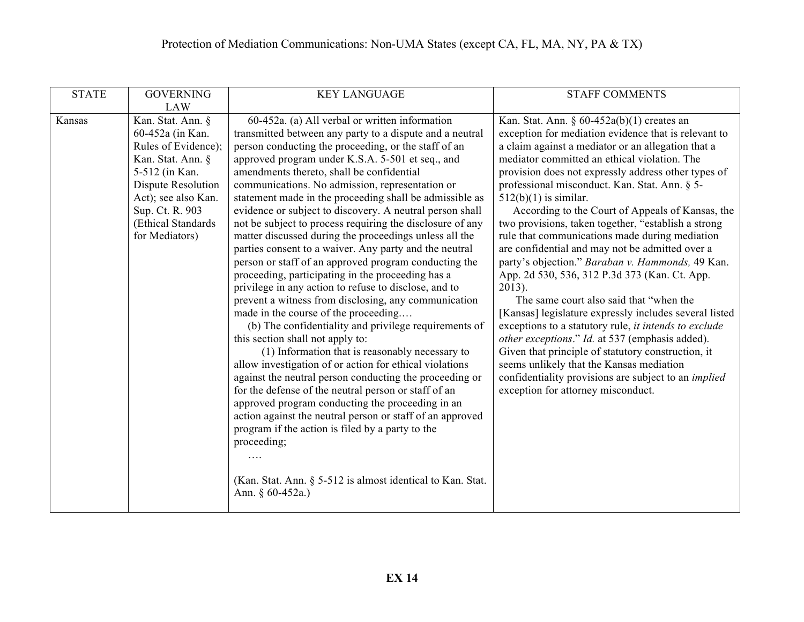| <b>STATE</b> | <b>GOVERNING</b>    | <b>KEY LANGUAGE</b>                                                               | <b>STAFF COMMENTS</b>                                       |
|--------------|---------------------|-----------------------------------------------------------------------------------|-------------------------------------------------------------|
|              | <b>LAW</b>          |                                                                                   |                                                             |
| Kansas       | Kan. Stat. Ann. §   | 60-452a. (a) All verbal or written information                                    | Kan. Stat. Ann. § $60-452a(b)(1)$ creates an                |
|              | 60-452a (in Kan.    | transmitted between any party to a dispute and a neutral                          | exception for mediation evidence that is relevant to        |
|              | Rules of Evidence); | person conducting the proceeding, or the staff of an                              | a claim against a mediator or an allegation that a          |
|              | Kan. Stat. Ann. §   | approved program under K.S.A. 5-501 et seq., and                                  | mediator committed an ethical violation. The                |
|              | 5-512 (in Kan.      | amendments thereto, shall be confidential                                         | provision does not expressly address other types of         |
|              | Dispute Resolution  | communications. No admission, representation or                                   | professional misconduct. Kan. Stat. Ann. § 5-               |
|              | Act); see also Kan. | statement made in the proceeding shall be admissible as                           | $512(b)(1)$ is similar.                                     |
|              | Sup. Ct. R. 903     | evidence or subject to discovery. A neutral person shall                          | According to the Court of Appeals of Kansas, the            |
|              | (Ethical Standards) | not be subject to process requiring the disclosure of any                         | two provisions, taken together, "establish a strong         |
|              | for Mediators)      | matter discussed during the proceedings unless all the                            | rule that communications made during mediation              |
|              |                     | parties consent to a waiver. Any party and the neutral                            | are confidential and may not be admitted over a             |
|              |                     | person or staff of an approved program conducting the                             | party's objection." Baraban v. Hammonds, 49 Kan.            |
|              |                     | proceeding, participating in the proceeding has a                                 | App. 2d 530, 536, 312 P.3d 373 (Kan. Ct. App.               |
|              |                     | privilege in any action to refuse to disclose, and to                             | $2013$ ).                                                   |
|              |                     | prevent a witness from disclosing, any communication                              | The same court also said that "when the                     |
|              |                     | made in the course of the proceeding                                              | [Kansas] legislature expressly includes several listed      |
|              |                     | (b) The confidentiality and privilege requirements of                             | exceptions to a statutory rule, it intends to exclude       |
|              |                     | this section shall not apply to:                                                  | other exceptions." Id. at 537 (emphasis added).             |
|              |                     | (1) Information that is reasonably necessary to                                   | Given that principle of statutory construction, it          |
|              |                     | allow investigation of or action for ethical violations                           | seems unlikely that the Kansas mediation                    |
|              |                     | against the neutral person conducting the proceeding or                           | confidentiality provisions are subject to an <i>implied</i> |
|              |                     | for the defense of the neutral person or staff of an                              | exception for attorney misconduct.                          |
|              |                     | approved program conducting the proceeding in an                                  |                                                             |
|              |                     | action against the neutral person or staff of an approved                         |                                                             |
|              |                     | program if the action is filed by a party to the                                  |                                                             |
|              |                     | proceeding;                                                                       |                                                             |
|              |                     | $\cdots$                                                                          |                                                             |
|              |                     |                                                                                   |                                                             |
|              |                     | (Kan. Stat. Ann. § 5-512 is almost identical to Kan. Stat.<br>Ann. § $60-452a$ .) |                                                             |
|              |                     |                                                                                   |                                                             |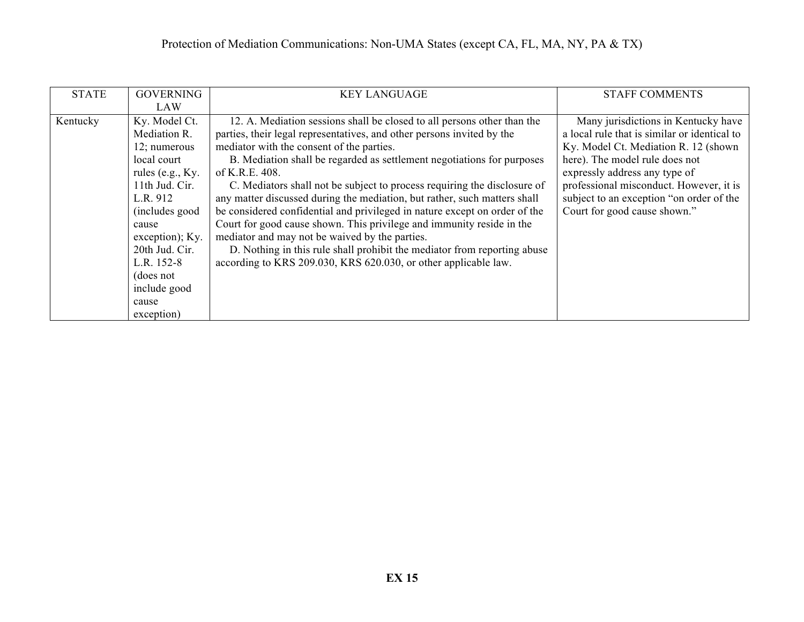| <b>STATE</b> | <b>GOVERNING</b>   | <b>KEY LANGUAGE</b>                                                        | <b>STAFF COMMENTS</b>                        |
|--------------|--------------------|----------------------------------------------------------------------------|----------------------------------------------|
|              | LAW                |                                                                            |                                              |
| Kentucky     | Ky. Model Ct.      | 12. A. Mediation sessions shall be closed to all persons other than the    | Many jurisdictions in Kentucky have          |
|              | Mediation R.       | parties, their legal representatives, and other persons invited by the     | a local rule that is similar or identical to |
|              | 12; numerous       | mediator with the consent of the parties.                                  | Ky. Model Ct. Mediation R. 12 (shown)        |
|              | local court        | B. Mediation shall be regarded as settlement negotiations for purposes     | here). The model rule does not               |
|              | rules (e.g., Ky.   | of K.R.E. 408.                                                             | expressly address any type of                |
|              | 11th Jud. Cir.     | C. Mediators shall not be subject to process requiring the disclosure of   | professional misconduct. However, it is      |
|              | L.R. 912           | any matter discussed during the mediation, but rather, such matters shall  | subject to an exception "on order of the     |
|              | (includes good     | be considered confidential and privileged in nature except on order of the | Court for good cause shown."                 |
|              | cause              | Court for good cause shown. This privilege and immunity reside in the      |                                              |
|              | $exception)$ ; Ky. | mediator and may not be waived by the parties.                             |                                              |
|              | 20th Jud. Cir.     | D. Nothing in this rule shall prohibit the mediator from reporting abuse   |                                              |
|              | L.R. $152-8$       | according to KRS 209.030, KRS 620.030, or other applicable law.            |                                              |
|              | (does not          |                                                                            |                                              |
|              | include good       |                                                                            |                                              |
|              | cause              |                                                                            |                                              |
|              | exception)         |                                                                            |                                              |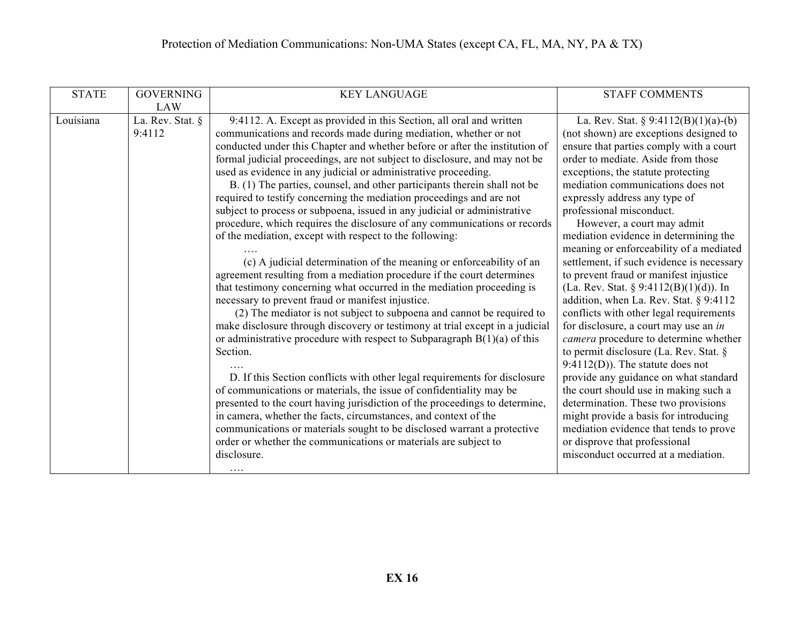| <b>STATE</b> | <b>GOVERNING</b>           | <b>KEY LANGUAGE</b>                                                                                                                                                                                                                                                                                                                                                                                                                                                                                                                                                                                                                                                                                                                                                                                                                                                                                                                                                                                                                                                                                                                                                                                                                                                                                                                                                                                                                                                                                                                                                                                                                                                                                                                                  | <b>STAFF COMMENTS</b>                                                                                                                                                                                                                                                                                                                                                                                                                                                                                                                                                                                                                                                                                                                                                                                                                                                                                                                                                                                                                                                                                     |
|--------------|----------------------------|------------------------------------------------------------------------------------------------------------------------------------------------------------------------------------------------------------------------------------------------------------------------------------------------------------------------------------------------------------------------------------------------------------------------------------------------------------------------------------------------------------------------------------------------------------------------------------------------------------------------------------------------------------------------------------------------------------------------------------------------------------------------------------------------------------------------------------------------------------------------------------------------------------------------------------------------------------------------------------------------------------------------------------------------------------------------------------------------------------------------------------------------------------------------------------------------------------------------------------------------------------------------------------------------------------------------------------------------------------------------------------------------------------------------------------------------------------------------------------------------------------------------------------------------------------------------------------------------------------------------------------------------------------------------------------------------------------------------------------------------------|-----------------------------------------------------------------------------------------------------------------------------------------------------------------------------------------------------------------------------------------------------------------------------------------------------------------------------------------------------------------------------------------------------------------------------------------------------------------------------------------------------------------------------------------------------------------------------------------------------------------------------------------------------------------------------------------------------------------------------------------------------------------------------------------------------------------------------------------------------------------------------------------------------------------------------------------------------------------------------------------------------------------------------------------------------------------------------------------------------------|
|              | <b>LAW</b>                 |                                                                                                                                                                                                                                                                                                                                                                                                                                                                                                                                                                                                                                                                                                                                                                                                                                                                                                                                                                                                                                                                                                                                                                                                                                                                                                                                                                                                                                                                                                                                                                                                                                                                                                                                                      |                                                                                                                                                                                                                                                                                                                                                                                                                                                                                                                                                                                                                                                                                                                                                                                                                                                                                                                                                                                                                                                                                                           |
| Louisiana    | La. Rev. Stat. §<br>9:4112 | 9:4112. A. Except as provided in this Section, all oral and written<br>communications and records made during mediation, whether or not<br>conducted under this Chapter and whether before or after the institution of<br>formal judicial proceedings, are not subject to disclosure, and may not be<br>used as evidence in any judicial or administrative proceeding.<br>B. (1) The parties, counsel, and other participants therein shall not be<br>required to testify concerning the mediation proceedings and are not<br>subject to process or subpoena, issued in any judicial or administrative<br>procedure, which requires the disclosure of any communications or records<br>of the mediation, except with respect to the following:<br>(c) A judicial determination of the meaning or enforceability of an<br>agreement resulting from a mediation procedure if the court determines<br>that testimony concerning what occurred in the mediation proceeding is<br>necessary to prevent fraud or manifest injustice.<br>(2) The mediator is not subject to subpoena and cannot be required to<br>make disclosure through discovery or testimony at trial except in a judicial<br>or administrative procedure with respect to Subparagraph $B(1)(a)$ of this<br>Section.<br>D. If this Section conflicts with other legal requirements for disclosure<br>of communications or materials, the issue of confidentiality may be<br>presented to the court having jurisdiction of the proceedings to determine,<br>in camera, whether the facts, circumstances, and context of the<br>communications or materials sought to be disclosed warrant a protective<br>order or whether the communications or materials are subject to<br>disclosure. | La. Rev. Stat. § 9:4112(B)(1)(a)-(b)<br>(not shown) are exceptions designed to<br>ensure that parties comply with a court<br>order to mediate. Aside from those<br>exceptions, the statute protecting<br>mediation communications does not<br>expressly address any type of<br>professional misconduct.<br>However, a court may admit<br>mediation evidence in determining the<br>meaning or enforceability of a mediated<br>settlement, if such evidence is necessary<br>to prevent fraud or manifest injustice<br>(La. Rev. Stat. § 9:4112(B)(1)(d)). In<br>addition, when La. Rev. Stat. § 9:4112<br>conflicts with other legal requirements<br>for disclosure, a court may use an in<br>camera procedure to determine whether<br>to permit disclosure (La. Rev. Stat. $\S$<br>$9:4112(D)$ ). The statute does not<br>provide any guidance on what standard<br>the court should use in making such a<br>determination. These two provisions<br>might provide a basis for introducing<br>mediation evidence that tends to prove<br>or disprove that professional<br>misconduct occurred at a mediation. |
|              |                            | $\cdots$                                                                                                                                                                                                                                                                                                                                                                                                                                                                                                                                                                                                                                                                                                                                                                                                                                                                                                                                                                                                                                                                                                                                                                                                                                                                                                                                                                                                                                                                                                                                                                                                                                                                                                                                             |                                                                                                                                                                                                                                                                                                                                                                                                                                                                                                                                                                                                                                                                                                                                                                                                                                                                                                                                                                                                                                                                                                           |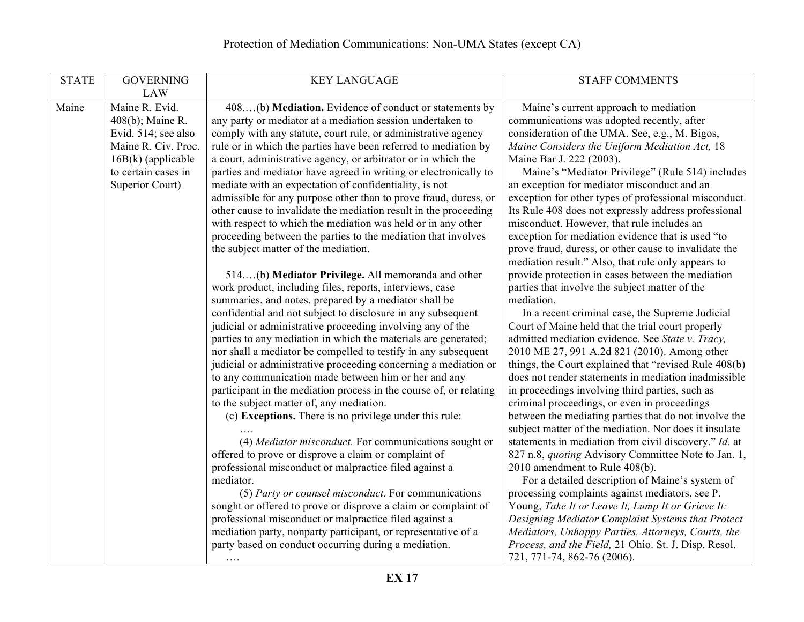| <b>STATE</b> | <b>GOVERNING</b>     | <b>KEY LANGUAGE</b>                                                | <b>STAFF COMMENTS</b>                                      |
|--------------|----------------------|--------------------------------------------------------------------|------------------------------------------------------------|
|              | <b>LAW</b>           |                                                                    |                                                            |
|              |                      |                                                                    |                                                            |
| Maine        | Maine R. Evid.       | 408(b) Mediation. Evidence of conduct or statements by             | Maine's current approach to mediation                      |
|              | 408(b); Maine R.     | any party or mediator at a mediation session undertaken to         | communications was adopted recently, after                 |
|              | Evid. 514; see also  | comply with any statute, court rule, or administrative agency      | consideration of the UMA. See, e.g., M. Bigos,             |
|              | Maine R. Civ. Proc.  | rule or in which the parties have been referred to mediation by    | Maine Considers the Uniform Mediation Act, 18              |
|              | $16B(k)$ (applicable | a court, administrative agency, or arbitrator or in which the      | Maine Bar J. 222 (2003).                                   |
|              | to certain cases in  | parties and mediator have agreed in writing or electronically to   | Maine's "Mediator Privilege" (Rule 514) includes           |
|              | Superior Court)      | mediate with an expectation of confidentiality, is not             | an exception for mediator misconduct and an                |
|              |                      | admissible for any purpose other than to prove fraud, duress, or   | exception for other types of professional misconduct.      |
|              |                      | other cause to invalidate the mediation result in the proceeding   | Its Rule 408 does not expressly address professional       |
|              |                      | with respect to which the mediation was held or in any other       | misconduct. However, that rule includes an                 |
|              |                      | proceeding between the parties to the mediation that involves      | exception for mediation evidence that is used "to          |
|              |                      | the subject matter of the mediation.                               | prove fraud, duress, or other cause to invalidate the      |
|              |                      |                                                                    | mediation result." Also, that rule only appears to         |
|              |                      | 514(b) Mediator Privilege. All memoranda and other                 | provide protection in cases between the mediation          |
|              |                      | work product, including files, reports, interviews, case           | parties that involve the subject matter of the             |
|              |                      | summaries, and notes, prepared by a mediator shall be              | mediation.                                                 |
|              |                      | confidential and not subject to disclosure in any subsequent       | In a recent criminal case, the Supreme Judicial            |
|              |                      | judicial or administrative proceeding involving any of the         | Court of Maine held that the trial court properly          |
|              |                      | parties to any mediation in which the materials are generated;     | admitted mediation evidence. See State v. Tracy,           |
|              |                      | nor shall a mediator be compelled to testify in any subsequent     | 2010 ME 27, 991 A.2d 821 (2010). Among other               |
|              |                      | judicial or administrative proceeding concerning a mediation or    | things, the Court explained that "revised Rule 408(b)      |
|              |                      | to any communication made between him or her and any               | does not render statements in mediation inadmissible       |
|              |                      | participant in the mediation process in the course of, or relating | in proceedings involving third parties, such as            |
|              |                      | to the subject matter of, any mediation.                           | criminal proceedings, or even in proceedings               |
|              |                      | (c) Exceptions. There is no privilege under this rule:             | between the mediating parties that do not involve the      |
|              |                      |                                                                    | subject matter of the mediation. Nor does it insulate      |
|              |                      | (4) Mediator misconduct. For communications sought or              | statements in mediation from civil discovery." Id. at      |
|              |                      | offered to prove or disprove a claim or complaint of               | 827 n.8, <i>quoting</i> Advisory Committee Note to Jan. 1, |
|              |                      | professional misconduct or malpractice filed against a             | 2010 amendment to Rule 408(b).                             |
|              |                      | mediator.                                                          | For a detailed description of Maine's system of            |
|              |                      | (5) Party or counsel misconduct. For communications                | processing complaints against mediators, see P.            |
|              |                      | sought or offered to prove or disprove a claim or complaint of     | Young, Take It or Leave It, Lump It or Grieve It:          |
|              |                      | professional misconduct or malpractice filed against a             | Designing Mediator Complaint Systems that Protect          |
|              |                      | mediation party, nonparty participant, or representative of a      | Mediators, Unhappy Parties, Attorneys, Courts, the         |
|              |                      | party based on conduct occurring during a mediation.               | Process, and the Field, 21 Ohio. St. J. Disp. Resol.       |
|              |                      |                                                                    | 721, 771-74, 862-76 (2006).                                |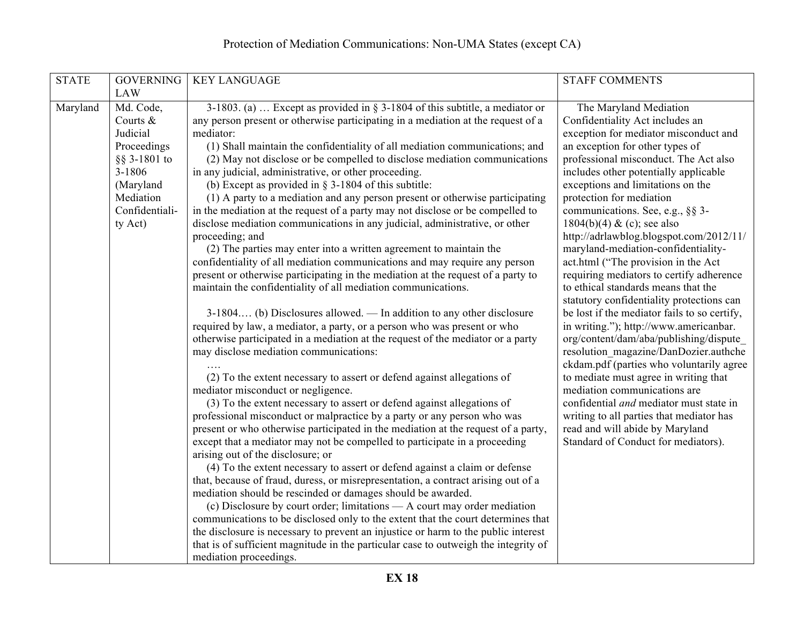| <b>STATE</b> | <b>GOVERNING</b> | <b>KEY LANGUAGE</b>                                                                                                                               | <b>STAFF COMMENTS</b>                                                                  |
|--------------|------------------|---------------------------------------------------------------------------------------------------------------------------------------------------|----------------------------------------------------------------------------------------|
|              | <b>LAW</b>       |                                                                                                                                                   |                                                                                        |
| Maryland     | Md. Code,        | 3-1803. (a)  Except as provided in $\S$ 3-1804 of this subtitle, a mediator or                                                                    | The Maryland Mediation                                                                 |
|              | Courts $\&$      | any person present or otherwise participating in a mediation at the request of a                                                                  | Confidentiality Act includes an                                                        |
|              | Judicial         | mediator:                                                                                                                                         | exception for mediator misconduct and                                                  |
|              | Proceedings      | (1) Shall maintain the confidentiality of all mediation communications; and                                                                       | an exception for other types of                                                        |
|              | $\S$ § 3-1801 to | (2) May not disclose or be compelled to disclose mediation communications                                                                         | professional misconduct. The Act also                                                  |
|              | 3-1806           | in any judicial, administrative, or other proceeding.                                                                                             | includes other potentially applicable                                                  |
|              | (Maryland        | (b) Except as provided in $\S$ 3-1804 of this subtitle:                                                                                           | exceptions and limitations on the                                                      |
|              | Mediation        | (1) A party to a mediation and any person present or otherwise participating                                                                      | protection for mediation                                                               |
|              | Confidentiali-   | in the mediation at the request of a party may not disclose or be compelled to                                                                    | communications. See, e.g., §§ 3-                                                       |
|              | ty Act)          | disclose mediation communications in any judicial, administrative, or other                                                                       | $1804(b)(4) \& (c)$ ; see also                                                         |
|              |                  | proceeding; and                                                                                                                                   | http://adrlawblog.blogspot.com/2012/11/                                                |
|              |                  | (2) The parties may enter into a written agreement to maintain the                                                                                | maryland-mediation-confidentiality-                                                    |
|              |                  | confidentiality of all mediation communications and may require any person                                                                        | act.html ("The provision in the Act                                                    |
|              |                  | present or otherwise participating in the mediation at the request of a party to                                                                  | requiring mediators to certify adherence                                               |
|              |                  | maintain the confidentiality of all mediation communications.                                                                                     | to ethical standards means that the                                                    |
|              |                  |                                                                                                                                                   | statutory confidentiality protections can                                              |
|              |                  | 3-1804 (b) Disclosures allowed. — In addition to any other disclosure<br>required by law, a mediator, a party, or a person who was present or who | be lost if the mediator fails to so certify,<br>in writing."); http://www.americanbar. |
|              |                  | otherwise participated in a mediation at the request of the mediator or a party                                                                   | org/content/dam/aba/publishing/dispute_                                                |
|              |                  | may disclose mediation communications:                                                                                                            | resolution magazine/DanDozier.authche                                                  |
|              |                  |                                                                                                                                                   | ckdam.pdf (parties who voluntarily agree                                               |
|              |                  | (2) To the extent necessary to assert or defend against allegations of                                                                            | to mediate must agree in writing that                                                  |
|              |                  | mediator misconduct or negligence.                                                                                                                | mediation communications are                                                           |
|              |                  | (3) To the extent necessary to assert or defend against allegations of                                                                            | confidential <i>and</i> mediator must state in                                         |
|              |                  | professional misconduct or malpractice by a party or any person who was                                                                           | writing to all parties that mediator has                                               |
|              |                  | present or who otherwise participated in the mediation at the request of a party,                                                                 | read and will abide by Maryland                                                        |
|              |                  | except that a mediator may not be compelled to participate in a proceeding                                                                        | Standard of Conduct for mediators).                                                    |
|              |                  | arising out of the disclosure; or                                                                                                                 |                                                                                        |
|              |                  | (4) To the extent necessary to assert or defend against a claim or defense                                                                        |                                                                                        |
|              |                  | that, because of fraud, duress, or misrepresentation, a contract arising out of a                                                                 |                                                                                        |
|              |                  | mediation should be rescinded or damages should be awarded.                                                                                       |                                                                                        |
|              |                  | (c) Disclosure by court order; limitations - A court may order mediation                                                                          |                                                                                        |
|              |                  | communications to be disclosed only to the extent that the court determines that                                                                  |                                                                                        |
|              |                  | the disclosure is necessary to prevent an injustice or harm to the public interest                                                                |                                                                                        |
|              |                  | that is of sufficient magnitude in the particular case to outweigh the integrity of                                                               |                                                                                        |
|              |                  | mediation proceedings.                                                                                                                            |                                                                                        |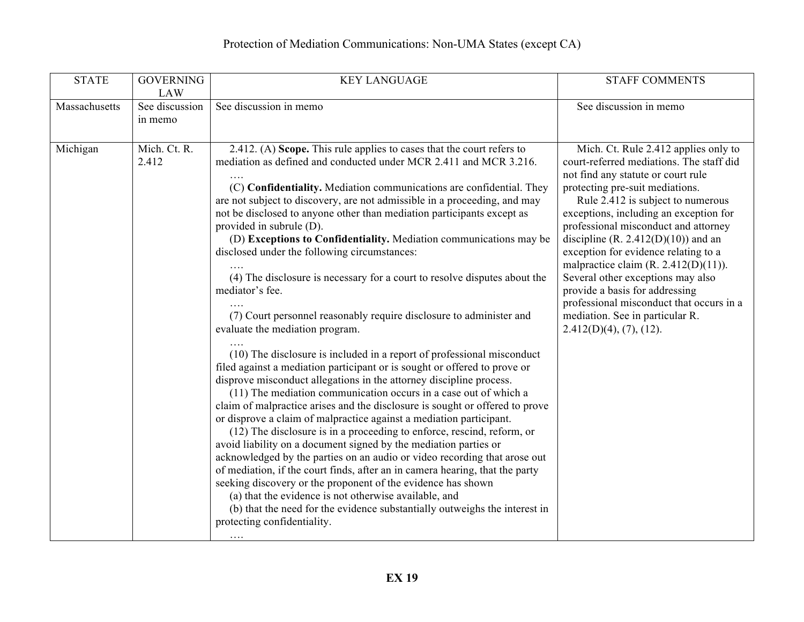| <b>STATE</b>  | <b>GOVERNING</b><br><b>LAW</b> | <b>KEY LANGUAGE</b>                                                                                                                                                                                                                                                                                                                                                                                                                                                                                                                                                                                                                                                                                                                                                                                                                                                                                                                                                                                                                                                                                                                                                                                                                                                                                                                                                                                                                                                                                                                                                                                                                                                                                                                                  | <b>STAFF COMMENTS</b>                                                                                                                                                                                                                                                                                                                                                                                                                                                                                                                                                                          |
|---------------|--------------------------------|------------------------------------------------------------------------------------------------------------------------------------------------------------------------------------------------------------------------------------------------------------------------------------------------------------------------------------------------------------------------------------------------------------------------------------------------------------------------------------------------------------------------------------------------------------------------------------------------------------------------------------------------------------------------------------------------------------------------------------------------------------------------------------------------------------------------------------------------------------------------------------------------------------------------------------------------------------------------------------------------------------------------------------------------------------------------------------------------------------------------------------------------------------------------------------------------------------------------------------------------------------------------------------------------------------------------------------------------------------------------------------------------------------------------------------------------------------------------------------------------------------------------------------------------------------------------------------------------------------------------------------------------------------------------------------------------------------------------------------------------------|------------------------------------------------------------------------------------------------------------------------------------------------------------------------------------------------------------------------------------------------------------------------------------------------------------------------------------------------------------------------------------------------------------------------------------------------------------------------------------------------------------------------------------------------------------------------------------------------|
| Massachusetts | See discussion<br>in memo      | See discussion in memo                                                                                                                                                                                                                                                                                                                                                                                                                                                                                                                                                                                                                                                                                                                                                                                                                                                                                                                                                                                                                                                                                                                                                                                                                                                                                                                                                                                                                                                                                                                                                                                                                                                                                                                               | See discussion in memo                                                                                                                                                                                                                                                                                                                                                                                                                                                                                                                                                                         |
| Michigan      | Mich. Ct. R.<br>2.412          | 2.412. (A) Scope. This rule applies to cases that the court refers to<br>mediation as defined and conducted under MCR 2.411 and MCR 3.216.<br>(C) Confidentiality. Mediation communications are confidential. They<br>are not subject to discovery, are not admissible in a proceeding, and may<br>not be disclosed to anyone other than mediation participants except as<br>provided in subrule (D).<br>(D) Exceptions to Confidentiality. Mediation communications may be<br>disclosed under the following circumstances:<br>(4) The disclosure is necessary for a court to resolve disputes about the<br>mediator's fee.<br>(7) Court personnel reasonably require disclosure to administer and<br>evaluate the mediation program.<br>(10) The disclosure is included in a report of professional misconduct<br>filed against a mediation participant or is sought or offered to prove or<br>disprove misconduct allegations in the attorney discipline process.<br>(11) The mediation communication occurs in a case out of which a<br>claim of malpractice arises and the disclosure is sought or offered to prove<br>or disprove a claim of malpractice against a mediation participant.<br>(12) The disclosure is in a proceeding to enforce, rescind, reform, or<br>avoid liability on a document signed by the mediation parties or<br>acknowledged by the parties on an audio or video recording that arose out<br>of mediation, if the court finds, after an in camera hearing, that the party<br>seeking discovery or the proponent of the evidence has shown<br>(a) that the evidence is not otherwise available, and<br>(b) that the need for the evidence substantially outweighs the interest in<br>protecting confidentiality.<br>. | Mich. Ct. Rule 2.412 applies only to<br>court-referred mediations. The staff did<br>not find any statute or court rule<br>protecting pre-suit mediations.<br>Rule 2.412 is subject to numerous<br>exceptions, including an exception for<br>professional misconduct and attorney<br>discipline (R. 2.412(D)(10)) and an<br>exception for evidence relating to a<br>malpractice claim $(R. 2.412(D)(11))$ .<br>Several other exceptions may also<br>provide a basis for addressing<br>professional misconduct that occurs in a<br>mediation. See in particular R.<br>$2.412(D)(4)$ , (7), (12). |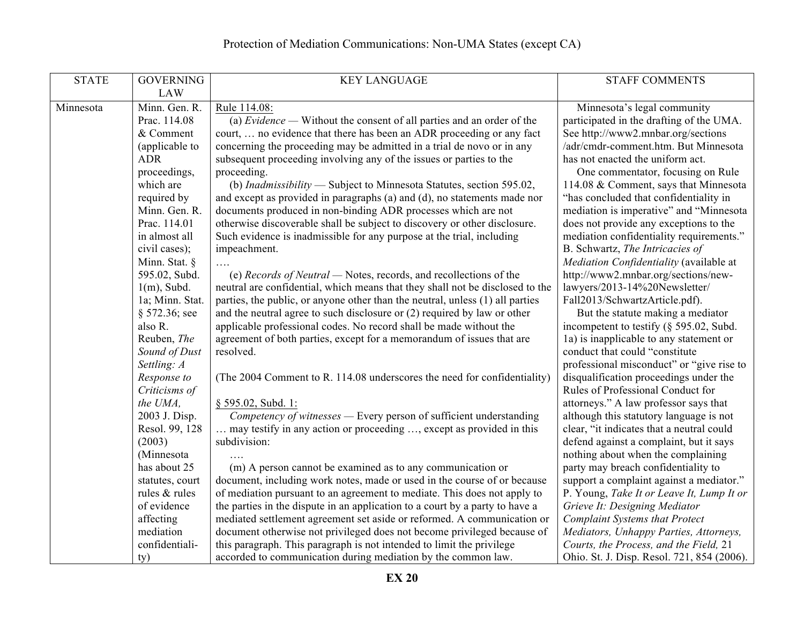| <b>STATE</b> | <b>GOVERNING</b>     | <b>KEY LANGUAGE</b>                                                                  | <b>STAFF COMMENTS</b>                                                         |
|--------------|----------------------|--------------------------------------------------------------------------------------|-------------------------------------------------------------------------------|
|              | <b>LAW</b>           |                                                                                      |                                                                               |
| Minnesota    | Minn. Gen. R.        | Rule 114.08:                                                                         | Minnesota's legal community                                                   |
|              | Prac. 114.08         | (a) $Evidence$ — Without the consent of all parties and an order of the              | participated in the drafting of the UMA.                                      |
|              | & Comment            | court,  no evidence that there has been an ADR proceeding or any fact                | See http://www2.mnbar.org/sections                                            |
|              | (applicable to       | concerning the proceeding may be admitted in a trial de novo or in any               | /adr/cmdr-comment.htm. But Minnesota                                          |
|              | <b>ADR</b>           | subsequent proceeding involving any of the issues or parties to the                  | has not enacted the uniform act.                                              |
|              | proceedings,         | proceeding.                                                                          | One commentator, focusing on Rule                                             |
|              | which are            | (b) Inadmissibility - Subject to Minnesota Statutes, section 595.02,                 | 114.08 & Comment, says that Minnesota                                         |
|              | required by          | and except as provided in paragraphs (a) and (d), no statements made nor             | "has concluded that confidentiality in                                        |
|              | Minn. Gen. R.        | documents produced in non-binding ADR processes which are not                        | mediation is imperative" and "Minnesota                                       |
|              | Prac. 114.01         | otherwise discoverable shall be subject to discovery or other disclosure.            | does not provide any exceptions to the                                        |
|              | in almost all        | Such evidence is inadmissible for any purpose at the trial, including                | mediation confidentiality requirements."                                      |
|              | civil cases);        | impeachment.                                                                         | B. Schwartz, The Intricacies of                                               |
|              | Minn. Stat. §        | .                                                                                    | Mediation Confidentiality (available at                                       |
|              | 595.02, Subd.        | (e) Records of Neutral — Notes, records, and recollections of the                    | http://www2.mnbar.org/sections/new-                                           |
|              | $1(m)$ , Subd.       | neutral are confidential, which means that they shall not be disclosed to the        | lawyers/2013-14%20Newsletter/                                                 |
|              | 1a; Minn. Stat.      | parties, the public, or anyone other than the neutral, unless (1) all parties        | Fall2013/SchwartzArticle.pdf).                                                |
|              | $§$ 572.36; see      | and the neutral agree to such disclosure or $(2)$ required by law or other           | But the statute making a mediator                                             |
|              | also R.              | applicable professional codes. No record shall be made without the                   | incompetent to testify $(\S 595.02, Subd)$ .                                  |
|              | Reuben, The          | agreement of both parties, except for a memorandum of issues that are                | 1a) is inapplicable to any statement or                                       |
|              | Sound of Dust        | resolved.                                                                            | conduct that could "constitute                                                |
|              | Settling: A          |                                                                                      | professional misconduct" or "give rise to                                     |
|              | Response to          | (The 2004 Comment to R. 114.08 underscores the need for confidentiality)             | disqualification proceedings under the                                        |
|              | Criticisms of        |                                                                                      | Rules of Professional Conduct for                                             |
|              | the UMA,             | § 595.02, Subd. 1:                                                                   | attorneys." A law professor says that                                         |
|              | 2003 J. Disp.        | Competency of witnesses — Every person of sufficient understanding                   | although this statutory language is not                                       |
|              | Resol. 99, 128       | may testify in any action or proceeding , except as provided in this<br>subdivision: | clear, "it indicates that a neutral could                                     |
|              | (2003)<br>(Minnesota |                                                                                      | defend against a complaint, but it says<br>nothing about when the complaining |
|              | has about 25         | (m) A person cannot be examined as to any communication or                           | party may breach confidentiality to                                           |
|              | statutes, court      | document, including work notes, made or used in the course of or because             | support a complaint against a mediator."                                      |
|              | rules & rules        | of mediation pursuant to an agreement to mediate. This does not apply to             | P. Young, Take It or Leave It, Lump It or                                     |
|              | of evidence          | the parties in the dispute in an application to a court by a party to have a         | Grieve It: Designing Mediator                                                 |
|              | affecting            | mediated settlement agreement set aside or reformed. A communication or              | <b>Complaint Systems that Protect</b>                                         |
|              | mediation            | document otherwise not privileged does not become privileged because of              | Mediators, Unhappy Parties, Attorneys,                                        |
|              | confidentiali-       | this paragraph. This paragraph is not intended to limit the privilege                | Courts, the Process, and the Field, 21                                        |
|              | ty)                  | accorded to communication during mediation by the common law.                        | Ohio. St. J. Disp. Resol. 721, 854 (2006).                                    |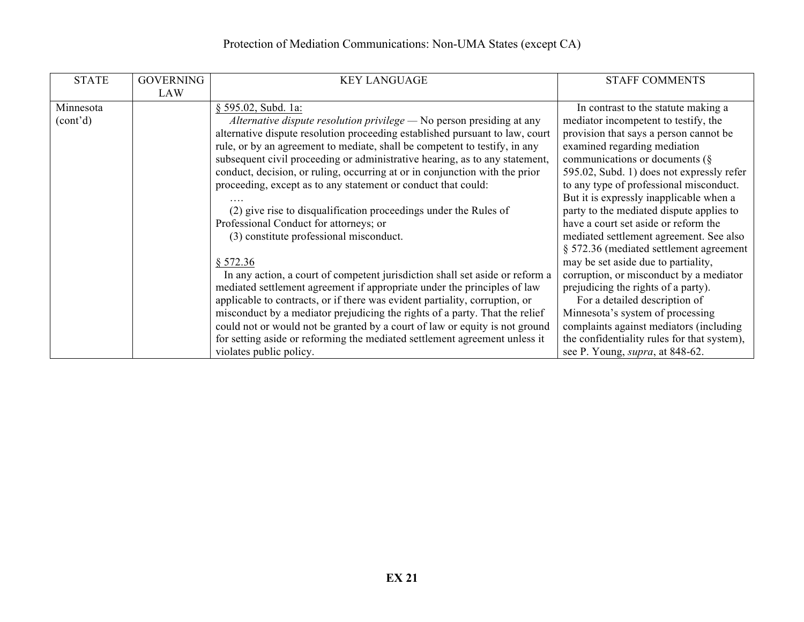# Protection of Mediation Communications: Non-UMA States (except CA)

| <b>STATE</b>          | <b>GOVERNING</b> | <b>KEY LANGUAGE</b>                                                          | <b>STAFF COMMENTS</b>                       |
|-----------------------|------------------|------------------------------------------------------------------------------|---------------------------------------------|
| Minnesota             | <b>LAW</b>       | § 595.02, Subd. 1a:                                                          | In contrast to the statute making a         |
| (cont <sup>2</sup> d) |                  | Alternative dispute resolution privilege - No person presiding at any        | mediator incompetent to testify, the        |
|                       |                  | alternative dispute resolution proceeding established pursuant to law, court | provision that says a person cannot be      |
|                       |                  | rule, or by an agreement to mediate, shall be competent to testify, in any   | examined regarding mediation                |
|                       |                  | subsequent civil proceeding or administrative hearing, as to any statement,  | communications or documents $(\S$           |
|                       |                  | conduct, decision, or ruling, occurring at or in conjunction with the prior  | 595.02, Subd. 1) does not expressly refer   |
|                       |                  | proceeding, except as to any statement or conduct that could:                | to any type of professional misconduct.     |
|                       |                  |                                                                              | But it is expressly inapplicable when a     |
|                       |                  | (2) give rise to disqualification proceedings under the Rules of             | party to the mediated dispute applies to    |
|                       |                  | Professional Conduct for attorneys; or                                       | have a court set aside or reform the        |
|                       |                  | (3) constitute professional misconduct.                                      | mediated settlement agreement. See also     |
|                       |                  |                                                                              | § 572.36 (mediated settlement agreement     |
|                       |                  | § 572.36                                                                     | may be set aside due to partiality,         |
|                       |                  | In any action, a court of competent jurisdiction shall set aside or reform a | corruption, or misconduct by a mediator     |
|                       |                  | mediated settlement agreement if appropriate under the principles of law     | prejudicing the rights of a party).         |
|                       |                  | applicable to contracts, or if there was evident partiality, corruption, or  | For a detailed description of               |
|                       |                  | misconduct by a mediator prejudicing the rights of a party. That the relief  | Minnesota's system of processing            |
|                       |                  | could not or would not be granted by a court of law or equity is not ground  | complaints against mediators (including     |
|                       |                  | for setting aside or reforming the mediated settlement agreement unless it   | the confidentiality rules for that system), |
|                       |                  | violates public policy.                                                      | see P. Young, <i>supra</i> , at 848-62.     |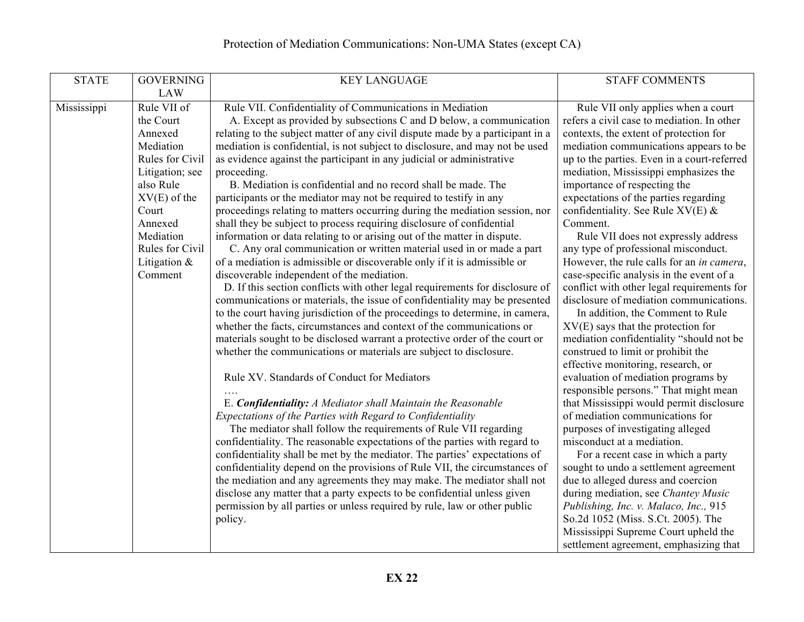| <b>STATE</b> | <b>GOVERNING</b> | <b>KEY LANGUAGE</b>                                                            | <b>STAFF COMMENTS</b>                       |
|--------------|------------------|--------------------------------------------------------------------------------|---------------------------------------------|
|              | <b>LAW</b>       |                                                                                |                                             |
|              |                  |                                                                                |                                             |
| Mississippi  | Rule VII of      | Rule VII. Confidentiality of Communications in Mediation                       | Rule VII only applies when a court          |
|              | the Court        | A. Except as provided by subsections C and D below, a communication            | refers a civil case to mediation. In other  |
|              | Annexed          | relating to the subject matter of any civil dispute made by a participant in a | contexts, the extent of protection for      |
|              | Mediation        | mediation is confidential, is not subject to disclosure, and may not be used   | mediation communications appears to be      |
|              | Rules for Civil  | as evidence against the participant in any judicial or administrative          | up to the parties. Even in a court-referred |
|              | Litigation; see  | proceeding.                                                                    | mediation, Mississippi emphasizes the       |
|              | also Rule        | B. Mediation is confidential and no record shall be made. The                  | importance of respecting the                |
|              | $XV(E)$ of the   | participants or the mediator may not be required to testify in any             | expectations of the parties regarding       |
|              | Court            | proceedings relating to matters occurring during the mediation session, nor    | confidentiality. See Rule $XV(E)$ &         |
|              | Annexed          | shall they be subject to process requiring disclosure of confidential          | Comment.                                    |
|              | Mediation        | information or data relating to or arising out of the matter in dispute.       | Rule VII does not expressly address         |
|              | Rules for Civil  | C. Any oral communication or written material used in or made a part           | any type of professional misconduct.        |
|              | Litigation $\&$  | of a mediation is admissible or discoverable only if it is admissible or       | However, the rule calls for an in camera,   |
|              | Comment          | discoverable independent of the mediation.                                     | case-specific analysis in the event of a    |
|              |                  | D. If this section conflicts with other legal requirements for disclosure of   | conflict with other legal requirements for  |
|              |                  | communications or materials, the issue of confidentiality may be presented     | disclosure of mediation communications.     |
|              |                  | to the court having jurisdiction of the proceedings to determine, in camera,   | In addition, the Comment to Rule            |
|              |                  | whether the facts, circumstances and context of the communications or          | $XV(E)$ says that the protection for        |
|              |                  | materials sought to be disclosed warrant a protective order of the court or    | mediation confidentiality "should not be    |
|              |                  | whether the communications or materials are subject to disclosure.             | construed to limit or prohibit the          |
|              |                  |                                                                                | effective monitoring, research, or          |
|              |                  | Rule XV. Standards of Conduct for Mediators                                    | evaluation of mediation programs by         |
|              |                  |                                                                                | responsible persons." That might mean       |
|              |                  | E. Confidentiality: A Mediator shall Maintain the Reasonable                   | that Mississippi would permit disclosure    |
|              |                  | Expectations of the Parties with Regard to Confidentiality                     | of mediation communications for             |
|              |                  | The mediator shall follow the requirements of Rule VII regarding               | purposes of investigating alleged           |
|              |                  | confidentiality. The reasonable expectations of the parties with regard to     | misconduct at a mediation.                  |
|              |                  | confidentiality shall be met by the mediator. The parties' expectations of     | For a recent case in which a party          |
|              |                  | confidentiality depend on the provisions of Rule VII, the circumstances of     | sought to undo a settlement agreement       |
|              |                  | the mediation and any agreements they may make. The mediator shall not         | due to alleged duress and coercion          |
|              |                  | disclose any matter that a party expects to be confidential unless given       | during mediation, see Chantey Music         |
|              |                  | permission by all parties or unless required by rule, law or other public      | Publishing, Inc. v. Malaco, Inc., 915       |
|              |                  | policy.                                                                        | So.2d 1052 (Miss. S.Ct. 2005). The          |
|              |                  |                                                                                | Mississippi Supreme Court upheld the        |
|              |                  |                                                                                |                                             |
|              |                  |                                                                                | settlement agreement, emphasizing that      |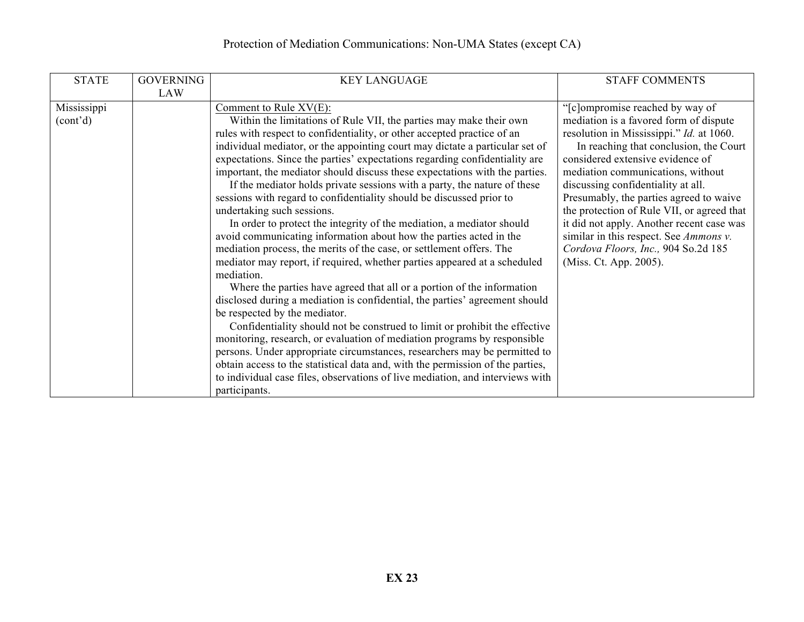# Protection of Mediation Communications: Non-UMA States (except CA)

| <b>STATE</b>          | <b>GOVERNING</b> | <b>KEY LANGUAGE</b>                                                            | <b>STAFF COMMENTS</b>                      |
|-----------------------|------------------|--------------------------------------------------------------------------------|--------------------------------------------|
|                       | LAW              |                                                                                |                                            |
| Mississippi           |                  | Comment to Rule XV(E):                                                         | "[c]ompromise reached by way of            |
| (cont <sup>2</sup> d) |                  | Within the limitations of Rule VII, the parties may make their own             | mediation is a favored form of dispute     |
|                       |                  | rules with respect to confidentiality, or other accepted practice of an        | resolution in Mississippi." Id. at 1060.   |
|                       |                  | individual mediator, or the appointing court may dictate a particular set of   | In reaching that conclusion, the Court     |
|                       |                  | expectations. Since the parties' expectations regarding confidentiality are    | considered extensive evidence of           |
|                       |                  | important, the mediator should discuss these expectations with the parties.    | mediation communications, without          |
|                       |                  | If the mediator holds private sessions with a party, the nature of these       | discussing confidentiality at all.         |
|                       |                  | sessions with regard to confidentiality should be discussed prior to           | Presumably, the parties agreed to waive    |
|                       |                  | undertaking such sessions.                                                     | the protection of Rule VII, or agreed that |
|                       |                  | In order to protect the integrity of the mediation, a mediator should          | it did not apply. Another recent case was  |
|                       |                  | avoid communicating information about how the parties acted in the             | similar in this respect. See Ammons v.     |
|                       |                  | mediation process, the merits of the case, or settlement offers. The           | Cordova Floors, Inc., 904 So.2d 185        |
|                       |                  | mediator may report, if required, whether parties appeared at a scheduled      | (Miss. Ct. App. 2005).                     |
|                       |                  | mediation.                                                                     |                                            |
|                       |                  | Where the parties have agreed that all or a portion of the information         |                                            |
|                       |                  | disclosed during a mediation is confidential, the parties' agreement should    |                                            |
|                       |                  | be respected by the mediator.                                                  |                                            |
|                       |                  | Confidentiality should not be construed to limit or prohibit the effective     |                                            |
|                       |                  | monitoring, research, or evaluation of mediation programs by responsible       |                                            |
|                       |                  | persons. Under appropriate circumstances, researchers may be permitted to      |                                            |
|                       |                  | obtain access to the statistical data and, with the permission of the parties, |                                            |
|                       |                  | to individual case files, observations of live mediation, and interviews with  |                                            |
|                       |                  | participants.                                                                  |                                            |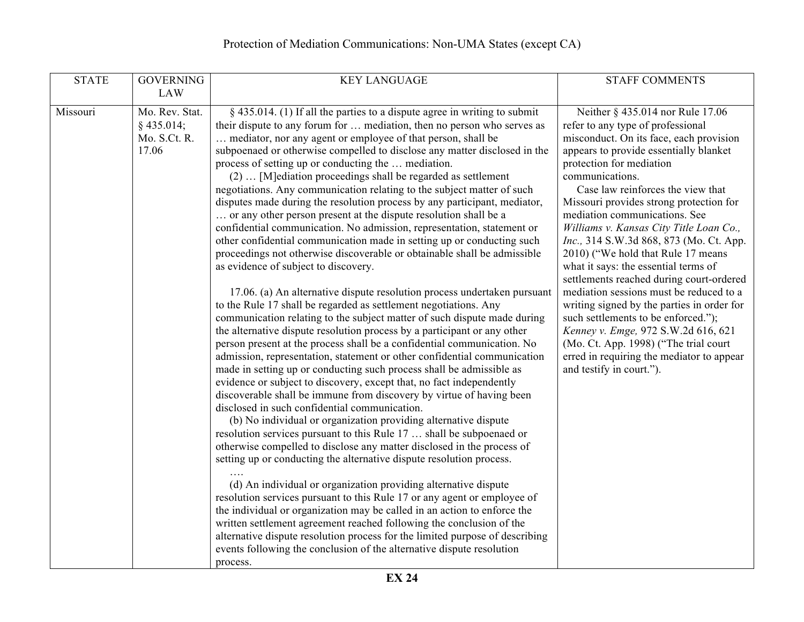| <b>STATE</b> | <b>GOVERNING</b>                                        | <b>KEY LANGUAGE</b>                                                                                                                                                                                                                                                                                                                                                                                                                                                                                                                                                                                                                                                                                                                                                                                                                                                                                                                                                                                                                                                                                                                                                                                                                                                                                                                                                                                                                                                                                                                                                                                                                                                                                                                                                                                                                                                                                                                                                                                                                                                                                                                                                                                                                                                                                                                                                                                                                         | <b>STAFF COMMENTS</b>                                                                                                                                                                                                                                                                                                                                                                                                                                                                                                                                                                                                                                                                                                                                                                                                                |
|--------------|---------------------------------------------------------|---------------------------------------------------------------------------------------------------------------------------------------------------------------------------------------------------------------------------------------------------------------------------------------------------------------------------------------------------------------------------------------------------------------------------------------------------------------------------------------------------------------------------------------------------------------------------------------------------------------------------------------------------------------------------------------------------------------------------------------------------------------------------------------------------------------------------------------------------------------------------------------------------------------------------------------------------------------------------------------------------------------------------------------------------------------------------------------------------------------------------------------------------------------------------------------------------------------------------------------------------------------------------------------------------------------------------------------------------------------------------------------------------------------------------------------------------------------------------------------------------------------------------------------------------------------------------------------------------------------------------------------------------------------------------------------------------------------------------------------------------------------------------------------------------------------------------------------------------------------------------------------------------------------------------------------------------------------------------------------------------------------------------------------------------------------------------------------------------------------------------------------------------------------------------------------------------------------------------------------------------------------------------------------------------------------------------------------------------------------------------------------------------------------------------------------------|--------------------------------------------------------------------------------------------------------------------------------------------------------------------------------------------------------------------------------------------------------------------------------------------------------------------------------------------------------------------------------------------------------------------------------------------------------------------------------------------------------------------------------------------------------------------------------------------------------------------------------------------------------------------------------------------------------------------------------------------------------------------------------------------------------------------------------------|
|              | <b>LAW</b>                                              |                                                                                                                                                                                                                                                                                                                                                                                                                                                                                                                                                                                                                                                                                                                                                                                                                                                                                                                                                                                                                                                                                                                                                                                                                                                                                                                                                                                                                                                                                                                                                                                                                                                                                                                                                                                                                                                                                                                                                                                                                                                                                                                                                                                                                                                                                                                                                                                                                                             |                                                                                                                                                                                                                                                                                                                                                                                                                                                                                                                                                                                                                                                                                                                                                                                                                                      |
| Missouri     | Mo. Rev. Stat.<br>$§$ 435.014;<br>Mo. S.Ct. R.<br>17.06 | $\S$ 435.014. (1) If all the parties to a dispute agree in writing to submit<br>their dispute to any forum for  mediation, then no person who serves as<br>mediator, nor any agent or employee of that person, shall be<br>subpoenaed or otherwise compelled to disclose any matter disclosed in the<br>process of setting up or conducting the  mediation.<br>(2)  [M]ediation proceedings shall be regarded as settlement<br>negotiations. Any communication relating to the subject matter of such<br>disputes made during the resolution process by any participant, mediator,<br>or any other person present at the dispute resolution shall be a<br>confidential communication. No admission, representation, statement or<br>other confidential communication made in setting up or conducting such<br>proceedings not otherwise discoverable or obtainable shall be admissible<br>as evidence of subject to discovery.<br>17.06. (a) An alternative dispute resolution process undertaken pursuant<br>to the Rule 17 shall be regarded as settlement negotiations. Any<br>communication relating to the subject matter of such dispute made during<br>the alternative dispute resolution process by a participant or any other<br>person present at the process shall be a confidential communication. No<br>admission, representation, statement or other confidential communication<br>made in setting up or conducting such process shall be admissible as<br>evidence or subject to discovery, except that, no fact independently<br>discoverable shall be immune from discovery by virtue of having been<br>disclosed in such confidential communication.<br>(b) No individual or organization providing alternative dispute<br>resolution services pursuant to this Rule 17  shall be subpoenaed or<br>otherwise compelled to disclose any matter disclosed in the process of<br>setting up or conducting the alternative dispute resolution process.<br>(d) An individual or organization providing alternative dispute<br>resolution services pursuant to this Rule 17 or any agent or employee of<br>the individual or organization may be called in an action to enforce the<br>written settlement agreement reached following the conclusion of the<br>alternative dispute resolution process for the limited purpose of describing<br>events following the conclusion of the alternative dispute resolution<br>process. | Neither § 435.014 nor Rule 17.06<br>refer to any type of professional<br>misconduct. On its face, each provision<br>appears to provide essentially blanket<br>protection for mediation<br>communications.<br>Case law reinforces the view that<br>Missouri provides strong protection for<br>mediation communications. See<br>Williams v. Kansas City Title Loan Co.,<br>Inc., 314 S.W.3d 868, 873 (Mo. Ct. App.<br>2010) ("We hold that Rule 17 means"<br>what it says: the essential terms of<br>settlements reached during court-ordered<br>mediation sessions must be reduced to a<br>writing signed by the parties in order for<br>such settlements to be enforced.");<br>Kenney v. Emge, 972 S.W.2d 616, 621<br>(Mo. Ct. App. 1998) ("The trial court<br>erred in requiring the mediator to appear<br>and testify in court."). |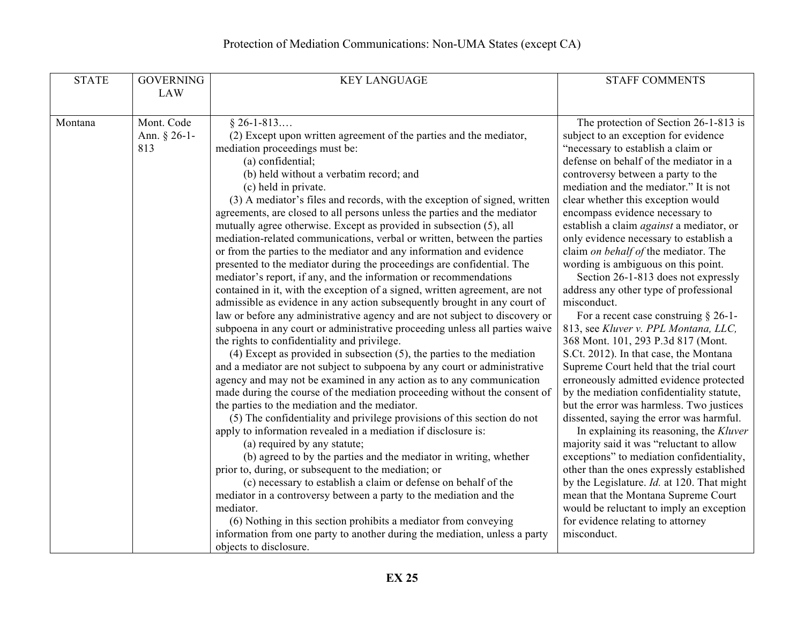| <b>STATE</b> | <b>GOVERNING</b> | <b>KEY LANGUAGE</b>                                                         | <b>STAFF COMMENTS</b>                             |
|--------------|------------------|-----------------------------------------------------------------------------|---------------------------------------------------|
|              | <b>LAW</b>       |                                                                             |                                                   |
|              |                  |                                                                             |                                                   |
| Montana      | Mont. Code       | $§ 26 - 1 - 813$                                                            | The protection of Section 26-1-813 is             |
|              | Ann. $§ 26-1-$   | (2) Except upon written agreement of the parties and the mediator,          | subject to an exception for evidence              |
|              | 813              | mediation proceedings must be:                                              | "necessary to establish a claim or                |
|              |                  | (a) confidential;                                                           | defense on behalf of the mediator in a            |
|              |                  | (b) held without a verbatim record; and                                     | controversy between a party to the                |
|              |                  | (c) held in private.                                                        | mediation and the mediator." It is not            |
|              |                  | (3) A mediator's files and records, with the exception of signed, written   | clear whether this exception would                |
|              |                  | agreements, are closed to all persons unless the parties and the mediator   | encompass evidence necessary to                   |
|              |                  | mutually agree otherwise. Except as provided in subsection (5), all         | establish a claim <i>against</i> a mediator, or   |
|              |                  | mediation-related communications, verbal or written, between the parties    | only evidence necessary to establish a            |
|              |                  | or from the parties to the mediator and any information and evidence        | claim on behalf of the mediator. The              |
|              |                  | presented to the mediator during the proceedings are confidential. The      | wording is ambiguous on this point.               |
|              |                  | mediator's report, if any, and the information or recommendations           | Section 26-1-813 does not expressly               |
|              |                  | contained in it, with the exception of a signed, written agreement, are not | address any other type of professional            |
|              |                  | admissible as evidence in any action subsequently brought in any court of   | misconduct.                                       |
|              |                  | law or before any administrative agency and are not subject to discovery or | For a recent case construing $\S$ 26-1-           |
|              |                  | subpoena in any court or administrative proceeding unless all parties waive | 813, see Kluver v. PPL Montana, LLC,              |
|              |                  | the rights to confidentiality and privilege.                                | 368 Mont. 101, 293 P.3d 817 (Mont.                |
|              |                  | $(4)$ Except as provided in subsection $(5)$ , the parties to the mediation | S.Ct. 2012). In that case, the Montana            |
|              |                  | and a mediator are not subject to subpoena by any court or administrative   | Supreme Court held that the trial court           |
|              |                  | agency and may not be examined in any action as to any communication        | erroneously admitted evidence protected           |
|              |                  | made during the course of the mediation proceeding without the consent of   | by the mediation confidentiality statute,         |
|              |                  | the parties to the mediation and the mediator.                              | but the error was harmless. Two justices          |
|              |                  | (5) The confidentiality and privilege provisions of this section do not     | dissented, saying the error was harmful.          |
|              |                  | apply to information revealed in a mediation if disclosure is:              | In explaining its reasoning, the Kluver           |
|              |                  | (a) required by any statute;                                                | majority said it was "reluctant to allow          |
|              |                  | (b) agreed to by the parties and the mediator in writing, whether           | exceptions" to mediation confidentiality,         |
|              |                  | prior to, during, or subsequent to the mediation; or                        | other than the ones expressly established         |
|              |                  | (c) necessary to establish a claim or defense on behalf of the              | by the Legislature. <i>Id.</i> at 120. That might |
|              |                  | mediator in a controversy between a party to the mediation and the          | mean that the Montana Supreme Court               |
|              |                  | mediator.                                                                   | would be reluctant to imply an exception          |
|              |                  | (6) Nothing in this section prohibits a mediator from conveying             | for evidence relating to attorney                 |
|              |                  | information from one party to another during the mediation, unless a party  | misconduct.                                       |
|              |                  | objects to disclosure.                                                      |                                                   |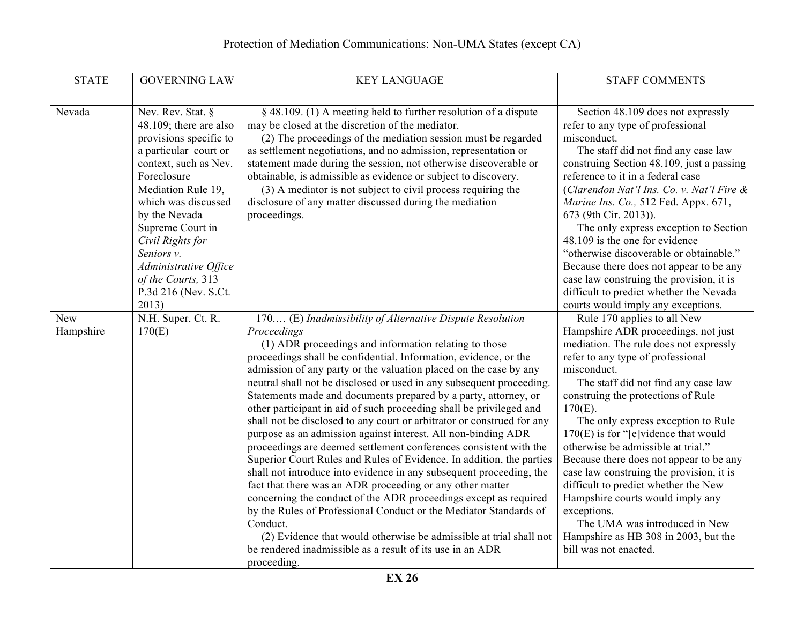| <b>STATE</b>     | <b>GOVERNING LAW</b>                                                                                                                                                                                                                                                                                                                       | <b>KEY LANGUAGE</b>                                                                                                                                                                                                                                                                                                                                                                                                                                                                                                                                                                                                                                                                                                                                                                                                                                                                                                                                                                                                                                                                                                                                                                                                             | <b>STAFF COMMENTS</b>                                                                                                                                                                                                                                                                                                                                                                                                                                                                                                                                                                                                                                                 |
|------------------|--------------------------------------------------------------------------------------------------------------------------------------------------------------------------------------------------------------------------------------------------------------------------------------------------------------------------------------------|---------------------------------------------------------------------------------------------------------------------------------------------------------------------------------------------------------------------------------------------------------------------------------------------------------------------------------------------------------------------------------------------------------------------------------------------------------------------------------------------------------------------------------------------------------------------------------------------------------------------------------------------------------------------------------------------------------------------------------------------------------------------------------------------------------------------------------------------------------------------------------------------------------------------------------------------------------------------------------------------------------------------------------------------------------------------------------------------------------------------------------------------------------------------------------------------------------------------------------|-----------------------------------------------------------------------------------------------------------------------------------------------------------------------------------------------------------------------------------------------------------------------------------------------------------------------------------------------------------------------------------------------------------------------------------------------------------------------------------------------------------------------------------------------------------------------------------------------------------------------------------------------------------------------|
|                  |                                                                                                                                                                                                                                                                                                                                            |                                                                                                                                                                                                                                                                                                                                                                                                                                                                                                                                                                                                                                                                                                                                                                                                                                                                                                                                                                                                                                                                                                                                                                                                                                 |                                                                                                                                                                                                                                                                                                                                                                                                                                                                                                                                                                                                                                                                       |
| Nevada           | Nev. Rev. Stat. §<br>48.109; there are also<br>provisions specific to<br>a particular court or<br>context, such as Nev.<br>Foreclosure<br>Mediation Rule 19,<br>which was discussed<br>by the Nevada<br>Supreme Court in<br>Civil Rights for<br>Seniors v.<br>Administrative Office<br>of the Courts, 313<br>P.3d 216 (Nev. S.Ct.<br>2013) | § 48.109. (1) A meeting held to further resolution of a dispute<br>may be closed at the discretion of the mediator.<br>(2) The proceedings of the mediation session must be regarded<br>as settlement negotiations, and no admission, representation or<br>statement made during the session, not otherwise discoverable or<br>obtainable, is admissible as evidence or subject to discovery.<br>(3) A mediator is not subject to civil process requiring the<br>disclosure of any matter discussed during the mediation<br>proceedings.                                                                                                                                                                                                                                                                                                                                                                                                                                                                                                                                                                                                                                                                                        | Section 48.109 does not expressly<br>refer to any type of professional<br>misconduct.<br>The staff did not find any case law<br>construing Section 48.109, just a passing<br>reference to it in a federal case<br>(Clarendon Nat'l Ins. Co. v. Nat'l Fire &<br>Marine Ins. Co., 512 Fed. Appx. 671,<br>673 (9th Cir. 2013)).<br>The only express exception to Section<br>48.109 is the one for evidence<br>"otherwise discoverable or obtainable."<br>Because there does not appear to be any<br>case law construing the provision, it is<br>difficult to predict whether the Nevada<br>courts would imply any exceptions.                                            |
| New<br>Hampshire | N.H. Super. Ct. R.<br>170(E)                                                                                                                                                                                                                                                                                                               | 170 (E) Inadmissibility of Alternative Dispute Resolution<br>Proceedings<br>(1) ADR proceedings and information relating to those<br>proceedings shall be confidential. Information, evidence, or the<br>admission of any party or the valuation placed on the case by any<br>neutral shall not be disclosed or used in any subsequent proceeding.<br>Statements made and documents prepared by a party, attorney, or<br>other participant in aid of such proceeding shall be privileged and<br>shall not be disclosed to any court or arbitrator or construed for any<br>purpose as an admission against interest. All non-binding ADR<br>proceedings are deemed settlement conferences consistent with the<br>Superior Court Rules and Rules of Evidence. In addition, the parties<br>shall not introduce into evidence in any subsequent proceeding, the<br>fact that there was an ADR proceeding or any other matter<br>concerning the conduct of the ADR proceedings except as required<br>by the Rules of Professional Conduct or the Mediator Standards of<br>Conduct.<br>(2) Evidence that would otherwise be admissible at trial shall not<br>be rendered inadmissible as a result of its use in an ADR<br>proceeding. | Rule 170 applies to all New<br>Hampshire ADR proceedings, not just<br>mediation. The rule does not expressly<br>refer to any type of professional<br>misconduct.<br>The staff did not find any case law<br>construing the protections of Rule<br>$170(E)$ .<br>The only express exception to Rule<br>$170(E)$ is for "[e]vidence that would<br>otherwise be admissible at trial."<br>Because there does not appear to be any<br>case law construing the provision, it is<br>difficult to predict whether the New<br>Hampshire courts would imply any<br>exceptions.<br>The UMA was introduced in New<br>Hampshire as HB 308 in 2003, but the<br>bill was not enacted. |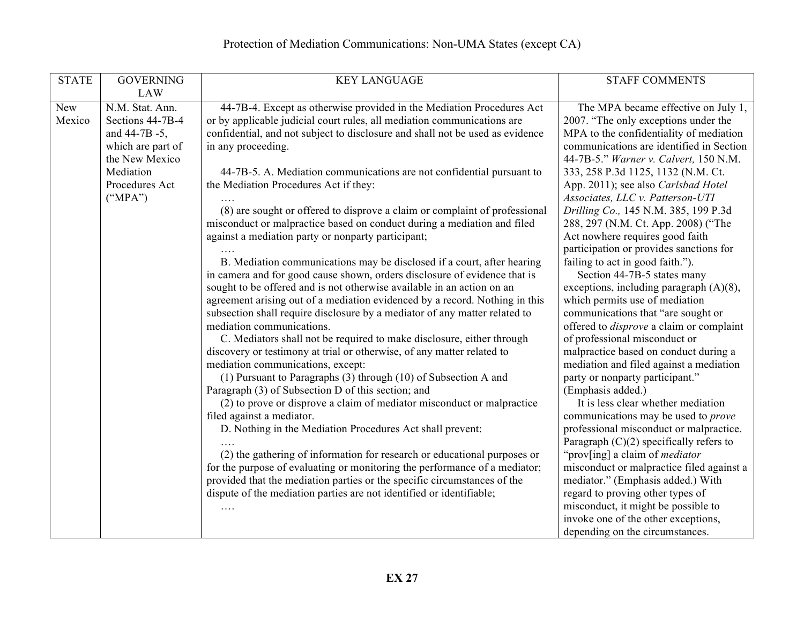| <b>STATE</b> | <b>GOVERNING</b>  | <b>KEY LANGUAGE</b>                                                                                                                                   | <b>STAFF COMMENTS</b>                                                        |
|--------------|-------------------|-------------------------------------------------------------------------------------------------------------------------------------------------------|------------------------------------------------------------------------------|
|              | <b>LAW</b>        |                                                                                                                                                       |                                                                              |
| New          | N.M. Stat. Ann.   | 44-7B-4. Except as otherwise provided in the Mediation Procedures Act                                                                                 | The MPA became effective on July 1,                                          |
| Mexico       | Sections 44-7B-4  | or by applicable judicial court rules, all mediation communications are                                                                               | 2007. "The only exceptions under the                                         |
|              | and 44-7B -5,     | confidential, and not subject to disclosure and shall not be used as evidence                                                                         | MPA to the confidentiality of mediation                                      |
|              | which are part of | in any proceeding.                                                                                                                                    | communications are identified in Section                                     |
|              | the New Mexico    |                                                                                                                                                       | 44-7B-5." Warner v. Calvert, 150 N.M.                                        |
|              | Mediation         | 44-7B-5. A. Mediation communications are not confidential pursuant to                                                                                 | 333, 258 P.3d 1125, 1132 (N.M. Ct.                                           |
|              | Procedures Act    | the Mediation Procedures Act if they:                                                                                                                 | App. 2011); see also Carlsbad Hotel                                          |
|              | ("MPA")           |                                                                                                                                                       | Associates, LLC v. Patterson-UTI                                             |
|              |                   | (8) are sought or offered to disprove a claim or complaint of professional                                                                            | Drilling Co., 145 N.M. 385, 199 P.3d                                         |
|              |                   | misconduct or malpractice based on conduct during a mediation and filed                                                                               | 288, 297 (N.M. Ct. App. 2008) ("The                                          |
|              |                   | against a mediation party or nonparty participant;                                                                                                    | Act nowhere requires good faith                                              |
|              |                   |                                                                                                                                                       | participation or provides sanctions for                                      |
|              |                   | B. Mediation communications may be disclosed if a court, after hearing                                                                                | failing to act in good faith.").                                             |
|              |                   | in camera and for good cause shown, orders disclosure of evidence that is                                                                             | Section 44-7B-5 states many                                                  |
|              |                   | sought to be offered and is not otherwise available in an action on an<br>agreement arising out of a mediation evidenced by a record. Nothing in this | exceptions, including paragraph $(A)(8)$ ,<br>which permits use of mediation |
|              |                   | subsection shall require disclosure by a mediator of any matter related to                                                                            | communications that "are sought or                                           |
|              |                   | mediation communications.                                                                                                                             | offered to <i>disprove</i> a claim or complaint                              |
|              |                   | C. Mediators shall not be required to make disclosure, either through                                                                                 | of professional misconduct or                                                |
|              |                   | discovery or testimony at trial or otherwise, of any matter related to                                                                                | malpractice based on conduct during a                                        |
|              |                   | mediation communications, except:                                                                                                                     | mediation and filed against a mediation                                      |
|              |                   | (1) Pursuant to Paragraphs (3) through (10) of Subsection A and                                                                                       | party or nonparty participant."                                              |
|              |                   | Paragraph (3) of Subsection D of this section; and                                                                                                    | (Emphasis added.)                                                            |
|              |                   | (2) to prove or disprove a claim of mediator misconduct or malpractice                                                                                | It is less clear whether mediation                                           |
|              |                   | filed against a mediator.                                                                                                                             | communications may be used to <i>prove</i>                                   |
|              |                   | D. Nothing in the Mediation Procedures Act shall prevent:                                                                                             | professional misconduct or malpractice.                                      |
|              |                   |                                                                                                                                                       | Paragraph $(C)(2)$ specifically refers to                                    |
|              |                   | (2) the gathering of information for research or educational purposes or                                                                              | "prov[ing] a claim of <i>mediator</i>                                        |
|              |                   | for the purpose of evaluating or monitoring the performance of a mediator;                                                                            | misconduct or malpractice filed against a                                    |
|              |                   | provided that the mediation parties or the specific circumstances of the                                                                              | mediator." (Emphasis added.) With                                            |
|              |                   | dispute of the mediation parties are not identified or identifiable;                                                                                  | regard to proving other types of                                             |
|              |                   |                                                                                                                                                       | misconduct, it might be possible to                                          |
|              |                   |                                                                                                                                                       | invoke one of the other exceptions,                                          |
|              |                   |                                                                                                                                                       | depending on the circumstances.                                              |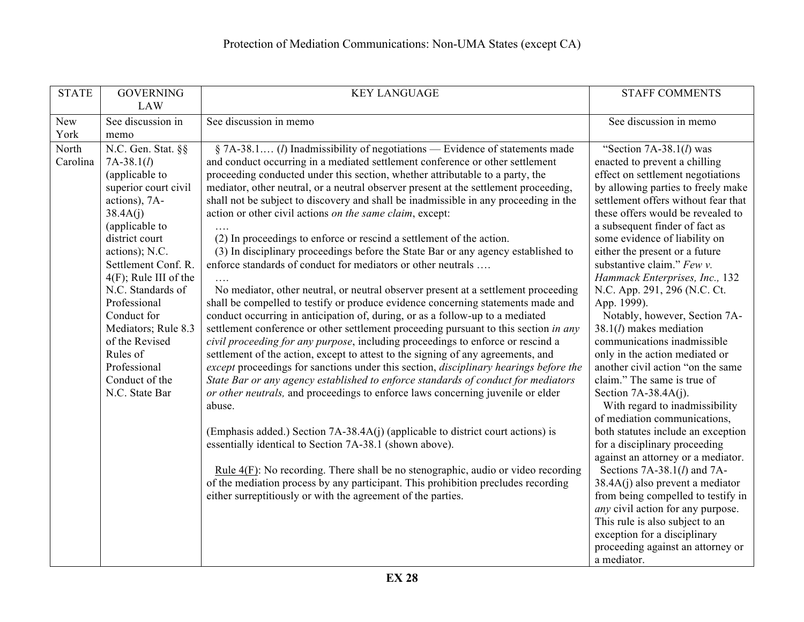| <b>STATE</b>              | <b>GOVERNING</b><br><b>LAW</b>                                                                                                                                                                                                                                                                                                                                                          | <b>KEY LANGUAGE</b>                                                                                                                                                                                                                                                                                                                                                                                                                                                                                                                                                                                                                                                                                                                                                                                                                                                                                                                                                                                                                                                                                                                                                                                                                                                                                                                                                                                                                                                                                                                                                                                                                                                                                                                                                                                                                                                                                                             | <b>STAFF COMMENTS</b>                                                                                                                                                                                                                                                                                                                                                                                                                                                                                                                                                                                                                                                                                                                                                                                                                                                                                                                                                                                                                                                                                            |
|---------------------------|-----------------------------------------------------------------------------------------------------------------------------------------------------------------------------------------------------------------------------------------------------------------------------------------------------------------------------------------------------------------------------------------|---------------------------------------------------------------------------------------------------------------------------------------------------------------------------------------------------------------------------------------------------------------------------------------------------------------------------------------------------------------------------------------------------------------------------------------------------------------------------------------------------------------------------------------------------------------------------------------------------------------------------------------------------------------------------------------------------------------------------------------------------------------------------------------------------------------------------------------------------------------------------------------------------------------------------------------------------------------------------------------------------------------------------------------------------------------------------------------------------------------------------------------------------------------------------------------------------------------------------------------------------------------------------------------------------------------------------------------------------------------------------------------------------------------------------------------------------------------------------------------------------------------------------------------------------------------------------------------------------------------------------------------------------------------------------------------------------------------------------------------------------------------------------------------------------------------------------------------------------------------------------------------------------------------------------------|------------------------------------------------------------------------------------------------------------------------------------------------------------------------------------------------------------------------------------------------------------------------------------------------------------------------------------------------------------------------------------------------------------------------------------------------------------------------------------------------------------------------------------------------------------------------------------------------------------------------------------------------------------------------------------------------------------------------------------------------------------------------------------------------------------------------------------------------------------------------------------------------------------------------------------------------------------------------------------------------------------------------------------------------------------------------------------------------------------------|
| New                       | See discussion in                                                                                                                                                                                                                                                                                                                                                                       | See discussion in memo                                                                                                                                                                                                                                                                                                                                                                                                                                                                                                                                                                                                                                                                                                                                                                                                                                                                                                                                                                                                                                                                                                                                                                                                                                                                                                                                                                                                                                                                                                                                                                                                                                                                                                                                                                                                                                                                                                          | See discussion in memo                                                                                                                                                                                                                                                                                                                                                                                                                                                                                                                                                                                                                                                                                                                                                                                                                                                                                                                                                                                                                                                                                           |
| York<br>North<br>Carolina | memo<br>N.C. Gen. Stat. §§<br>$7A-38.1(l)$<br>(applicable to<br>superior court civil<br>actions), 7A-<br>38.4A(j)<br>(applicable to<br>district court<br>actions); N.C.<br>Settlement Conf. R.<br>$4(F)$ ; Rule III of the<br>N.C. Standards of<br>Professional<br>Conduct for<br>Mediators; Rule 8.3<br>of the Revised<br>Rules of<br>Professional<br>Conduct of the<br>N.C. State Bar | § 7A-38.1 ( <i>l</i> ) Inadmissibility of negotiations — Evidence of statements made<br>and conduct occurring in a mediated settlement conference or other settlement<br>proceeding conducted under this section, whether attributable to a party, the<br>mediator, other neutral, or a neutral observer present at the settlement proceeding,<br>shall not be subject to discovery and shall be inadmissible in any proceeding in the<br>action or other civil actions on the same claim, except:<br>(2) In proceedings to enforce or rescind a settlement of the action.<br>(3) In disciplinary proceedings before the State Bar or any agency established to<br>enforce standards of conduct for mediators or other neutrals<br>No mediator, other neutral, or neutral observer present at a settlement proceeding<br>shall be compelled to testify or produce evidence concerning statements made and<br>conduct occurring in anticipation of, during, or as a follow-up to a mediated<br>settlement conference or other settlement proceeding pursuant to this section in any<br>civil proceeding for any purpose, including proceedings to enforce or rescind a<br>settlement of the action, except to attest to the signing of any agreements, and<br>except proceedings for sanctions under this section, disciplinary hearings before the<br>State Bar or any agency established to enforce standards of conduct for mediators<br>or other neutrals, and proceedings to enforce laws concerning juvenile or elder<br>abuse.<br>(Emphasis added.) Section 7A-38.4A(j) (applicable to district court actions) is<br>essentially identical to Section 7A-38.1 (shown above).<br>Rule $4(F)$ : No recording. There shall be no stenographic, audio or video recording<br>of the mediation process by any participant. This prohibition precludes recording<br>either surreptitiously or with the agreement of the parties. | "Section $7A-38.1(l)$ was<br>enacted to prevent a chilling<br>effect on settlement negotiations<br>by allowing parties to freely make<br>settlement offers without fear that<br>these offers would be revealed to<br>a subsequent finder of fact as<br>some evidence of liability on<br>either the present or a future<br>substantive claim." $Fewv$ .<br>Hammack Enterprises, Inc., 132<br>N.C. App. 291, 296 (N.C. Ct.<br>App. 1999).<br>Notably, however, Section 7A-<br>$38.1(l)$ makes mediation<br>communications inadmissible<br>only in the action mediated or<br>another civil action "on the same<br>claim." The same is true of<br>Section $7A-38.4A(j)$ .<br>With regard to inadmissibility<br>of mediation communications,<br>both statutes include an exception<br>for a disciplinary proceeding<br>against an attorney or a mediator.<br>Sections $7A-38.1(l)$ and $7A-$<br>$38.4A(j)$ also prevent a mediator<br>from being compelled to testify in<br>any civil action for any purpose.<br>This rule is also subject to an<br>exception for a disciplinary<br>proceeding against an attorney or |
|                           |                                                                                                                                                                                                                                                                                                                                                                                         |                                                                                                                                                                                                                                                                                                                                                                                                                                                                                                                                                                                                                                                                                                                                                                                                                                                                                                                                                                                                                                                                                                                                                                                                                                                                                                                                                                                                                                                                                                                                                                                                                                                                                                                                                                                                                                                                                                                                 | a mediator.                                                                                                                                                                                                                                                                                                                                                                                                                                                                                                                                                                                                                                                                                                                                                                                                                                                                                                                                                                                                                                                                                                      |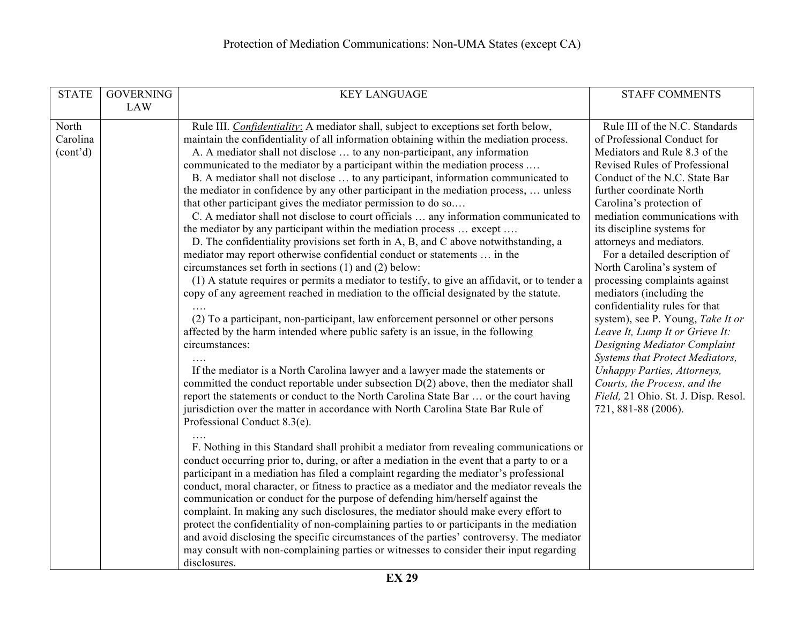| <b>STATE</b>                               | <b>GOVERNING</b> | <b>KEY LANGUAGE</b>                                                                                                                                                                                                                                                                                                                                                                                                                                                                                                                                                                                                                                                                                                                                                                                                                                                                                                                                                                                                                                                                                                                                                                                                                                                                                                                                                                                                                                                                                                                                                                                                                                                                                                                                               | <b>STAFF COMMENTS</b>                                                                                                                                                                                                                                                                                                                                                                                                                                                                                                                                                                                                                                                                                                                                     |
|--------------------------------------------|------------------|-------------------------------------------------------------------------------------------------------------------------------------------------------------------------------------------------------------------------------------------------------------------------------------------------------------------------------------------------------------------------------------------------------------------------------------------------------------------------------------------------------------------------------------------------------------------------------------------------------------------------------------------------------------------------------------------------------------------------------------------------------------------------------------------------------------------------------------------------------------------------------------------------------------------------------------------------------------------------------------------------------------------------------------------------------------------------------------------------------------------------------------------------------------------------------------------------------------------------------------------------------------------------------------------------------------------------------------------------------------------------------------------------------------------------------------------------------------------------------------------------------------------------------------------------------------------------------------------------------------------------------------------------------------------------------------------------------------------------------------------------------------------|-----------------------------------------------------------------------------------------------------------------------------------------------------------------------------------------------------------------------------------------------------------------------------------------------------------------------------------------------------------------------------------------------------------------------------------------------------------------------------------------------------------------------------------------------------------------------------------------------------------------------------------------------------------------------------------------------------------------------------------------------------------|
|                                            | <b>LAW</b>       |                                                                                                                                                                                                                                                                                                                                                                                                                                                                                                                                                                                                                                                                                                                                                                                                                                                                                                                                                                                                                                                                                                                                                                                                                                                                                                                                                                                                                                                                                                                                                                                                                                                                                                                                                                   |                                                                                                                                                                                                                                                                                                                                                                                                                                                                                                                                                                                                                                                                                                                                                           |
| North<br>Carolina<br>(cont <sup>2</sup> d) |                  | Rule III. Confidentiality: A mediator shall, subject to exceptions set forth below,<br>maintain the confidentiality of all information obtaining within the mediation process.<br>A. A mediator shall not disclose  to any non-participant, any information<br>communicated to the mediator by a participant within the mediation process<br>B. A mediator shall not disclose  to any participant, information communicated to<br>the mediator in confidence by any other participant in the mediation process,  unless<br>that other participant gives the mediator permission to do so<br>C. A mediator shall not disclose to court officials  any information communicated to<br>the mediator by any participant within the mediation process  except<br>D. The confidentiality provisions set forth in A, B, and C above notwithstanding, a<br>mediator may report otherwise confidential conduct or statements  in the<br>circumstances set forth in sections (1) and (2) below:<br>(1) A statute requires or permits a mediator to testify, to give an affidavit, or to tender a<br>copy of any agreement reached in mediation to the official designated by the statute.<br>(2) To a participant, non-participant, law enforcement personnel or other persons<br>affected by the harm intended where public safety is an issue, in the following<br>circumstances:<br>If the mediator is a North Carolina lawyer and a lawyer made the statements or<br>committed the conduct reportable under subsection D(2) above, then the mediator shall<br>report the statements or conduct to the North Carolina State Bar  or the court having<br>jurisdiction over the matter in accordance with North Carolina State Bar Rule of<br>Professional Conduct 8.3(e). | Rule III of the N.C. Standards<br>of Professional Conduct for<br>Mediators and Rule 8.3 of the<br>Revised Rules of Professional<br>Conduct of the N.C. State Bar<br>further coordinate North<br>Carolina's protection of<br>mediation communications with<br>its discipline systems for<br>attorneys and mediators.<br>For a detailed description of<br>North Carolina's system of<br>processing complaints against<br>mediators (including the<br>confidentiality rules for that<br>system), see P. Young, Take It or<br>Leave It, Lump It or Grieve It:<br>Designing Mediator Complaint<br>Systems that Protect Mediators,<br>Unhappy Parties, Attorneys,<br>Courts, the Process, and the<br>Field, 21 Ohio. St. J. Disp. Resol.<br>721, 881-88 (2006). |
|                                            |                  | F. Nothing in this Standard shall prohibit a mediator from revealing communications or<br>conduct occurring prior to, during, or after a mediation in the event that a party to or a<br>participant in a mediation has filed a complaint regarding the mediator's professional<br>conduct, moral character, or fitness to practice as a mediator and the mediator reveals the<br>communication or conduct for the purpose of defending him/herself against the<br>complaint. In making any such disclosures, the mediator should make every effort to<br>protect the confidentiality of non-complaining parties to or participants in the mediation<br>and avoid disclosing the specific circumstances of the parties' controversy. The mediator<br>may consult with non-complaining parties or witnesses to consider their input regarding<br>disclosures.                                                                                                                                                                                                                                                                                                                                                                                                                                                                                                                                                                                                                                                                                                                                                                                                                                                                                                       |                                                                                                                                                                                                                                                                                                                                                                                                                                                                                                                                                                                                                                                                                                                                                           |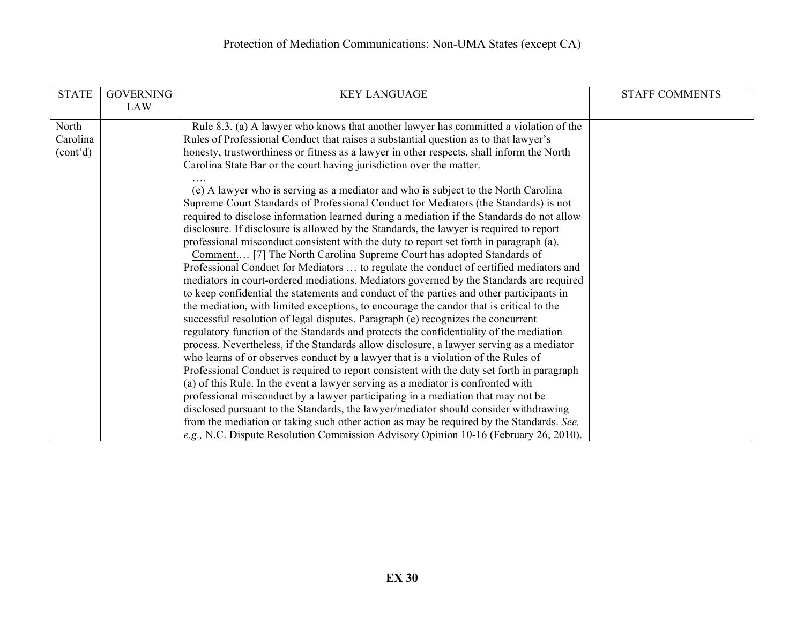| <b>STATE</b>          | <b>GOVERNING</b> | <b>KEY LANGUAGE</b>                                                                        | <b>STAFF COMMENTS</b> |
|-----------------------|------------------|--------------------------------------------------------------------------------------------|-----------------------|
|                       | LAW              |                                                                                            |                       |
| North                 |                  | Rule 8.3. (a) A lawyer who knows that another lawyer has committed a violation of the      |                       |
| Carolina              |                  | Rules of Professional Conduct that raises a substantial question as to that lawyer's       |                       |
| (cont <sup>2</sup> d) |                  | honesty, trustworthiness or fitness as a lawyer in other respects, shall inform the North  |                       |
|                       |                  | Carolina State Bar or the court having jurisdiction over the matter.                       |                       |
|                       |                  |                                                                                            |                       |
|                       |                  | (e) A lawyer who is serving as a mediator and who is subject to the North Carolina         |                       |
|                       |                  | Supreme Court Standards of Professional Conduct for Mediators (the Standards) is not       |                       |
|                       |                  | required to disclose information learned during a mediation if the Standards do not allow  |                       |
|                       |                  | disclosure. If disclosure is allowed by the Standards, the lawyer is required to report    |                       |
|                       |                  | professional misconduct consistent with the duty to report set forth in paragraph (a).     |                       |
|                       |                  | Comment [7] The North Carolina Supreme Court has adopted Standards of                      |                       |
|                       |                  | Professional Conduct for Mediators  to regulate the conduct of certified mediators and     |                       |
|                       |                  | mediators in court-ordered mediations. Mediators governed by the Standards are required    |                       |
|                       |                  | to keep confidential the statements and conduct of the parties and other participants in   |                       |
|                       |                  | the mediation, with limited exceptions, to encourage the candor that is critical to the    |                       |
|                       |                  | successful resolution of legal disputes. Paragraph (e) recognizes the concurrent           |                       |
|                       |                  | regulatory function of the Standards and protects the confidentiality of the mediation     |                       |
|                       |                  | process. Nevertheless, if the Standards allow disclosure, a lawyer serving as a mediator   |                       |
|                       |                  | who learns of or observes conduct by a lawyer that is a violation of the Rules of          |                       |
|                       |                  | Professional Conduct is required to report consistent with the duty set forth in paragraph |                       |
|                       |                  | (a) of this Rule. In the event a lawyer serving as a mediator is confronted with           |                       |
|                       |                  | professional misconduct by a lawyer participating in a mediation that may not be           |                       |
|                       |                  | disclosed pursuant to the Standards, the lawyer/mediator should consider withdrawing       |                       |
|                       |                  | from the mediation or taking such other action as may be required by the Standards. See,   |                       |
|                       |                  | e.g., N.C. Dispute Resolution Commission Advisory Opinion 10-16 (February 26, 2010).       |                       |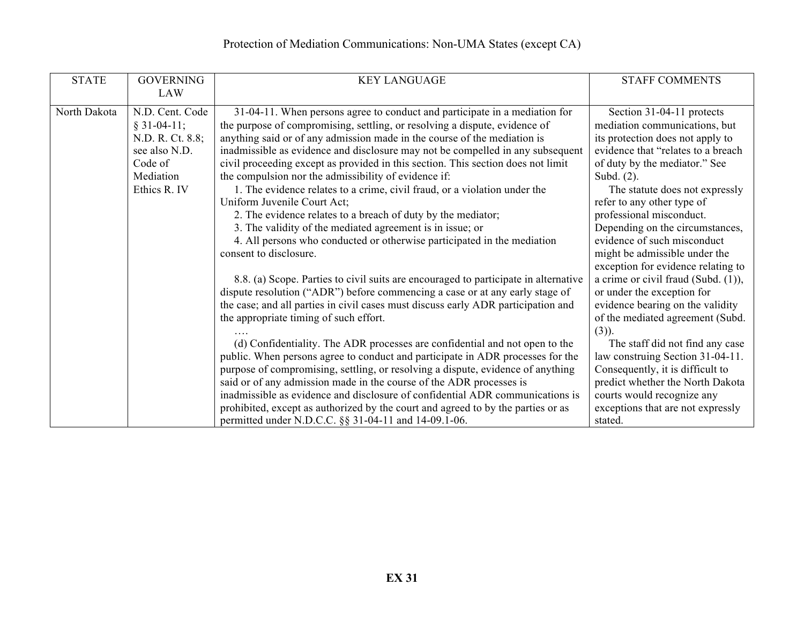| <b>STATE</b> | <b>GOVERNING</b> | <b>KEY LANGUAGE</b>                                                                 | <b>STAFF COMMENTS</b>                  |
|--------------|------------------|-------------------------------------------------------------------------------------|----------------------------------------|
|              | <b>LAW</b>       |                                                                                     |                                        |
| North Dakota | N.D. Cent. Code  | 31-04-11. When persons agree to conduct and participate in a mediation for          | Section 31-04-11 protects              |
|              | $§ 31-04-11;$    | the purpose of compromising, settling, or resolving a dispute, evidence of          | mediation communications, but          |
|              | N.D. R. Ct. 8.8; | anything said or of any admission made in the course of the mediation is            | its protection does not apply to       |
|              | see also N.D.    | inadmissible as evidence and disclosure may not be compelled in any subsequent      | evidence that "relates to a breach     |
|              | Code of          | civil proceeding except as provided in this section. This section does not limit    | of duty by the mediator." See          |
|              | Mediation        | the compulsion nor the admissibility of evidence if:                                | Subd. $(2)$ .                          |
|              | Ethics R. IV     | 1. The evidence relates to a crime, civil fraud, or a violation under the           | The statute does not expressly         |
|              |                  | Uniform Juvenile Court Act;                                                         | refer to any other type of             |
|              |                  | 2. The evidence relates to a breach of duty by the mediator;                        | professional misconduct.               |
|              |                  | 3. The validity of the mediated agreement is in issue; or                           | Depending on the circumstances,        |
|              |                  | 4. All persons who conducted or otherwise participated in the mediation             | evidence of such misconduct            |
|              |                  | consent to disclosure.                                                              | might be admissible under the          |
|              |                  |                                                                                     | exception for evidence relating to     |
|              |                  | 8.8. (a) Scope. Parties to civil suits are encouraged to participate in alternative | a crime or civil fraud (Subd. $(1)$ ), |
|              |                  | dispute resolution ("ADR") before commencing a case or at any early stage of        | or under the exception for             |
|              |                  | the case; and all parties in civil cases must discuss early ADR participation and   | evidence bearing on the validity       |
|              |                  | the appropriate timing of such effort.                                              | of the mediated agreement (Subd.       |
|              |                  |                                                                                     | $(3)$ ).                               |
|              |                  | (d) Confidentiality. The ADR processes are confidential and not open to the         | The staff did not find any case        |
|              |                  | public. When persons agree to conduct and participate in ADR processes for the      | law construing Section 31-04-11.       |
|              |                  | purpose of compromising, settling, or resolving a dispute, evidence of anything     | Consequently, it is difficult to       |
|              |                  | said or of any admission made in the course of the ADR processes is                 | predict whether the North Dakota       |
|              |                  | inadmissible as evidence and disclosure of confidential ADR communications is       | courts would recognize any             |
|              |                  | prohibited, except as authorized by the court and agreed to by the parties or as    | exceptions that are not expressly      |
|              |                  | permitted under N.D.C.C. §§ 31-04-11 and 14-09.1-06.                                | stated.                                |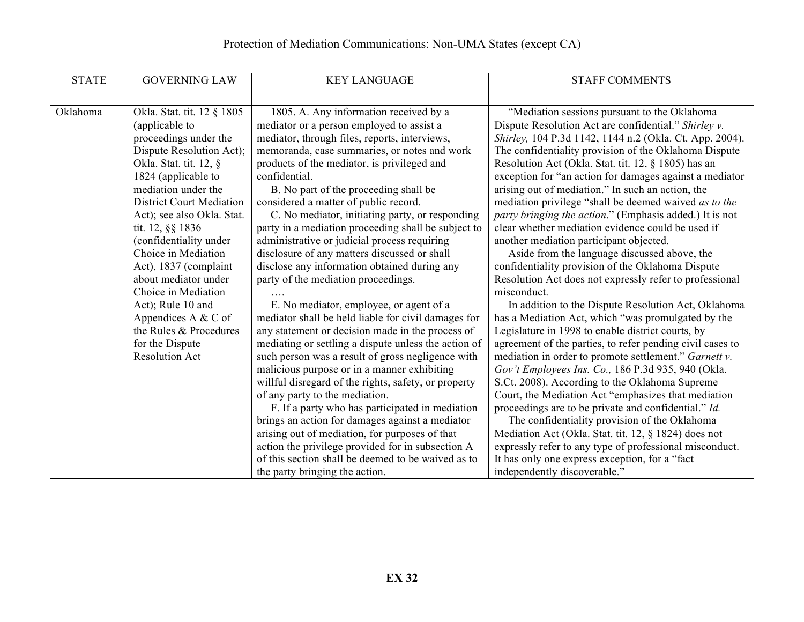| <b>STATE</b> | <b>GOVERNING LAW</b>            | <b>KEY LANGUAGE</b>                                  | <b>STAFF COMMENTS</b>                                     |
|--------------|---------------------------------|------------------------------------------------------|-----------------------------------------------------------|
|              |                                 |                                                      |                                                           |
| Oklahoma     | Okla. Stat. tit. 12 § 1805      | 1805. A. Any information received by a               | "Mediation sessions pursuant to the Oklahoma              |
|              | (applicable to                  | mediator or a person employed to assist a            | Dispute Resolution Act are confidential." Shirley v.      |
|              | proceedings under the           |                                                      |                                                           |
|              |                                 | mediator, through files, reports, interviews,        | Shirley, 104 P.3d 1142, 1144 n.2 (Okla. Ct. App. 2004).   |
|              | Dispute Resolution Act);        | memoranda, case summaries, or notes and work         | The confidentiality provision of the Oklahoma Dispute     |
|              | Okla. Stat. tit. 12, §          | products of the mediator, is privileged and          | Resolution Act (Okla. Stat. tit. 12, § 1805) has an       |
|              | 1824 (applicable to             | confidential.                                        | exception for "an action for damages against a mediator   |
|              | mediation under the             | B. No part of the proceeding shall be                | arising out of mediation." In such an action, the         |
|              | <b>District Court Mediation</b> | considered a matter of public record.                | mediation privilege "shall be deemed waived as to the     |
|              | Act); see also Okla. Stat.      | C. No mediator, initiating party, or responding      | party bringing the action." (Emphasis added.) It is not   |
|              | tit. 12, §§ 1836                | party in a mediation proceeding shall be subject to  | clear whether mediation evidence could be used if         |
|              | (confidentiality under          | administrative or judicial process requiring         | another mediation participant objected.                   |
|              | Choice in Mediation             | disclosure of any matters discussed or shall         | Aside from the language discussed above, the              |
|              | Act), 1837 (complaint           | disclose any information obtained during any         | confidentiality provision of the Oklahoma Dispute         |
|              | about mediator under            | party of the mediation proceedings.                  | Resolution Act does not expressly refer to professional   |
|              | Choice in Mediation             |                                                      | misconduct.                                               |
|              | Act); Rule 10 and               | E. No mediator, employee, or agent of a              | In addition to the Dispute Resolution Act, Oklahoma       |
|              | Appendices A $&$ C of           | mediator shall be held liable for civil damages for  | has a Mediation Act, which "was promulgated by the        |
|              | the Rules & Procedures          | any statement or decision made in the process of     | Legislature in 1998 to enable district courts, by         |
|              | for the Dispute                 | mediating or settling a dispute unless the action of | agreement of the parties, to refer pending civil cases to |
|              | <b>Resolution Act</b>           | such person was a result of gross negligence with    | mediation in order to promote settlement." Garnett v.     |
|              |                                 | malicious purpose or in a manner exhibiting          | Gov't Employees Ins. Co., 186 P.3d 935, 940 (Okla.        |
|              |                                 | willful disregard of the rights, safety, or property | S.Ct. 2008). According to the Oklahoma Supreme            |
|              |                                 | of any party to the mediation.                       | Court, the Mediation Act "emphasizes that mediation       |
|              |                                 | F. If a party who has participated in mediation      | proceedings are to be private and confidential." Id.      |
|              |                                 | brings an action for damages against a mediator      | The confidentiality provision of the Oklahoma             |
|              |                                 | arising out of mediation, for purposes of that       | Mediation Act (Okla. Stat. tit. 12, § 1824) does not      |
|              |                                 | action the privilege provided for in subsection A    | expressly refer to any type of professional misconduct.   |
|              |                                 | of this section shall be deemed to be waived as to   | It has only one express exception, for a "fact            |
|              |                                 | the party bringing the action.                       | independently discoverable."                              |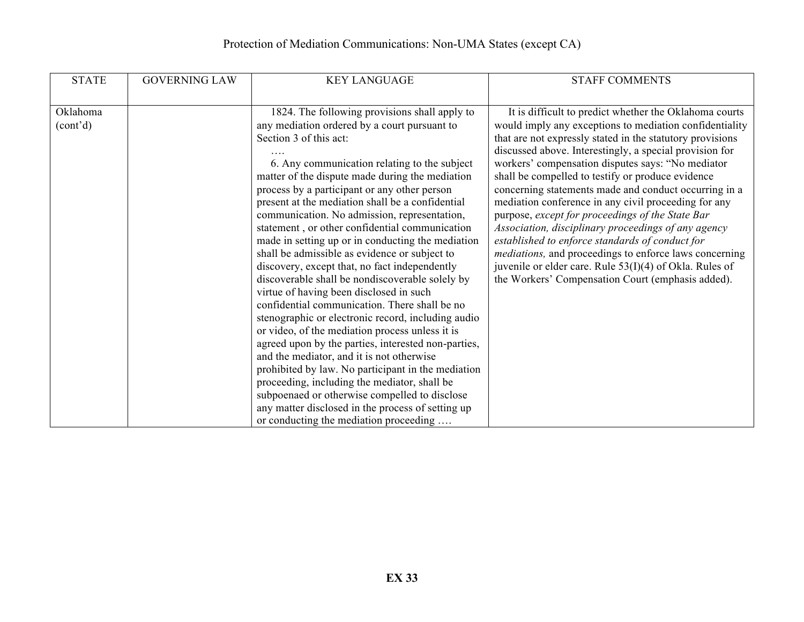| <b>STATE</b>                      | <b>GOVERNING LAW</b> | <b>KEY LANGUAGE</b>                                                                                                                                                                                                                                                                                                                                                                                                                                                                                                                                                                                                                                                                                                                                                                                                                                                                                                                                                                                                                                                                                                                                             | <b>STAFF COMMENTS</b>                                                                                                                                                                                                                                                                                                                                                                                                                                                                                                                                                                                                                                                                                                                                                                                                  |
|-----------------------------------|----------------------|-----------------------------------------------------------------------------------------------------------------------------------------------------------------------------------------------------------------------------------------------------------------------------------------------------------------------------------------------------------------------------------------------------------------------------------------------------------------------------------------------------------------------------------------------------------------------------------------------------------------------------------------------------------------------------------------------------------------------------------------------------------------------------------------------------------------------------------------------------------------------------------------------------------------------------------------------------------------------------------------------------------------------------------------------------------------------------------------------------------------------------------------------------------------|------------------------------------------------------------------------------------------------------------------------------------------------------------------------------------------------------------------------------------------------------------------------------------------------------------------------------------------------------------------------------------------------------------------------------------------------------------------------------------------------------------------------------------------------------------------------------------------------------------------------------------------------------------------------------------------------------------------------------------------------------------------------------------------------------------------------|
| Oklahoma<br>(cont <sup>2</sup> d) |                      | 1824. The following provisions shall apply to<br>any mediation ordered by a court pursuant to<br>Section 3 of this act:<br>6. Any communication relating to the subject<br>matter of the dispute made during the mediation<br>process by a participant or any other person<br>present at the mediation shall be a confidential<br>communication. No admission, representation,<br>statement, or other confidential communication<br>made in setting up or in conducting the mediation<br>shall be admissible as evidence or subject to<br>discovery, except that, no fact independently<br>discoverable shall be nondiscoverable solely by<br>virtue of having been disclosed in such<br>confidential communication. There shall be no<br>stenographic or electronic record, including audio<br>or video, of the mediation process unless it is<br>agreed upon by the parties, interested non-parties,<br>and the mediator, and it is not otherwise<br>prohibited by law. No participant in the mediation<br>proceeding, including the mediator, shall be<br>subpoenaed or otherwise compelled to disclose<br>any matter disclosed in the process of setting up | It is difficult to predict whether the Oklahoma courts<br>would imply any exceptions to mediation confidentiality<br>that are not expressly stated in the statutory provisions<br>discussed above. Interestingly, a special provision for<br>workers' compensation disputes says: "No mediator<br>shall be compelled to testify or produce evidence<br>concerning statements made and conduct occurring in a<br>mediation conference in any civil proceeding for any<br>purpose, except for proceedings of the State Bar<br>Association, disciplinary proceedings of any agency<br>established to enforce standards of conduct for<br><i>mediations</i> , and proceedings to enforce laws concerning<br>juvenile or elder care. Rule $53(I)(4)$ of Okla. Rules of<br>the Workers' Compensation Court (emphasis added). |
|                                   |                      | or conducting the mediation proceeding                                                                                                                                                                                                                                                                                                                                                                                                                                                                                                                                                                                                                                                                                                                                                                                                                                                                                                                                                                                                                                                                                                                          |                                                                                                                                                                                                                                                                                                                                                                                                                                                                                                                                                                                                                                                                                                                                                                                                                        |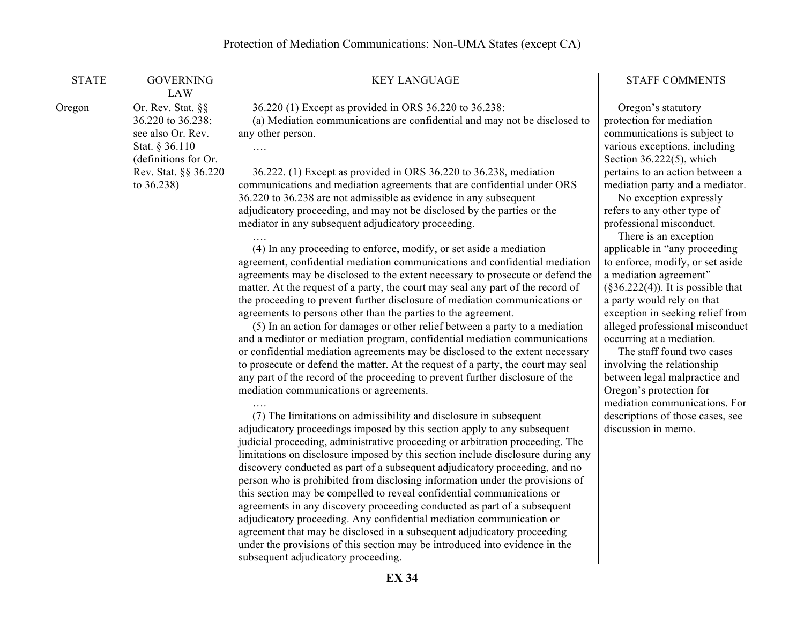| <b>STATE</b> | <b>GOVERNING</b>                                                                                                                                          | <b>KEY LANGUAGE</b>                                                                                                                                                                                                                                                                                                                                                                                                                                                                                                                                                                                                                                                                                                                                                                                                                                                                                                                                                                                                                                                                                                                                                                                                                                                                                                                                                                                                                                                                                                                                                                                                                                                                                                                                                                                                                                                                                                                                                                                                                                                                                                                                                                                                                                   | <b>STAFF COMMENTS</b>                                                                                                                                                                                                                                                                                                                                                                                                                                                                                                                                                                                                                                                                                                                                                                                                            |
|--------------|-----------------------------------------------------------------------------------------------------------------------------------------------------------|-------------------------------------------------------------------------------------------------------------------------------------------------------------------------------------------------------------------------------------------------------------------------------------------------------------------------------------------------------------------------------------------------------------------------------------------------------------------------------------------------------------------------------------------------------------------------------------------------------------------------------------------------------------------------------------------------------------------------------------------------------------------------------------------------------------------------------------------------------------------------------------------------------------------------------------------------------------------------------------------------------------------------------------------------------------------------------------------------------------------------------------------------------------------------------------------------------------------------------------------------------------------------------------------------------------------------------------------------------------------------------------------------------------------------------------------------------------------------------------------------------------------------------------------------------------------------------------------------------------------------------------------------------------------------------------------------------------------------------------------------------------------------------------------------------------------------------------------------------------------------------------------------------------------------------------------------------------------------------------------------------------------------------------------------------------------------------------------------------------------------------------------------------------------------------------------------------------------------------------------------------|----------------------------------------------------------------------------------------------------------------------------------------------------------------------------------------------------------------------------------------------------------------------------------------------------------------------------------------------------------------------------------------------------------------------------------------------------------------------------------------------------------------------------------------------------------------------------------------------------------------------------------------------------------------------------------------------------------------------------------------------------------------------------------------------------------------------------------|
| Oregon       | <b>LAW</b><br>Or. Rev. Stat. §§<br>36.220 to 36.238;<br>see also Or. Rev.<br>Stat. § 36.110<br>(definitions for Or.<br>Rev. Stat. §§ 36.220<br>to 36.238) | 36.220 (1) Except as provided in ORS 36.220 to 36.238:<br>(a) Mediation communications are confidential and may not be disclosed to<br>any other person.<br>36.222. (1) Except as provided in ORS 36.220 to 36.238, mediation<br>communications and mediation agreements that are confidential under ORS<br>36.220 to 36.238 are not admissible as evidence in any subsequent<br>adjudicatory proceeding, and may not be disclosed by the parties or the<br>mediator in any subsequent adjudicatory proceeding.<br>(4) In any proceeding to enforce, modify, or set aside a mediation<br>agreement, confidential mediation communications and confidential mediation<br>agreements may be disclosed to the extent necessary to prosecute or defend the<br>matter. At the request of a party, the court may seal any part of the record of<br>the proceeding to prevent further disclosure of mediation communications or<br>agreements to persons other than the parties to the agreement.<br>(5) In an action for damages or other relief between a party to a mediation<br>and a mediator or mediation program, confidential mediation communications<br>or confidential mediation agreements may be disclosed to the extent necessary<br>to prosecute or defend the matter. At the request of a party, the court may seal<br>any part of the record of the proceeding to prevent further disclosure of the<br>mediation communications or agreements.<br>(7) The limitations on admissibility and disclosure in subsequent<br>adjudicatory proceedings imposed by this section apply to any subsequent<br>judicial proceeding, administrative proceeding or arbitration proceeding. The<br>limitations on disclosure imposed by this section include disclosure during any<br>discovery conducted as part of a subsequent adjudicatory proceeding, and no<br>person who is prohibited from disclosing information under the provisions of<br>this section may be compelled to reveal confidential communications or<br>agreements in any discovery proceeding conducted as part of a subsequent<br>adjudicatory proceeding. Any confidential mediation communication or<br>agreement that may be disclosed in a subsequent adjudicatory proceeding | Oregon's statutory<br>protection for mediation<br>communications is subject to<br>various exceptions, including<br>Section $36.222(5)$ , which<br>pertains to an action between a<br>mediation party and a mediator.<br>No exception expressly<br>refers to any other type of<br>professional misconduct.<br>There is an exception<br>applicable in "any proceeding<br>to enforce, modify, or set aside<br>a mediation agreement"<br>$(\S 36.222(4))$ . It is possible that<br>a party would rely on that<br>exception in seeking relief from<br>alleged professional misconduct<br>occurring at a mediation.<br>The staff found two cases<br>involving the relationship<br>between legal malpractice and<br>Oregon's protection for<br>mediation communications. For<br>descriptions of those cases, see<br>discussion in memo. |
|              |                                                                                                                                                           | under the provisions of this section may be introduced into evidence in the<br>subsequent adjudicatory proceeding.                                                                                                                                                                                                                                                                                                                                                                                                                                                                                                                                                                                                                                                                                                                                                                                                                                                                                                                                                                                                                                                                                                                                                                                                                                                                                                                                                                                                                                                                                                                                                                                                                                                                                                                                                                                                                                                                                                                                                                                                                                                                                                                                    |                                                                                                                                                                                                                                                                                                                                                                                                                                                                                                                                                                                                                                                                                                                                                                                                                                  |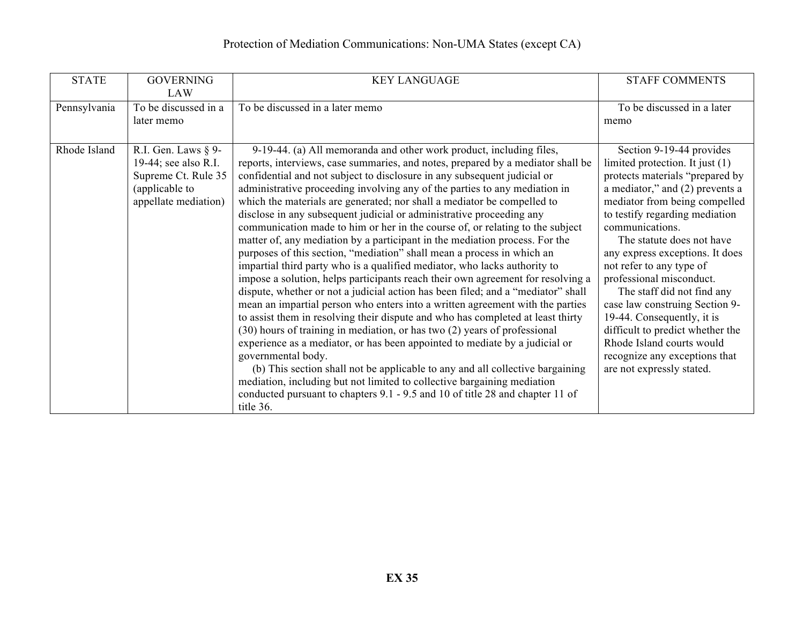| <b>STATE</b> | <b>GOVERNING</b>                      | <b>KEY LANGUAGE</b>                                                                                                                                    | <b>STAFF COMMENTS</b>                                              |
|--------------|---------------------------------------|--------------------------------------------------------------------------------------------------------------------------------------------------------|--------------------------------------------------------------------|
|              | <b>LAW</b>                            |                                                                                                                                                        |                                                                    |
| Pennsylvania | To be discussed in a                  | To be discussed in a later memo                                                                                                                        | To be discussed in a later                                         |
|              | later memo                            |                                                                                                                                                        | memo                                                               |
|              |                                       |                                                                                                                                                        |                                                                    |
| Rhode Island | R.I. Gen. Laws $\S$ 9-                | 9-19-44. (a) All memoranda and other work product, including files,                                                                                    | Section 9-19-44 provides                                           |
|              | 19-44; see also R.I.                  | reports, interviews, case summaries, and notes, prepared by a mediator shall be                                                                        | limited protection. It just $(1)$                                  |
|              | Supreme Ct. Rule 35<br>(applicable to | confidential and not subject to disclosure in any subsequent judicial or<br>administrative proceeding involving any of the parties to any mediation in | protects materials "prepared by<br>a mediator," and (2) prevents a |
|              | appellate mediation)                  | which the materials are generated; nor shall a mediator be compelled to                                                                                | mediator from being compelled                                      |
|              |                                       | disclose in any subsequent judicial or administrative proceeding any                                                                                   | to testify regarding mediation                                     |
|              |                                       | communication made to him or her in the course of, or relating to the subject                                                                          | communications.                                                    |
|              |                                       | matter of, any mediation by a participant in the mediation process. For the                                                                            | The statute does not have                                          |
|              |                                       | purposes of this section, "mediation" shall mean a process in which an                                                                                 | any express exceptions. It does                                    |
|              |                                       | impartial third party who is a qualified mediator, who lacks authority to                                                                              | not refer to any type of                                           |
|              |                                       | impose a solution, helps participants reach their own agreement for resolving a                                                                        | professional misconduct.                                           |
|              |                                       | dispute, whether or not a judicial action has been filed; and a "mediator" shall                                                                       | The staff did not find any                                         |
|              |                                       | mean an impartial person who enters into a written agreement with the parties                                                                          | case law construing Section 9-                                     |
|              |                                       | to assist them in resolving their dispute and who has completed at least thirty                                                                        | 19-44. Consequently, it is                                         |
|              |                                       | (30) hours of training in mediation, or has two (2) years of professional                                                                              | difficult to predict whether the                                   |
|              |                                       | experience as a mediator, or has been appointed to mediate by a judicial or<br>governmental body.                                                      | Rhode Island courts would<br>recognize any exceptions that         |
|              |                                       | (b) This section shall not be applicable to any and all collective bargaining                                                                          | are not expressly stated.                                          |
|              |                                       | mediation, including but not limited to collective bargaining mediation                                                                                |                                                                    |
|              |                                       | conducted pursuant to chapters 9.1 - 9.5 and 10 of title 28 and chapter 11 of                                                                          |                                                                    |
|              |                                       | title 36.                                                                                                                                              |                                                                    |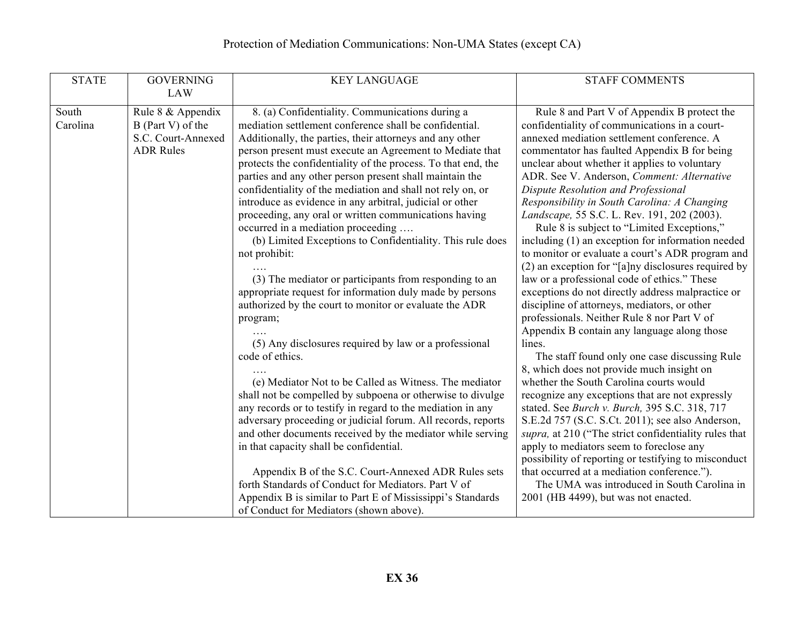| <b>STATE</b><br><b>GOVERNING</b>                                                                                    | <b>KEY LANGUAGE</b>                                                                                                                                                                                                                                                                                                                                                                                                                                                                                                                                                                                                                                                                                                                                                                                                                                                                                                                                                                                                                                                                                                                                                                                                                                                                                          | <b>STAFF COMMENTS</b>                                                                                                                                                                                                                                                                                                                                                                                                                                                                                                                                                                                                                                                                                                                                                                                                                                                                                                                                                                                                                                                                                                                                                                                                                                                                                                                                                    |
|---------------------------------------------------------------------------------------------------------------------|--------------------------------------------------------------------------------------------------------------------------------------------------------------------------------------------------------------------------------------------------------------------------------------------------------------------------------------------------------------------------------------------------------------------------------------------------------------------------------------------------------------------------------------------------------------------------------------------------------------------------------------------------------------------------------------------------------------------------------------------------------------------------------------------------------------------------------------------------------------------------------------------------------------------------------------------------------------------------------------------------------------------------------------------------------------------------------------------------------------------------------------------------------------------------------------------------------------------------------------------------------------------------------------------------------------|--------------------------------------------------------------------------------------------------------------------------------------------------------------------------------------------------------------------------------------------------------------------------------------------------------------------------------------------------------------------------------------------------------------------------------------------------------------------------------------------------------------------------------------------------------------------------------------------------------------------------------------------------------------------------------------------------------------------------------------------------------------------------------------------------------------------------------------------------------------------------------------------------------------------------------------------------------------------------------------------------------------------------------------------------------------------------------------------------------------------------------------------------------------------------------------------------------------------------------------------------------------------------------------------------------------------------------------------------------------------------|
| <b>LAW</b><br>South<br>Rule 8 & Appendix<br>Carolina<br>B (Part V) of the<br>S.C. Court-Annexed<br><b>ADR Rules</b> | 8. (a) Confidentiality. Communications during a<br>mediation settlement conference shall be confidential.<br>Additionally, the parties, their attorneys and any other<br>person present must execute an Agreement to Mediate that<br>protects the confidentiality of the process. To that end, the<br>parties and any other person present shall maintain the<br>confidentiality of the mediation and shall not rely on, or<br>introduce as evidence in any arbitral, judicial or other<br>proceeding, any oral or written communications having<br>occurred in a mediation proceeding<br>(b) Limited Exceptions to Confidentiality. This rule does<br>not prohibit:<br>(3) The mediator or participants from responding to an<br>appropriate request for information duly made by persons<br>authorized by the court to monitor or evaluate the ADR<br>program;<br>(5) Any disclosures required by law or a professional<br>code of ethics.<br>(e) Mediator Not to be Called as Witness. The mediator<br>shall not be compelled by subpoena or otherwise to divulge<br>any records or to testify in regard to the mediation in any<br>adversary proceeding or judicial forum. All records, reports<br>and other documents received by the mediator while serving<br>in that capacity shall be confidential. | Rule 8 and Part V of Appendix B protect the<br>confidentiality of communications in a court-<br>annexed mediation settlement conference. A<br>commentator has faulted Appendix B for being<br>unclear about whether it applies to voluntary<br>ADR. See V. Anderson, Comment: Alternative<br>Dispute Resolution and Professional<br>Responsibility in South Carolina: A Changing<br>Landscape, 55 S.C. L. Rev. 191, 202 (2003).<br>Rule 8 is subject to "Limited Exceptions,"<br>including (1) an exception for information needed<br>to monitor or evaluate a court's ADR program and<br>(2) an exception for "[a]ny disclosures required by<br>law or a professional code of ethics." These<br>exceptions do not directly address malpractice or<br>discipline of attorneys, mediators, or other<br>professionals. Neither Rule 8 nor Part V of<br>Appendix B contain any language along those<br>lines.<br>The staff found only one case discussing Rule<br>8, which does not provide much insight on<br>whether the South Carolina courts would<br>recognize any exceptions that are not expressly<br>stated. See Burch v. Burch, 395 S.C. 318, 717<br>S.E.2d 757 (S.C. S.Ct. 2011); see also Anderson,<br>supra, at 210 ("The strict confidentiality rules that<br>apply to mediators seem to foreclose any<br>possibility of reporting or testifying to misconduct |
|                                                                                                                     | Appendix B of the S.C. Court-Annexed ADR Rules sets<br>forth Standards of Conduct for Mediators. Part V of<br>Appendix B is similar to Part E of Mississippi's Standards<br>of Conduct for Mediators (shown above).                                                                                                                                                                                                                                                                                                                                                                                                                                                                                                                                                                                                                                                                                                                                                                                                                                                                                                                                                                                                                                                                                          | that occurred at a mediation conference.").<br>The UMA was introduced in South Carolina in<br>2001 (HB 4499), but was not enacted.                                                                                                                                                                                                                                                                                                                                                                                                                                                                                                                                                                                                                                                                                                                                                                                                                                                                                                                                                                                                                                                                                                                                                                                                                                       |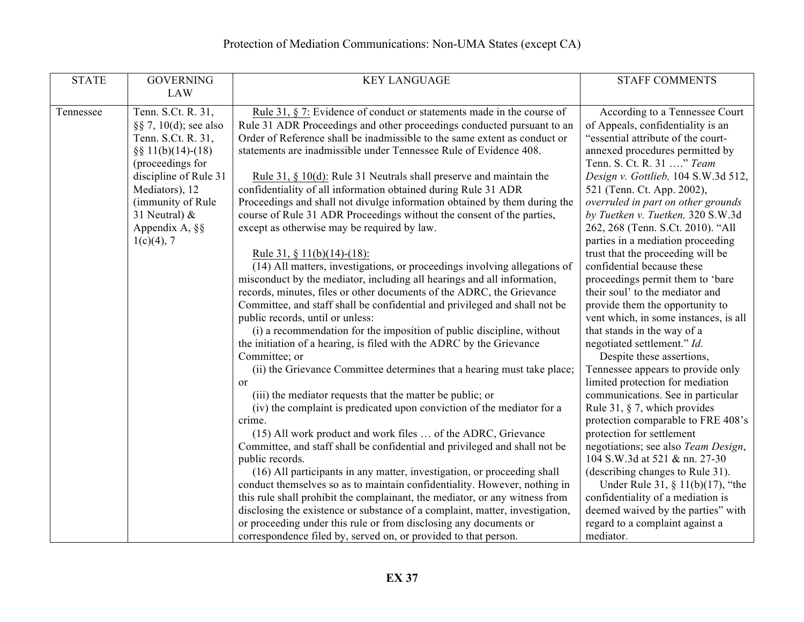| <b>STATE</b> | <b>GOVERNING</b>                                                                                                                                                                                                                     | <b>KEY LANGUAGE</b>                                                                                                                                                                                                                                                                                                                                                                                                                                                                                                                                                                                                                                                                                                                                                                                                                                                                                                                                                                                                                                                                                                                                                                                                                                                                                                                                                                                                                                  | <b>STAFF COMMENTS</b>                                                                                                                                                                                                                                                                                                                                                                                                                                                                                                                                                                                                                                                                                                                                                                                                                                                                                       |
|--------------|--------------------------------------------------------------------------------------------------------------------------------------------------------------------------------------------------------------------------------------|------------------------------------------------------------------------------------------------------------------------------------------------------------------------------------------------------------------------------------------------------------------------------------------------------------------------------------------------------------------------------------------------------------------------------------------------------------------------------------------------------------------------------------------------------------------------------------------------------------------------------------------------------------------------------------------------------------------------------------------------------------------------------------------------------------------------------------------------------------------------------------------------------------------------------------------------------------------------------------------------------------------------------------------------------------------------------------------------------------------------------------------------------------------------------------------------------------------------------------------------------------------------------------------------------------------------------------------------------------------------------------------------------------------------------------------------------|-------------------------------------------------------------------------------------------------------------------------------------------------------------------------------------------------------------------------------------------------------------------------------------------------------------------------------------------------------------------------------------------------------------------------------------------------------------------------------------------------------------------------------------------------------------------------------------------------------------------------------------------------------------------------------------------------------------------------------------------------------------------------------------------------------------------------------------------------------------------------------------------------------------|
|              | <b>LAW</b>                                                                                                                                                                                                                           |                                                                                                                                                                                                                                                                                                                                                                                                                                                                                                                                                                                                                                                                                                                                                                                                                                                                                                                                                                                                                                                                                                                                                                                                                                                                                                                                                                                                                                                      |                                                                                                                                                                                                                                                                                                                                                                                                                                                                                                                                                                                                                                                                                                                                                                                                                                                                                                             |
| Tennessee    | Tenn. S.Ct. R. 31,<br>$\S$ 7, 10(d); see also<br>Tenn. S.Ct. R. 31,<br>$\S$ § 11(b)(14)-(18)<br>(proceedings for<br>discipline of Rule 31<br>Mediators), 12<br>(immunity of Rule<br>31 Neutral) &<br>Appendix A, §§<br>$1(c)(4)$ , 7 | Rule 31, $\S$ 7: Evidence of conduct or statements made in the course of<br>Rule 31 ADR Proceedings and other proceedings conducted pursuant to an<br>Order of Reference shall be inadmissible to the same extent as conduct or<br>statements are inadmissible under Tennessee Rule of Evidence 408.<br>Rule 31, $\S$ 10(d): Rule 31 Neutrals shall preserve and maintain the<br>confidentiality of all information obtained during Rule 31 ADR<br>Proceedings and shall not divulge information obtained by them during the<br>course of Rule 31 ADR Proceedings without the consent of the parties,<br>except as otherwise may be required by law.<br>Rule 31, § 11(b)(14)-(18):<br>(14) All matters, investigations, or proceedings involving allegations of<br>misconduct by the mediator, including all hearings and all information,<br>records, minutes, files or other documents of the ADRC, the Grievance<br>Committee, and staff shall be confidential and privileged and shall not be<br>public records, until or unless:<br>(i) a recommendation for the imposition of public discipline, without<br>the initiation of a hearing, is filed with the ADRC by the Grievance<br>Committee; or<br>(ii) the Grievance Committee determines that a hearing must take place;<br><sub>or</sub><br>(iii) the mediator requests that the matter be public; or<br>(iv) the complaint is predicated upon conviction of the mediator for a<br>crime. | According to a Tennessee Court<br>of Appeals, confidentiality is an<br>"essential attribute of the court-<br>annexed procedures permitted by<br>Tenn. S. Ct. R. 31 " Team<br>Design v. Gottlieb, 104 S.W.3d 512,<br>521 (Tenn. Ct. App. 2002),<br>overruled in part on other grounds<br>by Tuetken v. Tuetken, 320 S.W.3d<br>262, 268 (Tenn. S.Ct. 2010). "All<br>parties in a mediation proceeding<br>trust that the proceeding will be<br>confidential because these<br>proceedings permit them to 'bare<br>their soul' to the mediator and<br>provide them the opportunity to<br>vent which, in some instances, is all<br>that stands in the way of a<br>negotiated settlement." Id.<br>Despite these assertions,<br>Tennessee appears to provide only<br>limited protection for mediation<br>communications. See in particular<br>Rule 31, $\S$ 7, which provides<br>protection comparable to FRE 408's |
|              |                                                                                                                                                                                                                                      |                                                                                                                                                                                                                                                                                                                                                                                                                                                                                                                                                                                                                                                                                                                                                                                                                                                                                                                                                                                                                                                                                                                                                                                                                                                                                                                                                                                                                                                      |                                                                                                                                                                                                                                                                                                                                                                                                                                                                                                                                                                                                                                                                                                                                                                                                                                                                                                             |
|              |                                                                                                                                                                                                                                      | (15) All work product and work files  of the ADRC, Grievance                                                                                                                                                                                                                                                                                                                                                                                                                                                                                                                                                                                                                                                                                                                                                                                                                                                                                                                                                                                                                                                                                                                                                                                                                                                                                                                                                                                         | protection for settlement                                                                                                                                                                                                                                                                                                                                                                                                                                                                                                                                                                                                                                                                                                                                                                                                                                                                                   |
|              |                                                                                                                                                                                                                                      | Committee, and staff shall be confidential and privileged and shall not be<br>public records.                                                                                                                                                                                                                                                                                                                                                                                                                                                                                                                                                                                                                                                                                                                                                                                                                                                                                                                                                                                                                                                                                                                                                                                                                                                                                                                                                        | negotiations; see also Team Design,<br>104 S.W.3d at 521 & nn. 27-30                                                                                                                                                                                                                                                                                                                                                                                                                                                                                                                                                                                                                                                                                                                                                                                                                                        |
|              |                                                                                                                                                                                                                                      | (16) All participants in any matter, investigation, or proceeding shall<br>conduct themselves so as to maintain confidentiality. However, nothing in                                                                                                                                                                                                                                                                                                                                                                                                                                                                                                                                                                                                                                                                                                                                                                                                                                                                                                                                                                                                                                                                                                                                                                                                                                                                                                 | (describing changes to Rule 31).<br>Under Rule 31, $\S$ 11(b)(17), "the                                                                                                                                                                                                                                                                                                                                                                                                                                                                                                                                                                                                                                                                                                                                                                                                                                     |
|              |                                                                                                                                                                                                                                      | this rule shall prohibit the complainant, the mediator, or any witness from                                                                                                                                                                                                                                                                                                                                                                                                                                                                                                                                                                                                                                                                                                                                                                                                                                                                                                                                                                                                                                                                                                                                                                                                                                                                                                                                                                          | confidentiality of a mediation is                                                                                                                                                                                                                                                                                                                                                                                                                                                                                                                                                                                                                                                                                                                                                                                                                                                                           |
|              |                                                                                                                                                                                                                                      | disclosing the existence or substance of a complaint, matter, investigation,                                                                                                                                                                                                                                                                                                                                                                                                                                                                                                                                                                                                                                                                                                                                                                                                                                                                                                                                                                                                                                                                                                                                                                                                                                                                                                                                                                         | deemed waived by the parties" with                                                                                                                                                                                                                                                                                                                                                                                                                                                                                                                                                                                                                                                                                                                                                                                                                                                                          |
|              |                                                                                                                                                                                                                                      | or proceeding under this rule or from disclosing any documents or                                                                                                                                                                                                                                                                                                                                                                                                                                                                                                                                                                                                                                                                                                                                                                                                                                                                                                                                                                                                                                                                                                                                                                                                                                                                                                                                                                                    | regard to a complaint against a                                                                                                                                                                                                                                                                                                                                                                                                                                                                                                                                                                                                                                                                                                                                                                                                                                                                             |
|              |                                                                                                                                                                                                                                      | correspondence filed by, served on, or provided to that person.                                                                                                                                                                                                                                                                                                                                                                                                                                                                                                                                                                                                                                                                                                                                                                                                                                                                                                                                                                                                                                                                                                                                                                                                                                                                                                                                                                                      | mediator.                                                                                                                                                                                                                                                                                                                                                                                                                                                                                                                                                                                                                                                                                                                                                                                                                                                                                                   |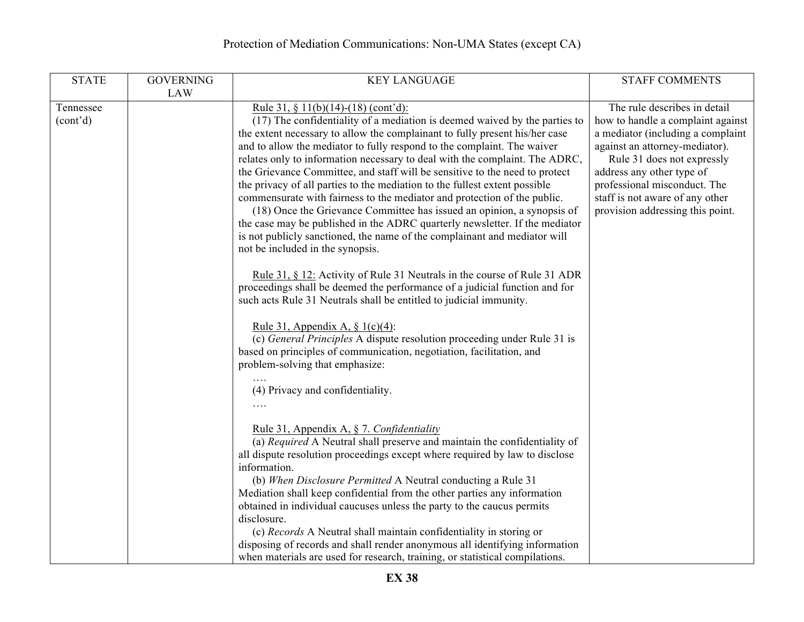| <b>STATE</b>                       | <b>GOVERNING</b><br><b>LAW</b> | <b>KEY LANGUAGE</b>                                                                                                                                                                                                                                                                                                                                                                                                                                                                                                                                                                                                                                                                                                                                                                                                                                                           | <b>STAFF COMMENTS</b>                                                                                                                                                                                                                                                                                      |
|------------------------------------|--------------------------------|-------------------------------------------------------------------------------------------------------------------------------------------------------------------------------------------------------------------------------------------------------------------------------------------------------------------------------------------------------------------------------------------------------------------------------------------------------------------------------------------------------------------------------------------------------------------------------------------------------------------------------------------------------------------------------------------------------------------------------------------------------------------------------------------------------------------------------------------------------------------------------|------------------------------------------------------------------------------------------------------------------------------------------------------------------------------------------------------------------------------------------------------------------------------------------------------------|
| Tennessee<br>(cont <sup>2</sup> d) |                                | Rule 31, § 11(b)(14)-(18) (cont'd):<br>(17) The confidentiality of a mediation is deemed waived by the parties to<br>the extent necessary to allow the complainant to fully present his/her case<br>and to allow the mediator to fully respond to the complaint. The waiver<br>relates only to information necessary to deal with the complaint. The ADRC,<br>the Grievance Committee, and staff will be sensitive to the need to protect<br>the privacy of all parties to the mediation to the fullest extent possible<br>commensurate with fairness to the mediator and protection of the public.<br>(18) Once the Grievance Committee has issued an opinion, a synopsis of<br>the case may be published in the ADRC quarterly newsletter. If the mediator<br>is not publicly sanctioned, the name of the complainant and mediator will<br>not be included in the synopsis. | The rule describes in detail<br>how to handle a complaint against<br>a mediator (including a complaint<br>against an attorney-mediator).<br>Rule 31 does not expressly<br>address any other type of<br>professional misconduct. The<br>staff is not aware of any other<br>provision addressing this point. |
|                                    |                                | Rule 31, § 12: Activity of Rule 31 Neutrals in the course of Rule 31 ADR<br>proceedings shall be deemed the performance of a judicial function and for<br>such acts Rule 31 Neutrals shall be entitled to judicial immunity.<br>Rule 31, Appendix A, $\S$ 1(c)(4):<br>(c) General Principles A dispute resolution proceeding under Rule 31 is<br>based on principles of communication, negotiation, facilitation, and<br>problem-solving that emphasize:<br>(4) Privacy and confidentiality.                                                                                                                                                                                                                                                                                                                                                                                  |                                                                                                                                                                                                                                                                                                            |
|                                    |                                | Rule 31, Appendix A, § 7. Confidentiality<br>(a) Required A Neutral shall preserve and maintain the confidentiality of<br>all dispute resolution proceedings except where required by law to disclose<br>information.<br>(b) When Disclosure Permitted A Neutral conducting a Rule 31<br>Mediation shall keep confidential from the other parties any information<br>obtained in individual caucuses unless the party to the caucus permits<br>disclosure.<br>(c) Records A Neutral shall maintain confidentiality in storing or<br>disposing of records and shall render anonymous all identifying information<br>when materials are used for research, training, or statistical compilations.                                                                                                                                                                               |                                                                                                                                                                                                                                                                                                            |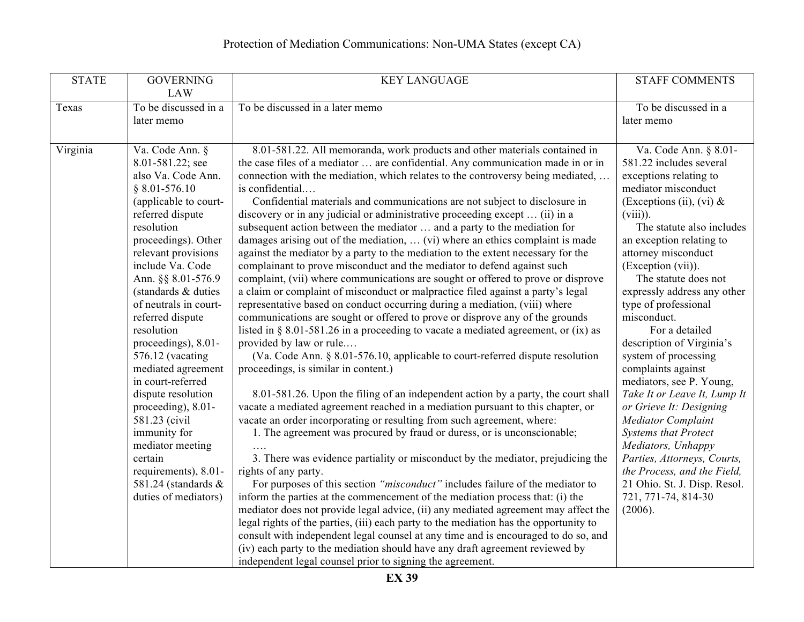| <b>STATE</b> | <b>GOVERNING</b><br><b>LAW</b>                                                                                                                                                                                                                                                                                                                                                                                                                                                                                                                                                                | <b>KEY LANGUAGE</b>                                                                                                                                                                                                                                                                                                                                                                                                                                                                                                                                                                                                                                                                                                                                                                                                                                                                                                                                                                                                                                                                                                                                                                                                                                                                                                                                                                                                                                                                                                                                                                                                                                                                                                                                                                                                                                                                                                                                                                                                                                                                                                                                                                                                                                                                                                                                                        | <b>STAFF COMMENTS</b>                                                                                                                                                                                                                                                                                                                                                                                                                                                                                                                                                                                                                                                                                                                              |
|--------------|-----------------------------------------------------------------------------------------------------------------------------------------------------------------------------------------------------------------------------------------------------------------------------------------------------------------------------------------------------------------------------------------------------------------------------------------------------------------------------------------------------------------------------------------------------------------------------------------------|----------------------------------------------------------------------------------------------------------------------------------------------------------------------------------------------------------------------------------------------------------------------------------------------------------------------------------------------------------------------------------------------------------------------------------------------------------------------------------------------------------------------------------------------------------------------------------------------------------------------------------------------------------------------------------------------------------------------------------------------------------------------------------------------------------------------------------------------------------------------------------------------------------------------------------------------------------------------------------------------------------------------------------------------------------------------------------------------------------------------------------------------------------------------------------------------------------------------------------------------------------------------------------------------------------------------------------------------------------------------------------------------------------------------------------------------------------------------------------------------------------------------------------------------------------------------------------------------------------------------------------------------------------------------------------------------------------------------------------------------------------------------------------------------------------------------------------------------------------------------------------------------------------------------------------------------------------------------------------------------------------------------------------------------------------------------------------------------------------------------------------------------------------------------------------------------------------------------------------------------------------------------------------------------------------------------------------------------------------------------------|----------------------------------------------------------------------------------------------------------------------------------------------------------------------------------------------------------------------------------------------------------------------------------------------------------------------------------------------------------------------------------------------------------------------------------------------------------------------------------------------------------------------------------------------------------------------------------------------------------------------------------------------------------------------------------------------------------------------------------------------------|
| Texas        | To be discussed in a<br>later memo                                                                                                                                                                                                                                                                                                                                                                                                                                                                                                                                                            | To be discussed in a later memo                                                                                                                                                                                                                                                                                                                                                                                                                                                                                                                                                                                                                                                                                                                                                                                                                                                                                                                                                                                                                                                                                                                                                                                                                                                                                                                                                                                                                                                                                                                                                                                                                                                                                                                                                                                                                                                                                                                                                                                                                                                                                                                                                                                                                                                                                                                                            | To be discussed in a<br>later memo                                                                                                                                                                                                                                                                                                                                                                                                                                                                                                                                                                                                                                                                                                                 |
| Virginia     | Va. Code Ann. §<br>8.01-581.22; see<br>also Va. Code Ann.<br>$§ 8.01 - 576.10$<br>(applicable to court-<br>referred dispute<br>resolution<br>proceedings). Other<br>relevant provisions<br>include Va. Code<br>Ann. §§ 8.01-576.9<br>(standards & duties)<br>of neutrals in court-<br>referred dispute<br>resolution<br>proceedings), 8.01-<br>576.12 (vacating<br>mediated agreement<br>in court-referred<br>dispute resolution<br>proceeding), 8.01-<br>581.23 (civil<br>immunity for<br>mediator meeting<br>certain<br>requirements), 8.01-<br>581.24 (standards &<br>duties of mediators) | 8.01-581.22. All memoranda, work products and other materials contained in<br>the case files of a mediator  are confidential. Any communication made in or in<br>connection with the mediation, which relates to the controversy being mediated,<br>is confidential<br>Confidential materials and communications are not subject to disclosure in<br>discovery or in any judicial or administrative proceeding except  (ii) in a<br>subsequent action between the mediator  and a party to the mediation for<br>damages arising out of the mediation,  (vi) where an ethics complaint is made<br>against the mediator by a party to the mediation to the extent necessary for the<br>complainant to prove misconduct and the mediator to defend against such<br>complaint, (vii) where communications are sought or offered to prove or disprove<br>a claim or complaint of misconduct or malpractice filed against a party's legal<br>representative based on conduct occurring during a mediation, (viii) where<br>communications are sought or offered to prove or disprove any of the grounds<br>listed in $\S$ 8.01-581.26 in a proceeding to vacate a mediated agreement, or (ix) as<br>provided by law or rule<br>(Va. Code Ann. § 8.01-576.10, applicable to court-referred dispute resolution<br>proceedings, is similar in content.)<br>8.01-581.26. Upon the filing of an independent action by a party, the court shall<br>vacate a mediated agreement reached in a mediation pursuant to this chapter, or<br>vacate an order incorporating or resulting from such agreement, where:<br>1. The agreement was procured by fraud or duress, or is unconscionable;<br>3. There was evidence partiality or misconduct by the mediator, prejudicing the<br>rights of any party.<br>For purposes of this section "misconduct" includes failure of the mediator to<br>inform the parties at the commencement of the mediation process that: (i) the<br>mediator does not provide legal advice, (ii) any mediated agreement may affect the<br>legal rights of the parties, (iii) each party to the mediation has the opportunity to<br>consult with independent legal counsel at any time and is encouraged to do so, and<br>(iv) each party to the mediation should have any draft agreement reviewed by<br>independent legal counsel prior to signing the agreement. | Va. Code Ann. § 8.01-<br>581.22 includes several<br>exceptions relating to<br>mediator misconduct<br>(Exceptions (ii), (vi) $\&$<br>$(viii)$ ).<br>The statute also includes<br>an exception relating to<br>attorney misconduct<br>(Exception (vii)).<br>The statute does not<br>expressly address any other<br>type of professional<br>misconduct.<br>For a detailed<br>description of Virginia's<br>system of processing<br>complaints against<br>mediators, see P. Young,<br>Take It or Leave It, Lump It<br>or Grieve It: Designing<br>Mediator Complaint<br><b>Systems that Protect</b><br>Mediators, Unhappy<br>Parties, Attorneys, Courts,<br>the Process, and the Field,<br>21 Ohio. St. J. Disp. Resol.<br>721, 771-74, 814-30<br>(2006). |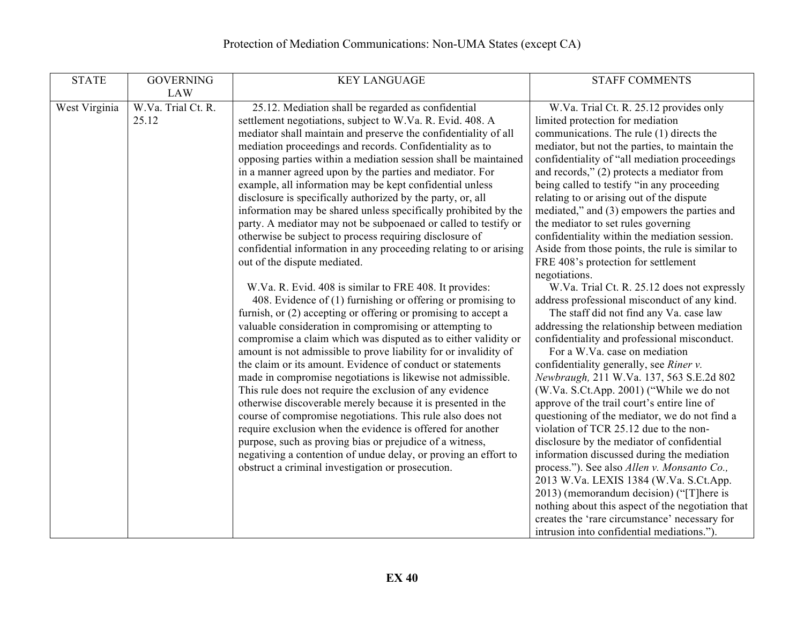| <b>STATE</b>  | <b>GOVERNING</b>            | <b>KEY LANGUAGE</b>                                                                                                                                                                                                                                                                                                                                                                                                                                                                                                                                                                                                                                                                                                                                                                                                                                                                                                                                               | <b>STAFF COMMENTS</b>                                                                                                                                                                                                                                                                                                                                                                                                                                                                                                                                                                                                                                                                                                                                                                                                                                                                                                                      |
|---------------|-----------------------------|-------------------------------------------------------------------------------------------------------------------------------------------------------------------------------------------------------------------------------------------------------------------------------------------------------------------------------------------------------------------------------------------------------------------------------------------------------------------------------------------------------------------------------------------------------------------------------------------------------------------------------------------------------------------------------------------------------------------------------------------------------------------------------------------------------------------------------------------------------------------------------------------------------------------------------------------------------------------|--------------------------------------------------------------------------------------------------------------------------------------------------------------------------------------------------------------------------------------------------------------------------------------------------------------------------------------------------------------------------------------------------------------------------------------------------------------------------------------------------------------------------------------------------------------------------------------------------------------------------------------------------------------------------------------------------------------------------------------------------------------------------------------------------------------------------------------------------------------------------------------------------------------------------------------------|
|               | <b>LAW</b>                  |                                                                                                                                                                                                                                                                                                                                                                                                                                                                                                                                                                                                                                                                                                                                                                                                                                                                                                                                                                   |                                                                                                                                                                                                                                                                                                                                                                                                                                                                                                                                                                                                                                                                                                                                                                                                                                                                                                                                            |
| West Virginia | W.Va. Trial Ct. R.<br>25.12 | 25.12. Mediation shall be regarded as confidential<br>settlement negotiations, subject to W.Va. R. Evid. 408. A<br>mediator shall maintain and preserve the confidentiality of all<br>mediation proceedings and records. Confidentiality as to<br>opposing parties within a mediation session shall be maintained<br>in a manner agreed upon by the parties and mediator. For<br>example, all information may be kept confidential unless<br>disclosure is specifically authorized by the party, or, all<br>information may be shared unless specifically prohibited by the<br>party. A mediator may not be subpoenaed or called to testify or<br>otherwise be subject to process requiring disclosure of<br>confidential information in any proceeding relating to or arising<br>out of the dispute mediated.                                                                                                                                                    | W.Va. Trial Ct. R. 25.12 provides only<br>limited protection for mediation<br>communications. The rule (1) directs the<br>mediator, but not the parties, to maintain the<br>confidentiality of "all mediation proceedings<br>and records," $(2)$ protects a mediator from<br>being called to testify "in any proceeding<br>relating to or arising out of the dispute<br>mediated," and (3) empowers the parties and<br>the mediator to set rules governing<br>confidentiality within the mediation session.<br>Aside from those points, the rule is similar to<br>FRE 408's protection for settlement<br>negotiations.                                                                                                                                                                                                                                                                                                                     |
|               |                             | W.Va. R. Evid. 408 is similar to FRE 408. It provides:<br>408. Evidence of (1) furnishing or offering or promising to<br>furnish, or (2) accepting or offering or promising to accept a<br>valuable consideration in compromising or attempting to<br>compromise a claim which was disputed as to either validity or<br>amount is not admissible to prove liability for or invalidity of<br>the claim or its amount. Evidence of conduct or statements<br>made in compromise negotiations is likewise not admissible.<br>This rule does not require the exclusion of any evidence<br>otherwise discoverable merely because it is presented in the<br>course of compromise negotiations. This rule also does not<br>require exclusion when the evidence is offered for another<br>purpose, such as proving bias or prejudice of a witness,<br>negativing a contention of undue delay, or proving an effort to<br>obstruct a criminal investigation or prosecution. | W.Va. Trial Ct. R. 25.12 does not expressly<br>address professional misconduct of any kind.<br>The staff did not find any Va. case law<br>addressing the relationship between mediation<br>confidentiality and professional misconduct.<br>For a W.Va. case on mediation<br>confidentiality generally, see Riner v.<br>Newbraugh, 211 W.Va. 137, 563 S.E.2d 802<br>(W.Va. S.Ct.App. 2001) ("While we do not<br>approve of the trail court's entire line of<br>questioning of the mediator, we do not find a<br>violation of TCR 25.12 due to the non-<br>disclosure by the mediator of confidential<br>information discussed during the mediation<br>process."). See also Allen v. Monsanto Co.,<br>2013 W.Va. LEXIS 1384 (W.Va. S.Ct.App.<br>2013) (memorandum decision) ("[T]here is<br>nothing about this aspect of the negotiation that<br>creates the 'rare circumstance' necessary for<br>intrusion into confidential mediations."). |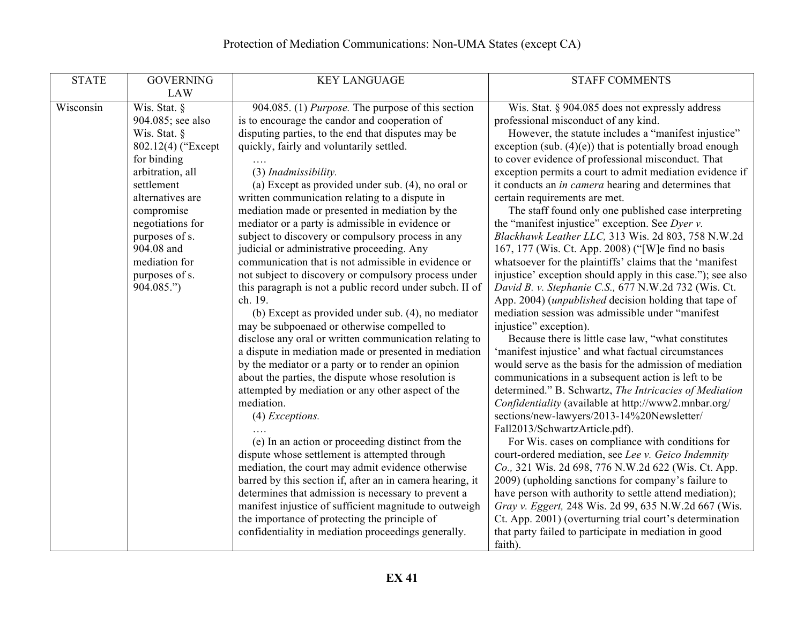| <b>STATE</b> | <b>GOVERNING</b>   | <b>KEY LANGUAGE</b>                                       | <b>STAFF COMMENTS</b>                                         |
|--------------|--------------------|-----------------------------------------------------------|---------------------------------------------------------------|
|              | <b>LAW</b>         |                                                           |                                                               |
| Wisconsin    | Wis. Stat. §       | 904.085. (1) <i>Purpose</i> . The purpose of this section | Wis. Stat. § 904.085 does not expressly address               |
|              | 904.085; see also  | is to encourage the candor and cooperation of             | professional misconduct of any kind.                          |
|              | Wis. Stat. §       | disputing parties, to the end that disputes may be        | However, the statute includes a "manifest injustice"          |
|              | 802.12(4) ("Except | quickly, fairly and voluntarily settled.                  | exception (sub. $(4)(e)$ ) that is potentially broad enough   |
|              | for binding        |                                                           | to cover evidence of professional misconduct. That            |
|              | arbitration, all   | (3) Inadmissibility.                                      | exception permits a court to admit mediation evidence if      |
|              | settlement         | (a) Except as provided under sub. $(4)$ , no oral or      | it conducts an <i>in camera</i> hearing and determines that   |
|              | alternatives are   | written communication relating to a dispute in            | certain requirements are met.                                 |
|              | compromise         | mediation made or presented in mediation by the           | The staff found only one published case interpreting          |
|              | negotiations for   | mediator or a party is admissible in evidence or          | the "manifest injustice" exception. See <i>Dyer v</i> .       |
|              | purposes of s.     | subject to discovery or compulsory process in any         | Blackhawk Leather LLC, 313 Wis. 2d 803, 758 N.W.2d            |
|              | 904.08 and         | judicial or administrative proceeding. Any                | 167, 177 (Wis. Ct. App. 2008) ("[W]e find no basis            |
|              | mediation for      | communication that is not admissible in evidence or       | whatsoever for the plaintiffs' claims that the 'manifest      |
|              | purposes of s.     | not subject to discovery or compulsory process under      | injustice' exception should apply in this case."); see also   |
|              | 904.085.")         | this paragraph is not a public record under subch. II of  | David B. v. Stephanie C.S., 677 N.W.2d 732 (Wis. Ct.          |
|              |                    | ch. 19.                                                   | App. 2004) ( <i>unpublished</i> decision holding that tape of |
|              |                    | (b) Except as provided under sub. (4), no mediator        | mediation session was admissible under "manifest"             |
|              |                    | may be subpoenaed or otherwise compelled to               | injustice" exception).                                        |
|              |                    | disclose any oral or written communication relating to    | Because there is little case law, "what constitutes           |
|              |                    | a dispute in mediation made or presented in mediation     | 'manifest injustice' and what factual circumstances           |
|              |                    | by the mediator or a party or to render an opinion        | would serve as the basis for the admission of mediation       |
|              |                    | about the parties, the dispute whose resolution is        | communications in a subsequent action is left to be           |
|              |                    | attempted by mediation or any other aspect of the         | determined." B. Schwartz, The Intricacies of Mediation        |
|              |                    | mediation.                                                | Confidentiality (available at http://www2.mnbar.org/          |
|              |                    | $(4)$ Exceptions.                                         | sections/new-lawyers/2013-14%20Newsletter/                    |
|              |                    |                                                           | Fall2013/SchwartzArticle.pdf).                                |
|              |                    | (e) In an action or proceeding distinct from the          | For Wis. cases on compliance with conditions for              |
|              |                    | dispute whose settlement is attempted through             | court-ordered mediation, see Lee v. Geico Indemnity           |
|              |                    | mediation, the court may admit evidence otherwise         | Co., 321 Wis. 2d 698, 776 N.W.2d 622 (Wis. Ct. App.           |
|              |                    | barred by this section if, after an in camera hearing, it | 2009) (upholding sanctions for company's failure to           |
|              |                    | determines that admission is necessary to prevent a       | have person with authority to settle attend mediation);       |
|              |                    | manifest injustice of sufficient magnitude to outweigh    | Gray v. Eggert, 248 Wis. 2d 99, 635 N.W.2d 667 (Wis.          |
|              |                    | the importance of protecting the principle of             | Ct. App. 2001) (overturning trial court's determination       |
|              |                    | confidentiality in mediation proceedings generally.       | that party failed to participate in mediation in good         |
|              |                    |                                                           | faith).                                                       |